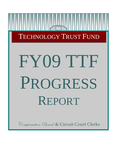# TECHNOLOGY TRUST FUND

# FY09 TTF PROGRESS REPORT

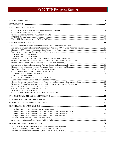| CLERKS CONTRACTING WITH TECHNOLOGY VENDORS FOR TECHNOLOGY SERVICES AND EQUIPMENT 26 |     |
|-------------------------------------------------------------------------------------|-----|
|                                                                                     |     |
|                                                                                     |     |
|                                                                                     | .32 |
|                                                                                     |     |
|                                                                                     |     |
|                                                                                     |     |
|                                                                                     |     |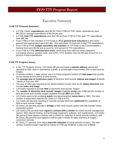# Executive Summary

# <span id="page-3-0"></span>**FY09 TTF Financial Statement**

- In FY09, Clerks' **expenditures** were \$9.2M. From FY98 to FY09, Clerks' expenditures were \$62.5M for average expenditures of \$5.2M per year.
- In FY09, **total TTF expenditures** were \$10.7M and from FY98 to FY09, total TTF expenditures were \$86.3M.
- From FY98 to FY09, transfers of TTF funds to offset **general fund reductions** to the Clerks' general fund appropriation were \$12.8M. This represents 14.9 percent of total TTF expenditures.
- From FY98 to FY09, **budget reductions and transfers** of TTF funds to the Commonwealth's General fund were \$9.1M and account for 10.6 percent of TTF expenditures.
- From FY98 to FY09, **administrative costs**, which have been split into three categories (consulting services, position costs, and COIN / VITA Studies), were \$1.9M and account for 2.2 percent of total expenditures.

# **FY09 TTF Progress Survey**

- In the TTF Progress Survey, 119 Clerks (99 percent) listed a **website address** owned and operated by their court or operated by a public or private agent that provides SRA to land records' images.
- 10 private vendors, 1 state vendor, and 4 in-house programs hosted 119 **web pages** that provide secure remote access (SRA) to land records.
- The **average year of continuous years** of electronic land records' **indices and images** of deeds / deeds of trust was 1947.
- The year of 1653 was reported by the Westmoreland County Clerk as the **oldest electronic** land records **index and image**.
- 119 Clerks reported to provide **SRA** to electronic land records' images.
- The **number of electronic land records' images** available **onsite** was 215M and the number of land electronic land records' images available through **SRA** was 208M.
- 119 Clerks report to be accepting **public** (non-governmental) **subscribers** to SRA. The total number of subscribers reported by Clerks in FY09 is 6,221.
- 111 Clerks (93 percent) reporting to currently provide SRA have **publicized** the availability of SRA to land records' images.
- 26 Clerks (22 percent) reported a **linkage** of their land records system with title transfer history automated system.
- 120 Clerks (100 percent) have **signed a contract with a vendor** for a land records management system, SRA internet hosting, and technology equipment, software, and maintenance; 113 Clerks (94 percent) have signed a contract with a vendor for redaction of social security numbers; and 99 Clerks (83 percent) have signed a contract with a vendor for back scanning of images / conversion services.
- 92 Clerks (77 percent) have begun **back-file redaction** of social security numbers. The total number redacted images reported by Clerks in FY09 are 29.8M for a total cost of \$962K.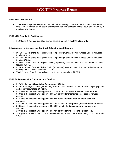### **FY10 SRA Certification**

• 119 Clerks (99 percent) reported that their office currently provides to public subscribers **SRA** to land records' images on a website or system owned and operated by their court or operated by a public or private agent.

### **FY10 VITA Standards Certification**

• 119 Clerks (99 percent) certified current compliance with VITA **SRA standards**.

### **\$4 Approvals for Areas of the Court Not Related to Land Records**

- In FY07, 15 out of the 39 eligible Clerks (38 percent) were approved Purpose Code F requests, totaling \$1.61M.
- In FY08, 24 out of the 86 eligible Clerks (28 percent) were approved Purpose Code F requests, totaling \$2.53M.
- In FY09, 19 out of the 120 eligible Clerks (16 percent) were approved Purpose Code F requests, totaling \$1.36M.
- In FY10, 36 out of the 94 Eligible Clerks (38 percent) were approved Purpose Code F requests, totaling \$2.08M (as of November 1, 2009).
- Total Purpose Code F approvals over the four-year period are \$7.57M.

### **FY10 \$4 Approvals for Equipment and Services**

- In FY10, the total **\$4 Available Balance** was \$8.50M.
- 94 out of 96 eligible Clerks (98 percent) were approved money from \$4 for technology equipment and/or services, **totaling \$7.31M**.
- 84 Clerks (88 percent) were approved \$1.73M from \$4 for **maintenance of land records**.
- 55 Clerks (57 percent) were approved \$515K from \$4 for **maintenance of secure remote access**.
- 54 Clerks (56 percent) were approved \$502K from \$4 for **redaction of social security numbers**.
- 45 Clerks (47 percent) were approved \$2.0M from \$4 for **equipment (hardware and software)**.
- 39 Clerks (41 percent) were approved \$1.78M from \$4 for **back scanning / conversion services**.
- 13 Clerks (14 percent) were approved \$784K from \$4 for **other** technology requests.
- \$4 expenditure rate from FY04 to FY09 ranged from 69 to 83 percent with a high of 87 percent in FY05.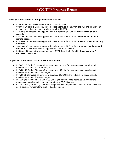# **FY10 \$1 Fund Approvals for Equipment and Services**

- In FY10, the total available in the \$1 Fund was **\$1.66M.**
- 69 out of 84 eligible Clerks (82 percent) were approved money from the \$1 Fund for additional technology equipment and/or services, **totaling \$1.66M**.
- 47 Clerks (56 percent) were approved \$535K from the \$1 Fund for **maintenance of land records**.
- 45 Clerks (54 percent) were approved \$213K from the \$1 Fund for **maintenance of secure remote access**.
- 47 Clerks (56 percent) were approved \$563K from the \$1 Fund for **redaction of social security numbers**.
- 38 Clerks (45 percent) were approved \$345K from the \$1 Fund for **equipment (hardware and software)**. Nine Clerks were not approved \$123K for equipment.
- 29 Clerks (35 percent) were not approved \$691K from the \$1 Fund for **back scanning / conversion services**.

# **Approvals for Redaction of Social Security Numbers**

- In FY07, 25 Clerks (21 percent) were approved \$1.32M for the redaction of social security numbers for a total of 34.67M images.
- In FY08, 90 Clerks (75 percent) were approved \$3.14M for the redaction of social security numbers for a total of 89.03M images.
- In FY09 88 Clerks (73 percent) were approved \$1.77M for the redaction of social security numbers for a total of 50.29M images.
- In FY10 (as of November 1, 2008) 85 Clerks (71 percent) were approved \$1.07M for the redaction of social security numbers for a total of 30.7M images.
- Over the four-year period, 115 Clerks (96 percent) were approved \$7.40M for the redaction of social security numbers for a total of 207.3M images.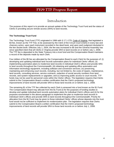# Introduction

<span id="page-6-0"></span>The purpose of this report is to provide an annual update of the Technology Trust Fund and the status of Clerks in providing secure remote access (SRA) to land records.

# **The Technology Trust Fund**

The Technology Trust Fund (TTF) originated in 1996 with § 17.1-279, Code of Virginia, that legislated a \$3 fee, known as the TTF Fee, to be assessed by the Clerk of the Circuit Court (Clerk) in every law and chancery action, upon each instrument recorded in the deed book, and upon each judgment docketed in the lien docket book. Effective July 1, 2004, the fee was increased to \$5 and the General Assembly has since specified intent that all Clerks in Virginia provide SRA to land records on or before July 1, 2008. The TTF fee is deposited to the State Treasury into a trust fund and the Compensation Board maintains a record of the deposits made by each Clerk.

Four dollars of the \$5 fee are allocated by the Compensation Board to each Clerk for the purposes of: (i) developing and updating individual land records automation plans for individual Clerks' offices; (ii) implementing automation plans to modernize land records in individual Clerk's offices and provide SRA to land records throughout the Commonwealth; (iii) obtaining and updating office automation and information technology equipment, including software and conversion services; (iv) preserving, maintaining and enhancing court records, including, but not limited to, the costs of repairs, maintenance, land records, consulting services, service contracts, redaction of social security numbers from land records, and system replacements or upgrades; and (v) improving public access to court records. TTF funds may not be used for personnel costs within the Clerks' offices. The legislation requires that Clerks submit to the Compensation Board a written certification that the Clerk's proposed technology improvements of land records will provide SRA to those land records on or before July 1, 2008.

The remaining \$1 of the TTF fee collected by each Clerk is amassed into a fund known as the \$1 Fund. The Compensation Board may allocate from the \$1 Fund (i) for the purposes of funding studies to develop and update individual land records automation plans for individual Clerk's offices and (ii) for the purposes enumerated in the above paragraph to implement the plan to modernize land records in individual Clerk's offices and provide SRA to land records throughout the Commonwealth. Priority for allocation from the \$1 Fund may be given to those individual Clerks' offices whose deposits into the trust fund would not be sufficient to implement its modernization plan. The legislation requires that Clerks submit to the Compensation Board a written certification that the Clerk's proposed technology improvements of land records will provide SRA to those land records on or before July 1, 2008.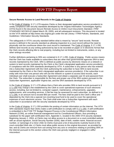### **Secure Remote Access to Land Records in the Code of Virginia**

In the Code of Virginia, § 17.1-279 requires Clerks or their designated application service provider(s) to certify compliance with security standards developed by the Virginia Information Technologies Agency (VITA) found in the document *Secure Remote Access to Online Court Documents Standard, ITRM STANDARD SEC503-02* (dated March 28, 2005), and all subsequent revisions. This document is located on the VITA website at [http://www.vita.virginia.gov](http://www.vita.virginia.gov/) under the tab Library / ITRM Policies, Standards, and Guidelines / Information Security Standards.

The safeguards in VITA's security standard define what is meant by "secure" land records. Remote access is defined in the security standard as allowing inspection to a court record without the need to physically visit the courthouse where the court record is maintained. The Code of Virginia, § 17.1-292, defines land records as any writing authorized by law to be recorded on paper or in electronic format that the Clerk records affecting title to real property, including but not limited to instruments, orders, or any other writings recorded.

Further definitions pertaining to SRA are contained in § 17.1-295, Code of Virginia. Public access means that the Clerk has made available to subscribers that are other than governmental agencies SRA to land records maintained by the Clerk. SRA is defined as public access by electronic means on a network or system to land records maintained by the Clerk or the Clerk's designated application service provider(s), in compliance with the SRA standards developed by VITA. A subscriber is any person who has entered into a Subscriber Agreement with the Clerk authorizing the subscriber to have SRA to land records maintained by the Clerk or the Clerk's designated application services provider(s). If the subscriber is an entity with more than one person who will use the network or system to access land records, each individual user shall execute a Subscriber Agreement and obtain a separate user ID and password from the Clerk. The subscriber is responsible for the fees and proper use of the SRA system pursuant to the Subscriber Agreement, applicable Virginia law, and the SRA standards developed by VITA.

In the Code of Virginia, § 17.1-276 allows that a Clerk who provides SRA to land records pursuant to § 17.1-294 may charge a fee established by the Clerk to cover operational expenses of such electronic access, including, but not limited to, computer support, maintenance, enhancements, upgrades, replacements, and consulting services. A flat fee may be assessed for each subscriber, as defined in § 17.1-295, in an amount not to exceed \$50 per month. The fees shall be paid to the Clerk's office and deposited by the Clerk into a special non-reverting local fund to be used to cover the operational expenses of such electronic access. The Clerk shall enter into a Subscriber Agreement with each subscriber in accordance with the security standards developed by VITA.

In the Code of Virginia, § 17.1-293 prohibits the posting of certain information on the Internet. The VITA SRA standards require that Clerks make a self-certification to comply with § 17.1-293. A self-certification is embedded in the FY09 TTF Budget Request Process in the Constitutional Officers Information Network (COIN), an online financial management tool for Constitutional Officers, thus providing a substitute for the paper self-certification form, Appendix C, located in the 2005 VITA security standard. Beginning January 1, 2004, a) Clerks may not allow access to a document on a court-controlled website with an actual signature, Social Security Number (SSN), date of birth, maiden name, financial account number, or name/age of a minor child; b) Clerks must post a list of documents routinely found on the court-controlled Web site; c) Clerks must allow public access to the original document, as provided by law; and d) Clerks are immune from suit arising from any acts or omissions relating to providing SRA on the Internet pursuant to this section unless the Clerk was grossly negligent or engaged in willful misconduct.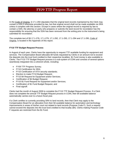In the Code of Virginia, § 17.1-294 stipulates that the original land records maintained by the Clerk may contain a SSN if otherwise provided by law, but that original record shall not be made available via SRA unless it complies with this section. Except in cases where the original record is required by law to contain a SSN, the attorney or party who prepares or submits the land record for recordation has the responsibility for ensuring that the SSN has been removed from the writing prior to the instrument's being submitted for recordation.

The complete text of §§ 17.1-276, 17.1-279, 17.1-292, 17.1-293, 17.1-294 and 17.1-295, Code of Virginia, is located in the Appendix of this report.

### **FY10 TTF Budget Request Process**

In August of each year, Clerks have the opportunity to request TTF available funding for equipment and services. The Compensation Board allocates \$4 funds requested by Clerks in an amount not to exceed the deposits into the trust fund credited to their respective localities. \$1 Fund money is also available to Clerks. The FY10 TTF Budget Request process is a sub-system of COIN and consists of several options seamlessly integrated into a coherent whole, including:

- FY09 TTF Progress Survey;
- FY10 Certification for SRA;
- FY10 Certification of VITA security standards;
- Election to make FY10 Budget Request;
- FY10 \$4 Request for Equipment and/or Services;
- Certification of \$4 Budget Request;
- FY10 \$1 Fund Request for Equipment and/or Services;
- Certification of \$1 Fund Budget Request, and
- Final signoff.

Clerks had the month of August 2009 to complete the FY10 TTF Budget Request Process. If a Clerk does not complete the annual TTF Budget Request process in COIN, their \$4 available balance automatically carries-over to a future fiscal year.

If a Clerk certifies to currently providing SRA to land records, then that Clerk may apply to the Compensation Board for an allocation from their \$4 available balance for automation and technology improvements in areas of his/her court not related to land records (Purpose Code F). Such a request cannot exceed the deposits into the trust fund credited to that locality (\$4). Clerks making Purpose Code F requests are restricted from the \$1 Fund.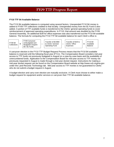# **FY10 TTF \$4 Available Balance**

The FY10 \$4 available balance is computed using several factors. Unexpended FY10 \$4 money is added to FY09 TTF collections credited to that locality. Unexpended money from the \$1 Fund is also added. A portion of TTF available funds is transferred to the Clerks' general operating funds to cover reimbursement of approved operating expenditures. In FY10, that amount was doubled by the FY09 General Assembly. An additional \$1M for office expenses was also transferred out the FY10 \$4 available balance. The formula for computing the FY10 TTF \$4 available balance for each Clerk's office is:

| FY09 \$4<br>Collections |  | FY09 Carrvover<br>(Unbudgeted and<br><b>Budgeted Unspent</b><br>$$4/$1$ Fund) | - | Transfer of \$3.98M<br>to Clerks' General<br>Operating Fund | ٠ | Transfer of \$1M to<br>Clerks' Office<br>Expenses | = | FY10 \$4<br>Available<br><b>Balance</b> |  |
|-------------------------|--|-------------------------------------------------------------------------------|---|-------------------------------------------------------------|---|---------------------------------------------------|---|-----------------------------------------|--|
|-------------------------|--|-------------------------------------------------------------------------------|---|-------------------------------------------------------------|---|---------------------------------------------------|---|-----------------------------------------|--|

A carryover election in the FY10 TTF Budget Request Process means that the FY10 \$4 available balance is reserved until the following fiscal year (FY11). The Compensation Board considers mid-year access to TTF funds not previously budgeted in August on a case-by-case basis and the availability of unencumbered funds. Application to the Compensation Board for mid-year access to TTF money not previously requested in August is made through a mid-year docket request. Instructions for making a mid-year docket request can be found on the Compensation Board website at [http://www.scb.virginia.gov](http://www.scb.virginia.gov/)  under the Land Records Technology tab. Mid-year access to TTF monies is not guaranteed to Clerks who do not submit a budget request in August.

A budget election and carry-over election are mutually exclusive. A Clerk must choose to either make a budget request for equipment and/or services or carryover their TTF \$4 available balance.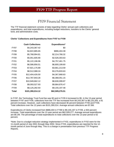# FY09 Financial Statement

<span id="page-10-0"></span>The TTF financial statement consists of data regarding Clerks' annual cash collections and expenditures, and total expenditures, including budget reductions, transfers to the Clerks' general fund, and administrative costs.

### **Clerks' Collections and Expenditures from FY97 to FY09**

|             | <b>Cash Collections</b> | Expenditures*   |
|-------------|-------------------------|-----------------|
| <b>FY97</b> | \$4,243,367.42          | \$0             |
| FY98        | \$4,822,885.65          | \$886,404.38    |
| FY99        | \$5,768,994.81          | \$2,214,766.32  |
| <b>FY00</b> | \$5,051,605.90          | \$2,526,303.63  |
| <b>FY01</b> | \$5,122,196.96          | \$4,757,461.75  |
| <b>FY02</b> | \$6,586,856.51          | \$6,800,199.60  |
| FY03        | \$7,921,175.89          | \$3,661,213.59  |
| <b>FY04</b> | \$8,512,088.24          | \$3,276,833.63  |
| <b>FY05</b> | \$12,404,426.50         | \$4,367,868.63  |
| <b>FY06</b> | \$12,787,943.26         | \$6,368,051.15  |
| FY07        | \$10,949,662.12         | \$8,630,099.87  |
| <b>FY08</b> | \$9,093,527.93          | \$9,864,876.47  |
| <b>FY09</b> | \$8,125,282.93          | \$9,155,197.48  |
| Total       | \$101,390,014.12        | \$62,509,276.51 |

In FY97, the Technology Trust Fund fee was \$3 and in FY05 it increased to \$5. In the 13-year period between FY97 and FY09, collections from the TTF fee increased from \$4,243,367 to \$8,125,283, a 91 percent increase. However, cash collections have decreased 36 percent between FY06 and FY09. Total collections over the 13 years are \$101,390,014. Average annual collections are \$7.8M.

Expenditures of Clerks increased from \$886,404 in FY98 to \$9,155,197 in FY09, a 933 percent increase. Total expenditures over the 12-year period are \$62,509,277. Average annual expenditures are \$5.2M. The percentage of total expenditures to total collections over the 13-year period is 62 percent.

\*Note: Due to a budget reduction strategy implemented in FY02, expenditures in FY02 were for the 11-month period of July 2001 through May 2002. Since FY03, expenditures are reported for the 12 month period of June through May. This is a change in presentation from previous TTF Progress Reports.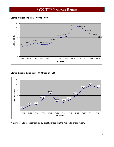<span id="page-11-0"></span>**Clerks' Collections from FY97 to FY09** 



# **Clerks' Expenditures from FY98 through FY09**



A matrix for Clerks' expenditures by locality is found in the Appendix of this report.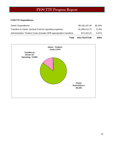# <span id="page-12-0"></span>**FY09 TTF Expenditures**

| Total                                                                 | \$10,716,573.46 | 100%   |
|-----------------------------------------------------------------------|-----------------|--------|
| Administration: Position Costs (includes DPB appropriation transfers) | \$72,163.23     | 0.67%  |
| Transfers to Clerks' General Fund for operating expenses              | \$1,489,212.75  | 13.9%  |
| <b>Clerks' Expenditures</b>                                           | \$9,155,197.48  | 85.43% |

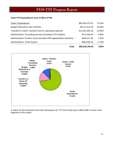# <span id="page-13-0"></span>**Total TTF Expenditures from FY98 to FY09**

| Total                                                                 | \$86,342,158.46 | 100%   |
|-----------------------------------------------------------------------|-----------------|--------|
| <b>Administration: COIN System</b>                                    | \$664,000.44    | 0.79%  |
| Administration: Position Costs (includes DPB appropriation transfers) | \$440,017.59    | 1.50%  |
| Administration: Consulting services (including VITA Studies)          | \$774,558.64    | 0.88%  |
| Transfers to Clerks' General Fund for operating expenses              | \$12,841,891.28 | 14.89% |
| <b>Budget Reductions and Transfers</b>                                | \$9,112,414.00  | 10.59% |
| Clerks' Expenditures                                                  | \$62,509,276.51 | 72.34% |



A matrix for Non-General Fund cash transactions for TTF from fiscal years 1998-2008 is found in the Appendix of this report.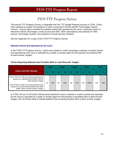# FY09 TTF Progress Survey

<span id="page-14-0"></span>The annual TTF Progress Survey is integrated into the TTF Budget Request process in COIN. Clerks were required to answer 53 questions in order to proceed to the \$4 and \$1 Fund budget request screens. Survey topics included the website owned and operated by the court, continuous years of electronic indices and images, onsite access and SRA, SRA subscriptions and publicity for SRA service, technology vendors, and redaction of social security numbers.

See the Appendix for a copy of the FY09 TTF Progress Survey.

# **Website Owned and Operated by the Court**

In the FY09 TTF Progress Survey, Clerks were asked to confirm providing a website or system owned and operated by their court or operated by a public or private agent for the purpose of providing SRA to land records' images.

### **Clerks Reporting Website that Provides SRA to Land Records' Images**

|                                                                                                                                                                                                                                                     | <b>FY05</b> |      | <b>FY06</b> |               | <b>FY067</b> |               | FY <sub>08</sub> |               | FY <sub>09</sub> |     |
|-----------------------------------------------------------------------------------------------------------------------------------------------------------------------------------------------------------------------------------------------------|-------------|------|-------------|---------------|--------------|---------------|------------------|---------------|------------------|-----|
| <b>Clerks with SRA Website</b>                                                                                                                                                                                                                      |             | $\%$ | n           | $\frac{9}{6}$ | n            | $\frac{9}{6}$ | n                | $\frac{9}{6}$ | n                | %   |
| From FY07 to FY09, the survey question was<br>posed as a website that provides SRA to<br>land records' images<br>From FY05 to FY06, the survey question was<br>posed as a website that provides up-to-date<br>public notice of land records' images | 15          | 13%  | 59          | 49%           | 86           | 72%           | 120              | 100%          | 119              | 99% |

In FY09 119 out of 120 Clerks (99 percent) reported to have a website or system owned and operated by the court or operated by a public or private agent for the purpose of providing SRA to land records' images. All 119 Clerks listed a website address that currently provides SRA to land records' images.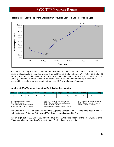

# <span id="page-15-0"></span>**Percentage of Clerks Reporting Website that Provides SRA to Land Records' Images**

In FY04, 30 Clerks (25 percent) reported that their court had a website that offered up-to-date public notice of electronic land records available through SRA; 15 Clerks (13 percent) in FY05; 59 Clerks (49 percent) in FY06; 86 Clerks (72 percent) in FY07and 120 Clerks (100 percent) in FY08. In FY09, 119 Clerks (99 percent) reported to have a website or system owned and operated by their court or operated by a public or private agent that provides SRA to land records' images.

### **Number of SRA Websites Hosted by Each Technology Vendor**

| $\Delta m$ Cad | <b>BIS</b> | $In$ -House $\vert$ | <b>Cott</b> | I DTS I  | / Eagle V | ILS<br><b>Contract Contract Contract Contract Contract Contract Contract Contract Contract Contract Contract Contract Co</b> | Logan | Mixnet |    |  |
|----------------|------------|---------------------|-------------|----------|-----------|------------------------------------------------------------------------------------------------------------------------------|-------|--------|----|--|
|                |            |                     |             | <u>.</u> |           |                                                                                                                              |       |        | 69 |  |

AmCad = American Cadastre **ACS = ACS** = ACS State and Local Solutions BIS = Business Information Systems<br>Cott = Cott Systems **BIS = Business** Business Information Systems Eagle = Eagle Computer Systems DTS = Document Technology Systems ILS = International Land Systems Logan = Logan Systems Mixnet = Mixnet Corporation SCV = Supreme Court of Virginia Unity = Unity Systems (formerly Reams) Unity = Unity Systems (formerly Reams)

The Clerk of Pulaski listed both Eagle and the Supreme Court as their SRA web page host. In-house web hosting are Arlington, Fairfax, and York Counties, and Alexandria City.

Twenty-eight out of 120 Clerks (23 percent) have a SRA web page specific to their locality; 91 Clerks (76 percent) have a generic SRA website. One Clerk did not list a website.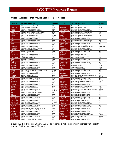### <span id="page-16-0"></span>**Website Addresses that Provide Secure Remote Access**

| <b>Locality</b>           | <b>Website Address</b>                                                   | <b>Vendor</b>             | <b>Locality</b>         | <b>Website Address</b>                                                        | Vendor                    |
|---------------------------|--------------------------------------------------------------------------|---------------------------|-------------------------|-------------------------------------------------------------------------------|---------------------------|
| Accomack                  | https://csa.landrecords.com/lronline                                     | ILS                       | <b>Nelson</b>           | https://risweb.courts.state.va.us/                                            | SCV                       |
| Albemarle                 | www.albemarle.org/landrecs                                               | Cott                      | <b>New Kent</b>         | www.newkentvacocc.org                                                         | Logan                     |
| Alleghany                 | https://risweb.courts.state.va.us/                                       | SCV                       | Northampton             | https://risweb.courts.state.va.us/                                            | SCV                       |
| Amelia                    | https://csa.landsystems.com/lronline                                     | <b>ILS</b>                | Northumberland          | https://csa.landsystems.com/lronline                                          | $\overline{\mathsf{L}}$ s |
| Amherst                   | https://landrecords.countyofamherst.com/                                 | Cott                      | Nottoway                | https://csa.landsystems.com/lronline                                          | <b>ILS</b>                |
| Appomattox                | https://csa.landrecords.com/lronline                                     | <b>ILS</b>                | Orange                  | https://risweb.courts.state.va.us/                                            | SCV                       |
| Arlington                 | http://landrec.arlingtonva.us/                                           | County                    | Page                    | https://csa.landsystems.com/lronline                                          | $\overline{\mathsf{L}}$ s |
| Augusta                   | https://risweb.courts.state.va.us/                                       | SCV                       | Patrick                 | https://risweb.courts.state.va.us/                                            | SCV                       |
| <b>Bath</b>               | https://risweb.courts.state.va.us/                                       | SCV                       | Pittsylvania            | https://risweb.courts.state.va.us/                                            | SCV                       |
| <b>Bedford</b>            | https://risweb.courts.state.va.us/                                       | SCV                       | Powhatan                | https://csa.landsystems.com/lronline                                          | <b>ILS</b>                |
| <b>Bland</b>              | https://risweb.courts.state.va.us/                                       | SCV                       | <b>Prince Edward</b>    | https://csa.landsystems.com/lronline                                          | <b>ILS</b>                |
| <b>Botetourt</b>          | https://risweb.courts.state.va.us/                                       | <b>SCV</b>                | <b>Prince George</b>    | https://risweb.courts.state.va.us/                                            | SCV                       |
| <b>Brunswick</b>          | https://risweb.courts.state.va.us/                                       | SCV                       | <b>Prince William</b>   | https://www3.pwcgov.org/panet                                                 | <b>DTS</b>                |
| <b>Buchanan</b>           | https://risweb.courts.state.va.us/                                       | SCV                       | Pulaski                 | http://records.pulaskicircuitcourt.com                                        | Eagle/SCV                 |
| <b>Buckingham</b>         | https://csa.landrecords.com/lronline                                     | ILS                       | Rappahannock            | https://risweb.courts.state.va.us/                                            | SCV                       |
| Campbell                  | https://risweb.courts.state.va.us/                                       | SCV                       | <b>Richmond Co</b>      | https://csa.landsystems.com/lronline                                          | <b>ILS</b>                |
| Caroline                  | www.carolinevacocc.org                                                   | Logan                     | Roanoke Co              | https://risweb.courts.state.va.us/                                            | SCV                       |
| Carroll                   | www.carrollvacocc.org                                                    | Logan                     | Rockbridge              | https://risweb.courts.state.va.us/                                            | SCV                       |
| <b>Charles City</b>       | https://risweb.courts.state.va.us/                                       | SCV                       | Rockingham              | www.uslandrecords.com                                                         | <b>ACS</b>                |
| Charlotte                 | reported No to providing website                                         |                           | <b>Russell</b>          | https://risweb.courts.state.va.us/                                            | SCV                       |
| Chesterfield              | www.ccclandrecords.org/                                                  | Logan                     | <b>Scott</b>            | www.titlesearcher.com                                                         | <b>BIS</b>                |
| Clarke                    | www.clarkevacocc.org                                                     | Logan                     | Shenandoah              | https://risweb.courts.state.va.us/                                            | SCV                       |
| Craig                     | https://risweb.courts.state.va.us/                                       | SCV                       | Smyth                   | https://risweb.courts.state.va.us/                                            | SCV                       |
| Culpeper                  | https://risweb.courts.state.va.us/                                       | <b>SCV</b>                | Southampton             | https://risweb.courts.state.va.us/                                            | SCV                       |
| Cumberland                | https://risweb.courts.state.va.us/                                       | SCV                       | Spotsylvania            | https://csa.landsystems.com/lronline                                          | <b>ILS</b>                |
| <b>Dickenson</b>          | https://risweb.courts.state.va.us/                                       | <b>SCV</b>                | Stafford                | http://staffordcocc.org/                                                      | Logan                     |
| <b>Dinwiddie</b>          | https://risweb.courts.state.va.us/                                       | SCV                       | <b>Surry</b>            | www.surrvacocc.org                                                            | Logan                     |
| <b>Essex</b>              | https://risweb.courts.state.va.us/                                       | SCV                       | <b>Sussex</b>           | www.sussexvacocc.org                                                          | Logan                     |
| Fairfax                   | http://www.fairfaxcounty.gov/cpan/index.cfm                              | County                    | <b>Tazewell</b>         | https://risweb.courts.state.va.us/                                            | SCV                       |
| Fauquier                  | https://clerk.fauguiercounty.gov                                         | Cott                      | Warren                  | https://risweb.courts.state.va.us/                                            | SCV                       |
| Floyd                     | https://risweb.courts.state.va.us/                                       | SCV                       | Washington              | https://risweb.courts.state.va.us/                                            | SCV                       |
| Fluvanna                  | www://fluvannavacocc.org                                                 | Logan                     | Westmoreland            | http://landrecords.westmoreland-county.org                                    | Cott<br>Mixnet            |
| <b>Franklin Co</b>        | https://risweb.courts.state.va.us/                                       | SCV<br>SCV                | Wise<br>Wythe           | www.courtbar.org                                                              | SCV                       |
| Frederick<br><b>Giles</b> | https://risweb.courts.state.va.us/                                       | <b>ILS</b>                | York                    | https://risweb.courts.state.va.us/                                            | County                    |
| Gloucester                | https://csa.landrecords.com/lronline                                     | SCV                       | Alexandria              | http://countyofyorkva.net/crmsdotnet                                          | City                      |
| Goochland                 | https://risweb.courts.state.va.us/<br>https://risweb.courts.state.va.us/ | SCV                       | <b>Bristol</b>          | https://cheyenne.alexandriava.gov/ajis/<br>https://risweb.courts.state.va.us/ | SCV                       |
| Grayson                   | https://risweb.courts.state.va.us/                                       | SCV                       | <b>Buena Vista</b>      | https://risweb.courts.state.va.us/                                            | <b>SCV</b>                |
| Greene                    | http://landrecords.gcva.us                                               | Cott                      | Charlottesville         | https://csa.landsystems.com/lronline                                          | <b>ILS</b>                |
| Greensville               | https://risweb.courts.state.va.us/                                       | SCV                       | Chesapeake              | www.chesapeakeccland.org/                                                     | Logan                     |
| <b>Halifax</b>            | https://risweb.courts.state.va.us/                                       | SCV                       | <b>Colonial Heights</b> | http://colonialheights.landrecordsonline.com                                  | AmCad                     |
| Hanover                   | http://hanover.landrecordsonline.com/                                    | AmCad                     | <b>Danville</b>         | https://risweb.courts.state.va.us/                                            | SCV                       |
| Henrico                   | https://csa.landrecords.com/lronline                                     | ILS                       | Fredericksburg          | https://risweb.courts.state.va.us/                                            | SCV                       |
| Henry                     | https://risweb.courts.state.va.us/                                       | SCV                       | Hampton                 | https://risweb.courts.state.va.us/                                            | SCV                       |
| Highland                  | https://risweb.courts.state.va.us/                                       | <b>SCV</b>                | Hopewell                | https://risweb.courts.state.va.us/                                            | <b>SCV</b>                |
| Isle of Wight             | https://risweb.courts.state.va.us/                                       | <b>SCV</b>                | Lynchburg               | https://risweb.courts.state.va.us/                                            | SCV                       |
| <b>James City</b>         | https://risweb.courts.state.va.us/                                       | SCV                       | <b>Martinsville</b>     | http://www.ci.martinsville.va.us/circuitclerk                                 | Untiy                     |
| King & Queen              | https://risweb.courts.state.va.us/                                       | SCV                       | <b>Newport News</b>     | https://risweb.courts.state.va.us/                                            | SCV                       |
| <b>King George</b>        | http://kg.landrecordsonline.com/                                         | AmCad                     | <b>Norfolk</b>          | https://risweb.courts.state.va.us/                                            | SCV                       |
| <b>King William</b>       | https://risweb.courts.state.va.us/                                       | SCV                       | Petersburg              | https://csa.landsystems.com/lronline                                          | <b>ILS</b>                |
| Lancaster                 | https://risweb.courts.state.va.us/                                       | SCV                       | Portsmouth              | https://risweb.courts.state.va.us/                                            | SCV                       |
| Lee                       | https://risweb.courts.state.va.us/                                       | SCV                       | Radford                 | https://csa.landsystems.com/lronline                                          | <b>ILS</b>                |
| Loudoun                   | https://lisweb.loudoun.gov/recpublic/logon                               | <b>DTS</b>                | <b>Richmond City</b>    | https://risweb.courts.state.va.us/                                            | SCV                       |
| Louisa                    | http://landreocrds.countyoflouisa.com/                                   | Cott                      | <b>Roanoke City</b>     | https://risweb.courts.state.va.us/                                            | SCV                       |
| Lunenburg                 | https://risweb.courts.state.va.us/                                       | <b>SCV</b>                | Salem                   | https://risweb.courts.state.va.us/                                            | <b>SCV</b>                |
| Madison                   | https://risweb.courts.state.va.us/                                       | SCV                       | Staunton                | https://risweb.courts.state.va.us/                                            | SCV                       |
| <b>Mathews</b>            | https://risweb.courts.state.va.us/                                       | SCV                       | <b>Suffolk</b>          | http:://suffolk.landrecordsonline.com/                                        | AmCad                     |
| Mecklenburg               | https://risweb.courts.state.va.us/                                       | <b>SCV</b>                | Virginia Beach          | www.vblandrecords.com                                                         | AmCad                     |
| Middlesex                 | https://risweb.courts.state.va.us/                                       | <b>SCV</b>                | Waynesboro              | https://risweb.courts.state.va.us/                                            | <b>SCV</b>                |
| Montgomery                | https://csa.landrecords.com/lronline                                     | $\overline{\mathsf{L}}$ s | Winchester              | https://risweb.courts.state.va.us/                                            | <b>SCV</b>                |

In the FY09 TTF Progress Survey, 119 Clerks reported a website or system address that currently provides SRA to land records' images.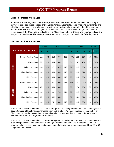### <span id="page-17-0"></span>**Electronic Indices and Images**

In the FY09 TTF Budget Request Manual, Clerks were instructed, for the purposes of the progress survey, to consider deeds / deeds of trust, plats / maps, judgments / liens, financing statements, and wills / fiduciary as types of land records. Clerks answered questions regarding the oldest continuous year of electronic indices and images provided by their court. If no index or image of that kind of record existed, the Clerk was to indicate with a 0000. The number of Clerks who reported indices and images is shown below. The average year of indices and images is shown in the following matrix.

|               |                                |              | <b>FY05</b> |              | <b>FY06</b> |             | <b>FY07</b> |              | <b>FY08</b> |              | <b>FY09</b> |
|---------------|--------------------------------|--------------|-------------|--------------|-------------|-------------|-------------|--------------|-------------|--------------|-------------|
|               | <b>Electronic Land Records</b> | $\mathsf{n}$ | $\%$        | $\mathsf{n}$ | $\%$        | $\mathbf n$ | $\%$        | $\mathsf{n}$ | $\%$        | $\mathsf{n}$ | %           |
|               | Deeds / Deeds of Trust         | 111          | 93%         | 114          | 95%         | 120         | 100%        | 119          | 99%         | 119          | 99%         |
| Indices       | Plats / Maps                   | 78           | 65%         | 104          | 86%         | 97          | 81%         | 87           | 73%         | 87           | 73%         |
|               | Judgments / Liens              | 105          | 88%         | 97           | 81%         | 119         | 99%         | 119          | 99%         | 119          | 99%         |
|               | <b>Financing Statements</b>    | 100          | 83%         | 108          | 90%         | 115         | 96%         | 116          | 97%         | 115          | 96%         |
|               | Wills / Fiduciary              | 102          | 85%         | 106          | 88%         | 110         | 92%         | 112          | 93%         | 114          | 95%         |
|               | Deeds / Deeds of Trust         | 111          | 93%         | 112          | 93%         | 119         | 99%         | 120          | 100%        | 120          | 100%        |
|               | Plats / Maps                   | 69           | 58%         | 103          | 86%         | 86          | 72%         | 78           | 65%         | 78           | 65%         |
| <b>Images</b> | Judgments / Liens              | 100          | 83%         | 89           | 74%         | 114         | 95%         | 115          | 96%         | 116          | 97%         |
|               | <b>Financing Statements</b>    | 80           | 67%         | 102          | 85%         | 96          | 80%         | 104          | 87%         | 104          | 87%         |
|               | Wills / Fiduciary              | 100          | 83%         | 75           | 63%         | 110         | 92%         | 112          | 93%         | 112          | 93%         |

### **Electronic Indices and Images**

From FY05 to FY09, the number of Clerks that reported to having back scanned continuous years of **deeds / deeds of trust** indices increased from 111 to 119 (17 percent increase). The number of Clerks that reported to having back scanned continuous years of deeds / deeds of trust images increased from 111 to 120 (8 percent increase).

From FY05 to FY09, the number of Clerks that reported to having back scanned continuous years of **plats / maps** indices increased from 78 to 87 (12 percent increase). The number of Clerks that reported to having back scanned continuous years of plats / maps images decreased from 69 to 78 (13 percent decrease).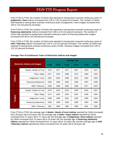<span id="page-18-0"></span>From FY05 to FY09, the number of Clerks that reported to having back scanned continuous years of **judgments / liens** indices increased from 105 to 119 (13 percent increase). The number of Clerks that reported to having back scanned continuous years of judgments / liens images increased from 100 to 116 (16 percent increase).

From FY05 to FY09, the number of Clerks that reported to having back scanned continuous years of **financing statements** indices increased from 100 to 115 (15 percent increase). The number of Clerks that reported to having back scanned continuous years of financing statements images increased from 80 to 104 (30 percent increase).

From FY05 to FY09, the number of Clerks that reported to having back scanned continuous years of **wills / fiduciary** indices increased from 102 to 114 (12 percent increase). The number of Clerks that reported to having back scanned continuous years of wills / fiduciary images increased from 100 to 112 (12 percent increase).

|         |                                      | <b>Average Year</b> |             |             |             |             |             |  |  |  |
|---------|--------------------------------------|---------------------|-------------|-------------|-------------|-------------|-------------|--|--|--|
|         | <b>Electronic Indices and Images</b> | <b>FY04</b>         | <b>FY05</b> | <b>FY06</b> | <b>FY07</b> | <b>FY08</b> | <b>FY09</b> |  |  |  |
|         | Deeds / Deeds of Trust               | 1976                | 1977        | 1972        | 1967        | 1953        | 1947        |  |  |  |
|         | Plats / Maps                         | 1977                | 1978        | 1988        | 1974        | 1958        | 1932        |  |  |  |
| Indices | Judgments / Liens                    | 1991                | 1994        | 1988        | 1993        | 1993        | 1990        |  |  |  |
|         | <b>Financing Statements</b>          | 1993                | 1996        | 1993        | 1996        | 1997        | 1996        |  |  |  |
|         | Wills / Fiduciary                    | 1988                | 1990        | 1996        | 1986        | 1977        | 1970        |  |  |  |
|         | Deeds / Deeds of Trust               | 1978                | 1978        | 1976        | 1958        | 1955        | 1947        |  |  |  |
|         | Plats / Maps                         | 1971                | 1963        | 1992        | 1997        | 1946        | 1944        |  |  |  |
| Images  | Judgments / Liens                    | 1998                | 1998        | 1991        | 2000        | 1995        | 1994        |  |  |  |
|         | <b>Financing Statements</b>          | 1999                | 1999        | 1998        | 1985        | 2000        | 1999        |  |  |  |
|         | Wills / Fiduciary                    | 1991                | 1995        | 1999        | 1985        | 1981        | 1969        |  |  |  |

# **Average Year of Continuous Years of Electronic Indices and Images**

From FY04 to FY09, the average age of **deeds / deeds of trust indices** reported by Clerks increased from 28 years old to 62 years old; the average age of **plats / maps indices** reported by Clerks increased from 27 years old to 77 years old; the average age of **judgments / liens indices** reported by Clerks increased from 13 years old to 19 years old; the average age of **financing statement indices** reported by Clerks increased from 11 years old to 15 years old; and the average age of **wills / fiduciary indices** reported by Clerks increased from 16 years old to 39 years old.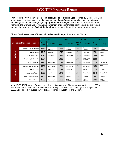<span id="page-19-0"></span>From FY04 to FY09, the average age of **deeds/deeds of trust images** reported by Clerks increased from 26 years old to 62 years old; the average age of **plats/maps images** increased from 33 years old to 65 years old; the average age of **judgments/liens images** increased from 6 years old to 15 years old; the average age of **financing statement images** increased from 5 years old to 10 years old; and the average age of **wills/fiduciary images** increased from 13 years old to 40 years old.

|                                      |                             |                       | <b>FY06</b>       |                       | <b>FY07</b>       |                       | <b>FY08</b>             | <b>FY09</b>           |                   |
|--------------------------------------|-----------------------------|-----------------------|-------------------|-----------------------|-------------------|-----------------------|-------------------------|-----------------------|-------------------|
| <b>Electronic Indices and Images</b> |                             | <b>Oldest</b><br>Year | Locality          | <b>Oldest</b><br>Year | <b>Locality</b>   | <b>Oldest</b><br>Year | Locality                | <b>Oldest</b><br>Year | Locality          |
|                                      | Deeds / Deeds of Trust      | 1653                  | West-<br>moreland | 1653                  | West-<br>moreland | 1653                  | West-<br>moreland       | 1653                  | West-<br>moreland |
| <b>Indices</b>                       | Plats / Maps                | 1742                  | Fairfax Co        | 1742                  | Fairfax Co        | 1742                  | Fairfax Co              | 1734                  | Orange            |
|                                      | Judgments / Liens           | 1939                  | Chesterfield      | 1939                  | Chesterfield      | 1939                  | Chesterfield            | 1865                  | Clarke            |
|                                      | <b>Financing Statements</b> | 1984                  | Scott             | 1985                  | Alexandria        | 1985                  | Alexandria /<br>Hanover | 1985                  | Alexandria        |
|                                      | Wills / Fiduciary           | 1726                  | King George       | 1749                  | Chesterfield      | 1726                  | King George             | 1726                  | King George       |
|                                      | Deeds / Deeds of Trust      | 1721                  | King George       | 1721                  | King George       | 1721                  | King George             | 1653                  | West-<br>moreland |
|                                      | Plats / Maps                | 1742                  | Fairfax Co        | 1742                  | Fairfax Co        | 1742                  | Fairfax Co              | 1734                  | Orange            |
| <b>Images</b>                        | Judgments / Liens           | 1979                  | Russell           | 1979                  | King George       | 1843                  | Chesterfield            | 1843                  | Chesterfield      |
|                                      | <b>Financing Statements</b> | 1984                  | King George       | 1987                  | Tazewell          | 1987                  | Tazewell                | 1987                  | Tazewell          |
|                                      | Wills / Fiduciary           | 1726                  | King George       | 1653                  | West-<br>moreland | 1653                  | West-<br>moreland       | 1653                  | West-<br>moreland |

# **Oldest Continuous Year of Electronic Indices and Images Reported by Clerks**

In the FY09 TTF Progress Survey, the oldest continuous year of indices was reported to be 1653, a deed/deed of trust reported in Westmoreland County. The oldest continuous year of images was 1653, a deed/deed of trust and will/fiduciary reported in Westmoreland County.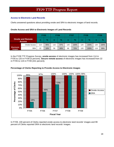# <span id="page-20-0"></span>**Access to Electronic Land Records**

Clerks answered questions about providing onsite and SRA to electronic images of land records.

# **Onsite Access and SRA to Electronic Images of Land Records**

|                                           |               | <b>FY05</b> |               |     | <b>FY06</b>   |     | <b>FY07</b>   |     | <b>FY08</b>   |     | <b>FY09</b>   |  |
|-------------------------------------------|---------------|-------------|---------------|-----|---------------|-----|---------------|-----|---------------|-----|---------------|--|
| <b>Onsite and Remote</b><br><b>Access</b> |               | n           | $\frac{1}{2}$ | n   | $\frac{9}{6}$ | n   | $\frac{9}{6}$ | n   | $\frac{1}{2}$ |     | $\frac{9}{6}$ |  |
|                                           | Onsite Access | 114         | 95%           | 116 | 97%           | 120 | 100%          | 120 | 100%          | 120 | 100%          |  |
| <b>Electronic</b><br><b>Images</b>        | <b>SRA</b>    | 22          | 18%           | 59  | 49%           | 86  | 72%           | 120 | 100%          | 119 | 99%           |  |

In the FY09 TTF Progress Survey, **onsite access** of electronic images has increased from 114 in FY05 to 120 in FY09 (5 percent). **Secure remote access** of electronic images has increased from 22 in FY05 to 119 in FY09 (441 percent).

# **Percentage of Clerks Reporting to Provide Access to Electronic Images**



In FY09, 100 percent of Clerks reported onsite access to electronic land records' images and 99 percent of Clerks reported SRA to electronic land records' images.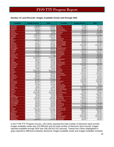### <span id="page-21-0"></span>**Number of Land Records' Images Available Onsite and through SRA**

| Locality            | <b>Onsite Access</b> | <b>SRA</b>      | <b>Locality</b>         | <b>Onsite Access</b> | <b>SRA</b> |
|---------------------|----------------------|-----------------|-------------------------|----------------------|------------|
| Accomack            | 753,000              | 730,000         | Nelson                  | 497,036              | 497,036    |
| Albemarle           | 2.339.044            | 2,339,044       | <b>New Kent</b>         | 72.000               | 72,000     |
| Alleghany           | 397,615              | 397,615         | Northampton             | 257,303              | 257,303    |
| Amelia              | 261,000              | 243.000         | Northumberland          | 379,000              | 377,000    |
| Amherst             | 78,000               | 78,000          | Nottoway                | 275,000              | 233,000    |
| Appomattox          | 290,000              | 264,000         | Orange                  | 1,376,097            | 1,376,097  |
| Arlington           | 6,500,000            | 6,500,000       | Page                    | 559,000              | 542,000    |
| Augusta             | 2,125,210            | 2,125,210       | Patrick                 | 206,121              | 206,121    |
| <b>Bath</b>         | 58,737               | 58,737          | Pittsylvania            | 378,278              | 378,278    |
| <b>Bedford</b>      | 1,920,230            | 1,740,925       | Powhatan                | 666,000              | 666,000    |
| <b>Bland</b>        | 62,711               | 62,711          | <b>Prince Edward</b>    | 426,000              | 364,000    |
| <b>Botetourt</b>    | 521,617              | 521,617         | <b>Prince George</b>    | 473,760              | 473,760    |
| <b>Brunswick</b>    | 387,969              | 387,969         | <b>Prince William</b>   | 13,558,869           | 13,558,869 |
| <b>Buchanan</b>     | 218,105              | 218,105         | Pulaski                 | 587,977              | 587,977    |
| <b>Buckingham</b>   | 264,000              | 254,000         | Rappahannock            | 228,303              | 228.303    |
| Campbell            | 824,240              | 824,240         | <b>Richmond Co</b>      | 295,000              | 285,000    |
| Caroline            | 1,039,000            | 975,000         | Roanoke Co              | 1,105,416            | 1,105,416  |
| Carroll             | 870,000              | 820,000         | Rockbridge              | 508,567              | 508,567    |
| <b>Charles City</b> | 113,551              | 113,551         | Rockingham              | 929,516              | 921,917    |
| Charlotte           | 62,730               | <b>NA</b>       | Russell                 | 720,400              | 682,400    |
| Chesterfield        | 10,300,000           | 10,300,000      | Scott                   | 2,912,652            | 2,105,025  |
| Clarke              | 480,000              | 480,000         | Shenandoah              | 769,808              | 769,808    |
| Craig               | 130,022              | 130,022         | Smyth                   | 335,698              | 335,698    |
| Culpeper            | 774,489              | 774,489         | Southampton             | 703,083              | 703,083    |
| Cumberland          | 155,000              | 155,000         | Spotsylvania            | 4.073.000            | 3,985,000  |
| Dickenson           | 138,576              | 138,576         | Stafford                | 690,844              | 690,844    |
| Dinwiddie           | 502,250              | 502,250         | Surry                   | 170,000              | 170,000    |
| <b>Essex</b>        | 65,806               | 65,806          | <b>Sussex</b>           | 200,000              | 200,000    |
| Fairfax             | 38,526,346           | 38,526,346      | <b>Tazewell</b>         | 935,571              | 935,571    |
| Fauquier            | 1,950,000            | 1,864,000       | Warren                  | 944,478              | 944,478    |
| Floyd               | 338,589              | 338,589         | Washington              | 1,147,814            | 1,147,814  |
| Fluvanna            | 800,000              | 800,000         | Westmoreland            | 270,871              | 270,871    |
| <b>Franklin Co</b>  | 546,866              | 546,866         | Wise                    | 352,672              | 352,672    |
| Frederick           | 1,094,005            | 1,094,005       | Wythe                   | 519,308              | 519,308    |
| <b>Giles</b>        | 146,000              | 133,000         | York                    | 2,369,609            | 2,369,609  |
| Gloucester          | 822,595              | 822,595         | Alexandria              | 3,850,000            | 3,850,000  |
| Goochland           | 334,011              | 334,011         | <b>Bristol</b>          | 185,024              | 185,024    |
| Grayson             | 331,306              | 331,306         | <b>Buena Vista</b>      | 99,022               | 99,022     |
| Greene              | 19,321               | 19,321          | Charlottesville         | 1,100,000            | 50,000     |
| Greensville         | 148,056              | 148,056         | Chesapeake              | 6,900,000            | 6,900,000  |
| <b>Halifax</b>      | 455,714              | 455,714         | <b>Colonial Heights</b> | 101,802              | 72,077     |
| Hanover             | 2,740,980            | 2,740,980       | Danville                | 694,212              | 694,212    |
| Henrico             | 10,000,000           | 10,000,000      | Fredericksburg          | 276,863              | 276,863    |
| Henry               | 501,854              | 501,854         | Hampton                 | 2,845,537            | 2,845,537  |
| Highland            | 46,786               | 46,786          | Hopewell                | 482,607              | 482,607    |
| Isle of Wight       | 867,583              | 867,583         | Lynchburg               | 1,482,593            | 1,482,593  |
| <b>James City</b>   | 2,563,063            | 2,563,063       | Martinsville            | 498,340              | 498,340    |
| King & Queen        | 124,792              | 124,792         | <b>Newport News</b>     | 5,455,678            | 5,455,678  |
| <b>King George</b>  | 738,500              | 738,500 Norfolk |                         | 5,426,938            | 5,426,938  |
| King William        | 248,926              |                 | 248,926 Petersburg      | 324,000              | 287,000    |
| Lancaster           | 286,608              | 286,608         | Portsmouth              | 2,837,608            | 2,837,608  |
| Lee                 | 638,947              | 638,947         | Radford                 | 140,000              | 109,000    |
| Loudoun             | 8,717,220            | 8,717,220       | <b>Richmond City</b>    | 6,451,030            | 4,247,587  |
| Louisa              | 996,869              | 996,869         | <b>Roanoke City</b>     | 1,981,481            | 1,981,481  |
| Lunenburg           | 297,233              | 297,233         | Salem                   | 286,997              | 286,997    |
| Madison             | 218,177              | 218.177         | Staunton                | 600,000              | 600,000    |
| <b>Mathews</b>      | 51,079               | 51,079          | Suffolk                 | 2,131,139            | 2.131.139  |
| Mecklenburg         | 611,279              | 611,279         | Virginia Beach          | 20,550,000           | 20,550,000 |
| <b>Middlesex</b>    | 34,248               | 34,248          | Waynesboro              | 410,289              | 410,289    |
| Montgomery          | 1,816,000            | 1,707,000       | Winchester              | 625,976              | 625,976    |

In the FY09 TTF Progress Survey, 120 Clerks reported the total number of electronic land records' images available onsite was 215,088,042 and the total number of electronic land records' images reported available through SRA was 208,195,613 (97 percent). Twenty-five Clerks (highlighted in gray) reported a difference between electronic images available onsite and images available remotely.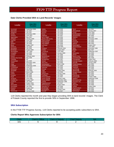# <span id="page-22-0"></span>**Date Clerks Provided SRA to Land Records' Images**

| <b>Locality</b>            | Date SRA<br><b>Provided</b> | Locality                 | <b>Date SRA</b><br><b>Provided</b> | <b>Locality</b>         | Date SRA<br><b>Provided</b> |
|----------------------------|-----------------------------|--------------------------|------------------------------------|-------------------------|-----------------------------|
| Accomack                   | September 2006              | <b>Halifax</b>           | <b>July 2008</b>                   | Scott                   | <b>July 2001</b>            |
| Albemarle                  | <b>July 2007</b>            | Hanover                  | <b>July 2008</b>                   | Shenandoah              | January 2007                |
| Alleghany                  | <b>July 2007</b>            | Henrico                  | <b>July 2008</b>                   | Smyth                   | <b>June 2006</b>            |
| Amelia                     | December 2006               | Henry                    | <b>July 2008</b>                   | Southampton             | <b>June 2006</b>            |
| Amherst                    | <b>June 2007</b>            | Highland                 | <b>July 2007</b>                   | Spotsylvania            | <b>July 2006</b>            |
| Appomattox                 | <b>May 2007</b>             | <b>Isle of Wight</b>     | <b>July 2006</b>                   | <b>Stafford</b>         | May 2005                    |
| Arlington                  | January 2000                | <b>James City County</b> | <b>July 2008</b>                   | Surry                   | December 2006               |
| Augusta                    | <b>June 2008</b>            | King & Queen             | <b>July 2008</b>                   | <b>Sussex</b>           | <b>July 2006</b>            |
| <b>Bath</b>                | <b>July 2006</b>            | <b>King George</b>       | <b>July 2006</b>                   | <b>Tazewell</b>         | <b>July 2008</b>            |
| <b>Bedford</b>             | <b>July 2008</b>            | <b>King William</b>      | <b>July 2008</b>                   | Warren                  | May 2004                    |
| <b>Bland</b>               | August 2007                 | Lancaster                | <b>July 2008</b>                   | Washington              | August 2007                 |
| <b>Botetourt</b>           | <b>July 2008</b>            | Lee                      | April 2006                         | Westmoreland            | <b>June 2008</b>            |
| <b>Brunswick</b>           | <b>July 2006</b>            | Loudoun                  | February 2004                      | Wise                    | November 1998               |
| <b>Buchanan</b>            | August 2005                 | Louisa                   | August 2007                        | Wythe                   | May 2007                    |
| <b>Buckingham</b>          | <b>July 2008</b>            | Lunenburg                | June $2008$                        | York                    | September 2007              |
| Campbell                   | <b>July 2008</b>            | Madison                  | January 2009                       | Alexandria              | <b>July 2008</b>            |
| Caroline                   | <b>July 2006</b>            | <b>Mathews</b>           | <b>July 2006</b>                   | <b>Bristol</b>          | <b>July 2006</b>            |
| Carroll                    | February 2002               | Mecklenburg              | <b>July 2008</b>                   | <b>Buena Vista</b>      | <b>July 2007</b>            |
| <b>Charles City County</b> | May 2008                    | <b>Middlesex</b>         | <b>July 2008</b>                   | Charlottesville         | May 2008                    |
| Charlotte                  | <b>NA</b>                   | Montgomery               | May 2007                           | Chesapeake              | August 2007                 |
| Chesterfield               | <b>July 2008</b>            | <b>Nelson</b>            | <b>July 2008</b>                   | <b>Colonial Heights</b> | February 2000               |
| Clarke                     | December 2005               | <b>New Kent</b>          | <b>July 2006</b>                   | Danville                | January 2005                |
| Craig                      | <b>July 2008</b>            | Northampton              | March 2006                         | Fredericksburg          | <b>July 2006</b>            |
| Culpeper                   | September 2006              | Northumberland           | <b>July 2008</b>                   | Hampton                 | <b>May 2006</b>             |
| Cumberland                 | <b>June 2007</b>            | Nottoway                 | <b>July 2006</b>                   | Hopewell                | <b>July 2008</b>            |
| <b>Dickenson</b>           | <b>July 2008</b>            | Orange                   | <b>July 2006</b>                   | Lynchburg               | <b>July 2008</b>            |
| <b>Dinwiddie</b>           | <b>June 2008</b>            | Page                     | August 2006                        | <b>Martinsville</b>     | February 2000               |
| <b>Essex</b>               | March 2006                  | <b>Patrick</b>           | <b>July 2008</b>                   | <b>Newport News</b>     | <b>July 2000</b>            |
| Fairfax                    | May 1999                    | Pittsylvania             | January 2008                       | <b>Norfolk</b>          | <b>July 2004</b>            |
| Fauguier                   | <b>July 2006</b>            | Powhatan                 | <b>July 2006</b>                   | Petersburg              | <b>July 2008</b>            |
| Floyd                      | <b>July 2006</b>            | <b>Prince Edward</b>     | <b>July 2007</b>                   | Portsmouth              | October 2006                |
| Fluvanna                   | <b>June 2006</b>            | <b>Prince George</b>     | January 2006                       | Radford                 | September 2008              |
| <b>Franklin Co</b>         | August 2007                 | <b>Prince William</b>    | December 2001                      | <b>Richmond City</b>    | <b>July 2008</b>            |
| Frederick                  | <b>July 2006</b>            | Pulaski                  | September 1998                     | <b>Roanoke City</b>     | <b>July 2008</b>            |
| <b>Giles</b>               | August 2008                 | Rappahannock             | <b>July 2007</b>                   | Salem                   | <b>July 2008</b>            |
| Gloucester                 | January 2007                | <b>Richmond Co</b>       | August 2008                        | <b>Staunton</b>         | <b>July 2008</b>            |
| Goochland                  | <b>July 2006</b>            | Roanoke Co               | <b>July 2008</b>                   | Suffolk                 | August 2006                 |
| Grayson                    | August 2007                 | Rockbridge               | <b>July 2008</b>                   | <b>Virginia Beach</b>   | <b>July 2002</b>            |
| Greene                     | <b>July 2008</b>            | Rockingham               | October 2006                       | Waynesboro              | <b>July 2008</b>            |
| Greensville                | January 2008                | <b>Russell</b>           | <b>July 2007</b>                   | Winchester              | <b>July 2006</b>            |

119 Clerks reported the month and year they began providing SRA to land records' images. The Clerk of Pulaski County reported the first to provide SRA in September 1998.

### **SRA Subscription**

In the FY09 TTF Progress Survey, 119 Clerks reported to be accepting public subscribers to SRA.

# **Clerks Report Who Approves Subscription for SRA**

| $T$ ark | Clerk's Office | <b>Clerk &amp; Deputy</b> | Chief Deputy | NΑ |
|---------|----------------|---------------------------|--------------|----|
| 101     |                |                           |              |    |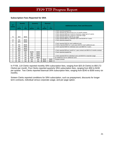### <span id="page-23-0"></span>**Subscription Fees Reported for SRA**

| #             |              | <b>Monthly</b> |           | Quarterly | <b>Biannual</b>    |       |                                                                                                                                                                                                                                                                       |
|---------------|--------------|----------------|-----------|-----------|--------------------|-------|-----------------------------------------------------------------------------------------------------------------------------------------------------------------------------------------------------------------------------------------------------------------------|
| <b>Clerks</b> | <b>Month</b> | Year           | Quarter   | Year      | 6<br><b>Months</b> | Year  | <b>Additional Users, Fees and Discounts</b>                                                                                                                                                                                                                           |
| 72            | \$50         | \$600          |           |           |                    |       | Clerk reported prepaid fee.<br>Clerk reported 5% discount for 6 or 12 month contract.<br>1 Clerk reported \$200 per month for business usage (up to 5 users).<br>1 Clerk reported \$100 per month for corporate usage.<br>1 Clerk reported option of \$0.50 per page. |
| 12            | <b>NA</b>    | \$600          |           |           |                    |       | Clerk reported \$600 for individual users and \$1200 for 4 users.<br>1 Clerk reported prepaid fee.                                                                                                                                                                    |
| 9             | \$25         | \$300          |           |           |                    |       |                                                                                                                                                                                                                                                                       |
| 8             | <b>NA</b>    | \$500          |           |           |                    |       | 1 Clerk reported \$100 for each additional user.<br>2 Clerks reported \$500 for 3 users plus \$100 for each additional user.                                                                                                                                          |
| 7             | <b>NA</b>    | \$300          |           |           |                    |       | 1 Clerk reported \$300 for individual users and \$600 for 2 users.                                                                                                                                                                                                    |
| 2             | \$35         | \$420          |           |           |                    |       |                                                                                                                                                                                                                                                                       |
| 2             | \$30         | \$360          |           |           |                    |       | Clerk reported \$30 per month for 1 year contract and \$50 for 6 months contract.                                                                                                                                                                                     |
| 2             | <b>NA</b>    | <b>NA</b>      | \$105     | \$400     |                    |       | 1 Clerk reported prepaid fee.                                                                                                                                                                                                                                         |
|               | <b>NA</b>    | <b>NA</b>      | \$50      | \$200     |                    |       |                                                                                                                                                                                                                                                                       |
|               | <b>NA</b>    | <b>NA</b>      | \$75      | \$300     |                    |       | 1 Clerk reported \$75 for individual users and \$150 for corporate usage.                                                                                                                                                                                             |
|               | <b>NA</b>    | <b>NA</b>      | \$150     | \$600     |                    |       | No additional cost for additional users.                                                                                                                                                                                                                              |
|               | <b>NA</b>    | <b>NA</b>      | <b>NA</b> | <b>NA</b> | \$240              | \$480 | Prepaid contract.                                                                                                                                                                                                                                                     |
|               | <b>NA</b>    | <b>NA</b>      | <b>NA</b> | <b>NA</b> | \$300              | \$600 |                                                                                                                                                                                                                                                                       |

In FY09, 119 Clerks reported monthly SRA subscription fees, ranging from \$25 (9 Clerks) to \$50 (72 Clerks) per month. Five Clerks reported quarterly SRA subscription fees, ranging from \$50 to \$150 per quarter. Two Clerks reported biannual SRA subscription fees, ranging from \$240 to \$300 every six months.

Sixteen Clerks reported conditions for SRA subscription, such as prepayment, discounts for longer term contracts, individual versus corporate usage, and per page option.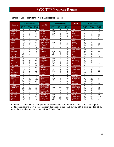| Number of Subscribers for SRA to Land Records' Images |
|-------------------------------------------------------|
|-------------------------------------------------------|

| <b>Locality</b>     | # Subscribers    |                 |                 | <b>Locality</b>       |                 | # Subscribers           |                 | Locality                | # Subscribers           |                 |                 |
|---------------------|------------------|-----------------|-----------------|-----------------------|-----------------|-------------------------|-----------------|-------------------------|-------------------------|-----------------|-----------------|
|                     | <b>FY07</b>      | <b>FY08</b>     | <b>FY09</b>     |                       | <b>FY07</b>     | <b>FY08</b>             | <b>FY09</b>     |                         | <b>FY07</b>             | <b>FY08</b>     | <b>FY09</b>     |
| Accomack            | 8                | 6               | 18              | <b>Halifax</b>        | N/A             | 4                       | 9               | <b>Scott</b>            | 5                       | 12              | 15              |
| Albemarle           | 8                | 29              | $\overline{41}$ | Hanover               | N/A             | $\overline{12}$         | 45              | Shenandoah              | $\overline{21}$         | $\overline{24}$ | $\overline{32}$ |
| Alleghany           | $\overline{2}$   | 5               | 10              | Henrico               | N/A             | 9                       | 88              | Smyth                   | 6                       | 12              | 9               |
| Amelia              | $\Omega$         | $\Omega$        | 3               | Henry                 | N/A             | $\Omega$                | 1               | Southampton             | 10                      | 22              | $\overline{18}$ |
| Amherst             | $\overline{2}$   | 10              | 15              | Highland              | 0               | $\mathbf 0$             | 0               | Spotsylvania            | 31                      | $\overline{54}$ | 60              |
| Appomattox          | $\mathbf 0$      | 0               | 1               | <b>Isle of Wight</b>  | $\overline{13}$ | 15                      | $\overline{21}$ | <b>Stafford</b>         | $\overline{34}$         | 54              | 60              |
| Arlington           | $\overline{300}$ | 368             | 246             | James City Co         | 0               | $\overline{\mathbf{4}}$ | $\overline{15}$ | Surry                   | 0                       | 1               | 1               |
| Augusta             | N/A              | 13              | 23              | King & Queen          | N/A             | $\mathbf 0$             | 1               | <b>Sussex</b>           | 0                       | 0               | $\Omega$        |
| <b>Bath</b>         | $\Omega$         | 0               | 0               | <b>King George</b>    | 23              | $\overline{25}$         | 20              | <b>Tazewell</b>         | N/A                     | $\overline{11}$ | 19              |
| <b>Bedford</b>      | $\mathbf 0$      | 7               | 17              | <b>King William</b>   | 0               | $\mathbf{1}$            | 1               | Warren                  | 38                      | 40              | 45              |
| <b>Bland</b>        | $\mathbf 0$      | $\mathbf 0$     | 0               | Lancaster             | 3               | 3                       | 3               | Washington              | 0                       | 6               | 6               |
| <b>Botetourt</b>    | N/A              | 4               | 5               | Lee                   | 17              | 17                      | 18              | Westmoreland            | N/A                     | 0               | $\mathbf{1}$    |
| <b>Brunswick</b>    | 1                | $\overline{2}$  | 3               | Loudoun               | 205             | 451                     | 399             | Wise                    | 46                      | 44              | 44              |
| <b>Buchanan</b>     | 1                | 4               | 5               | Louisa                | $\overline{2}$  | 8                       | 15              | Wythe                   | $\overline{7}$          | 14              | 9               |
| <b>Buckingham</b>   | N/A              | 0               | 1               | Lunenburg             | N/A             | 3                       | 2               | York                    | N/A                     | 30              | 36              |
| Campbell            | N/A              | $\overline{2}$  | $\overline{7}$  | <b>Madison</b>        | 0               | $\mathbf 0$             | 3               | Alexandria              | N/A                     | $\overline{21}$ | $\overline{77}$ |
| Caroline            | 10               | 12              | $\overline{12}$ | <b>Mathews</b>        | N/A             | $\Omega$                | 0               | <b>Bristol</b>          | 0                       | $\mathbf{0}$    | $\Omega$        |
| Carroll             | 38               | 38              | 36              | Mecklenburg           | N/A             | $\overline{7}$          | 19              | <b>Buena Vista</b>      | $\overline{0}$          | $\overline{2}$  | 4               |
| Charles City Co     | $\mathbf 0$      | 0               | 0               | <b>Middlesex</b>      | N/A             | $\mathbf 0$             | 0               | Charlottesville         | N/A                     | 0               | 3               |
| Charlotte           | $\mathbf 0$      | $\mathbf{1}$    | <b>NA</b>       | Montgomery            | 1               | 23                      | $\overline{32}$ | Chesapeake              | 16                      | $\overline{55}$ | 100             |
| Chesterfield        | 21               | 22              | 86              | <b>Nelson</b>         | N/A             | 3                       | 4               | <b>Colonial Heights</b> | 0                       | 1               | $\mathbf{1}$    |
| Clarke              | N/A              | 41              | 48              | <b>New Kent</b>       | $\Omega$        | $\overline{2}$          | 6               | <b>Danville</b>         | $\overline{17}$         | $\overline{18}$ | 18              |
| Craig               | N/A              | $\mathbf 0$     | $\overline{2}$  | Northampton           | 80              | $\overline{35}$         | $\overline{35}$ | Fredericksburg          | $\overline{4}$          | 6               | 9               |
| Culpeper            | 9                | $\overline{14}$ | 21              | Northumberland        | N/A             | $\mathbf 0$             | $\overline{2}$  | <b>Hampton</b>          | $\overline{\mathbf{4}}$ | 3               | $\overline{25}$ |
| Cumberland          | 0                | 0               | 2               | Nottoway              | 0               | 3                       | 0               | Hopewell                | N/A                     | 0               | $\mathbf{1}$    |
| <b>Dickenson</b>    | $\mathbf 0$      | $\mathbf 0$     | 1               | Orange                | 15              | 23                      | 29              | Lynchburg               | N/A                     | 3               | 4               |
| <b>Dinwiddie</b>    | $\Omega$         | 1               | 12              | Page                  | $\overline{7}$  | 12                      | 16              | <b>Martinsville</b>     | 12                      | 18              | 9               |
| <b>Essex</b>        | $\Omega$         | 0               | 0               | Patrick               | N/A             | $\mathbf 0$             | 3               | <b>Newport News</b>     | 3                       | 46              | 45              |
| <b>Fairfax Co</b>   | 2,194            | 1,164           | 1007            | Pittsylvania          | 2               | $\overline{13}$         | 14              | Norfolk                 | 340                     | 350             | 478             |
| Fauquier            | 22               | 68              | 58              | Powhatan              | $\Omega$        | 3                       | $\overline{12}$ | Petersburg              | N/A                     | $\mathbf{0}$    | 4               |
| Floyd               | 5                | 8               | 8               | <b>Prince Edward</b>  | $\Omega$        | $\mathbf 0$             | 3               | Portsmouth              | 23                      | $\overline{30}$ | 33              |
| Fluvanna            | $\mathbf 0$      | 7               | 4               | <b>Prince George</b>  | 0               | 1                       | 1               | Radford                 | 0                       | 0               | 3               |
| <b>Franklin Co</b>  | $\Omega$         | 8               | 10              | <b>Prince William</b> | 810             | 791                     | 758             | <b>Richmond City</b>    | N/A                     | 15              | 51              |
| <b>Frederick Co</b> | 106              | 120             | 93              | Pulaski               | 10              | 14                      | 12              | <b>Roanoke City</b>     | N/A                     | $\overline{2}$  | 15              |
| <b>Giles</b>        | $\Omega$         | 4               | 4               | Rappahannock          | 0               | 3                       | 5               | Salem                   | N/A                     | 1               | 5               |
| Gloucester          | 0                | 0               | 3               | <b>Richmond Co</b>    | 0               | 3                       | 5               | Staunton                | N/A                     | 8               | $\overline{12}$ |
| Goochland           | $\mathbf 0$      | $\overline{2}$  | 9               | <b>Roanoke Co</b>     | N/A             | 6                       | $\overline{20}$ | <b>Suffolk</b>          | 15                      | 9               | 41              |
| Grayson             | $\Omega$         | $\overline{22}$ | 20              | Rockbridge            | N/A             | 3                       | 11              | Virginia Beach          | 900                     | 900             | 1160            |
| Greene              | N/A              | $\mathbf 0$     | 0               | Rockingham            | 406             | 369                     | 235             | Waynesboro              | N/A                     | 1               | $\overline{2}$  |
| Greensville         | 0                | $\Omega$        | $\Omega$        | <b>Russell</b>        | N/A             | $\overline{2}$          | 4               | Winchester              | 60                      | 60              | 68              |

In the FY07 survey, 85 Clerks reported 5,910 subscribers. In the FY08 survey, 120 Clerks reported 5,723 subscribers to SRA (a three percent decrease). In the FY09 survey, 119 Clerks reported 6,221 subscribers (a nine percent increase from FY08 to FY09).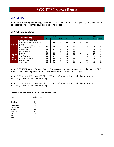### <span id="page-25-0"></span>**SRA Publicity**

In the FY09 TTF Progress Survey, Clerks were asked to report the kinds of publicity they gave SRA to land records' images in their court and to specific groups.

# **SRA Publicity by Clerks**

| <b>SRA Publicity</b>        |                                                                                 | <b>FY07</b> |           |     |     | <b>FY08</b> |     | <b>FY09</b> |           |     |
|-----------------------------|---------------------------------------------------------------------------------|-------------|-----------|-----|-----|-------------|-----|-------------|-----------|-----|
|                             |                                                                                 | Yes         | <b>No</b> | N/A | Yes | <b>No</b>   | N/A | Yes         | <b>No</b> | N/A |
| General<br><b>Publicity</b> | My office has publicized the<br>availability of SRA to land records'<br>images. | 70          | 16        | 34  | 107 | 13          | 0   | 111         | 8         |     |
|                             | My office has publicized SRA on<br>my court's website.                          | 37          | 32        | 51  | 62  | 45          | 13  | 67          | 44        | 9   |
|                             | Other publicity                                                                 | 49          | 21        | 50  | 70  | 37          | 13  | 91          | 21        | 8   |
|                             | <b>Bar Association</b>                                                          | 48          | 22        | 50  | 78  | 29          | 13  | 87          | 24        | 9   |
| <b>Publicity</b>            | <b>Realtors</b>                                                                 | 56          | 14        | 50  | 88  | 19          | 13  | 90          | 21        | 9   |
|                             | Surveyors                                                                       | 57          | 13        | 50  | 93  | 14          | 13  | 92          | 18        | 9   |
| to<br>Specific <sup>1</sup> | <b>Title Companies</b>                                                          | 61          | 9         | 50  | 98  | 9           | 13  | 98          | 13        | 9   |
| <b>Groups</b>               | <b>Financial Institutions</b>                                                   | 47          | 23        | 50  | 78  | 29          | 13  | 82          | 29        | 9   |
|                             | <b>General Public</b>                                                           | 51          | 19        | 50  | 95  | 12          | 13  | 101         | 10        | 9   |
|                             | <b>Other Groups</b>                                                             | 25          | 42        | 53  | 31  | 76          | 13  | 48          | 62        | 10  |

In the FY07 TTF Progress Survey, 70 out of the 86 Clerks (81 percent) who certified to provide SRA reported that they had publicized the availability of SRA to land records' images.

In the FY08 survey, 107 out of 120 Clerks (89 percent) reported that they had publicized the availability of SRA to land records' images.

In the FY09 survey, 111 out of 119 Clerks (93 percent) reported that they had publicized the availability of SRA to land records' images.

### **Clerks Who Provided No SRA Publicity in FY09**

| Clerk          | Subscribers |
|----------------|-------------|
| Charlotte      | ΝA          |
| Essex          | O           |
| Goochland      | 9           |
| Greensville    | O           |
| Henrico        | 88          |
| Stafford       | 60          |
| Wythe          | 9           |
| <b>Bristol</b> | ი           |
| Salem          | 5           |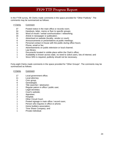In the FY09 survey, 90 Clerks made comments in the space provided for "Other Publicity". The comments may be summarized as follows:

| # Clerks | Comment                                                                             |
|----------|-------------------------------------------------------------------------------------|
| 37       | Posted notice in the main office or records room;                                   |
| 34       | Handouts, letter, memo or flyer to specific groups;                                 |
| 33       | Word of mouth / verbal communication / networking;                                  |
| 16       | Article in newspaper or publication;                                                |
| 6        | Advertised on website (locality, vendor or court);                                  |
| 6        | Announcements or presentations at public meetings;                                  |
| 5        | Personal contact in-house with the public during office hours;                      |
| 4        | Phone, email or fax;                                                                |
| 1        | Advertisements on public television or local channel;                               |
| 1        | Law library;                                                                        |
| 1        | Documents located in visible place within the Clerk's office;                       |
|          | Availability is known across state, no need to solicit users, lots of interest; and |
|          | Since SRA is required, publicity should not be necessary.                           |
|          |                                                                                     |

Forty-eight Clerks made comments in the space provided for "Other Groups". The comments may be summarized as follows:

| # Clerks       | Comment                                      |
|----------------|----------------------------------------------|
| 17             | Local government office;                     |
| 11             | Local attorney;                              |
| 6              | Civic group;                                 |
| 6              | Genealogist;                                 |
| 4              | Title searcher / abstractor;                 |
| 2              | Regular patron in office / public user;      |
| $\overline{2}$ | Legal secretary                              |
| $\overline{2}$ | Court's website;                             |
| $\overline{2}$ | Appraiser;                                   |
| $\overline{2}$ | Hospital;                                    |
| 1              | <b>Other Circuit Court;</b>                  |
| 1              | Posted signage in main office / record room; |
| 1              | Person who inquires in office or phone;      |
| 1              | Home builders association;                   |
| 1              | Time Share Company; and                      |
| 1              | Private individual.                          |
|                |                                              |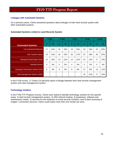### <span id="page-27-0"></span>**Linkages with Automated Systems**

As in previous years, Clerks answered questions about linkages of their land records system with other automated systems.

# **Automated Systems Linked to Land Records System**

|                                            |              | <b>FY05</b>   |    | <b>FY06</b>   |             | <b>FY07</b>   |                | <b>FY08</b> |             | <b>FY09</b>   |
|--------------------------------------------|--------------|---------------|----|---------------|-------------|---------------|----------------|-------------|-------------|---------------|
| <b>Automated Systems</b>                   | $\mathsf{n}$ | $\frac{9}{6}$ |    | $\frac{1}{2}$ | $\mathbf n$ | $\frac{9}{6}$ | $\mathbf n$    | $\%$        | $\mathbf n$ | $\frac{9}{6}$ |
| <b>Tax Assessment Records</b>              | 17           | 14%           | 19 | 16%           | 19          | 16%           | 18             | 15%         | 24          | 20%           |
| <b>Title Transfer History</b>              | 16           | 13%           | 18 | 15%           | 20          | 17%           | 22             | 18%         | 26          | 22%           |
| <b>Delinquent Real Estate Taxes</b>        | 15           | 13%           | 13 | 12%           | 14          | 12%           | 15             | 13%         | 17          | 14%           |
| <b>Building Permits</b>                    | 3            | 3%            | 4  | 3%            | 4           | 3%            | $\overline{4}$ | 3%          | 5           | 4%            |
| <b>Geological Information System (GIS)</b> | 5            | 4%            | 6  | 5%            | 9           | 8%            | 11             | 9%          | 13          | 12%           |
| Case Management System (CMS)               |              |               |    |               |             |               | 16             | 13%         | 17          | 14%           |

In the FY09 survey, 17 Clerks (14 percent) report a linkage between their land records management system and case management system

### **Technology Vendors**

In the FY09 TTF Progress Survey, Clerks were asked to identify technology vendors for five specific areas: 1) land records management system, 2) SRA internet hosting, 3) equipment, software and maintenance needs, 4) services for the redaction of social security numbers, and 5) back scanning of images / conversion services. Clerks could report more than one vendor per area.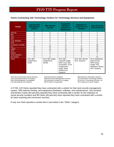# <span id="page-28-0"></span>**Clerks Contracting with Technology Vendors for Technology Services and Equipment**

| <b>Vendor</b>        | <b>Land Records</b><br><b>Management</b><br><b>System</b> | <b>SRA Internet</b><br><b>Hosting</b>      | <b>Equipment:</b><br>Hardware,<br>Software, &<br><b>Maintenance</b>                                                          | <b>Redaction of</b><br><b>Social Security</b><br><b>Numbers</b> | <b>Back Scanning</b><br>and Conversion                                                           |
|----------------------|-----------------------------------------------------------|--------------------------------------------|------------------------------------------------------------------------------------------------------------------------------|-----------------------------------------------------------------|--------------------------------------------------------------------------------------------------|
| AmCad                | 5                                                         | 5                                          | 6                                                                                                                            | 6                                                               | 7                                                                                                |
| <b>BIS</b>           | 0                                                         | 0                                          | 0                                                                                                                            | 0                                                               | $\overline{c}$                                                                                   |
| Cott                 | $\overline{7}$                                            | 6                                          | ⇁                                                                                                                            | 5                                                               | 7                                                                                                |
| <b>CSI</b>           | 0                                                         | 0                                          | 0                                                                                                                            | 2                                                               | 0                                                                                                |
| C.W. Warthen         | 0                                                         | 0                                          | 0                                                                                                                            | 0                                                               | 5                                                                                                |
| <b>DTS</b>           | 2                                                         |                                            | $\overline{c}$                                                                                                               | $\overline{c}$                                                  | $\overline{2}$                                                                                   |
| In-House / Locality  | 2                                                         | 6                                          | 8                                                                                                                            |                                                                 | 18                                                                                               |
| ILS.                 | 18                                                        | 18                                         | 17                                                                                                                           | 17                                                              | 18                                                                                               |
| Logan                | 12                                                        | 11                                         | 11                                                                                                                           | 10                                                              | 16                                                                                               |
| <b>SCV</b>           | 72                                                        | 73                                         | 73                                                                                                                           | 69                                                              | 24                                                                                               |
| <b>Sutton</b>        | 0                                                         | 0                                          | 0                                                                                                                            | 0                                                               | 2                                                                                                |
| <b>Unity Systems</b> | 0                                                         |                                            | 2                                                                                                                            | 2                                                               |                                                                                                  |
| No Vendor            | 0                                                         | 0                                          | $\Omega$                                                                                                                     |                                                                 | 21                                                                                               |
| Other                | ACS, BIS,<br>ImageVision,<br>Nortel                       | ACS, BIS, Eagle,<br>ImageVision,<br>Mixnet | ACS, BIS,<br>Carasoft, Eagle,<br>EMC Corp, ESI,<br>Govolution, GTSI,<br>ImageVision,<br>Inego, Wide<br>Scanners &<br>Systems | ACS, BIS, Mixnet,<br>W.R. Systems                               | ACS, Databanks,<br>Data Ensure,<br>DRS Group,<br>Image That,<br>Meadows, Mixnet,<br>W.R. Systems |

ACS=ACS Government Record Services AmCad=American Cadastre BIS=Business Information Systems CSI=Computing Systems Innovations DMS=Document Management Services DTS=Document Technology Systems EMC=ElectroMagnetic Compatibility ESI=Electronic Solutions for Imaging GTSI=Gov't Technology Services, Inc.

ILS=International Land Systems MSTC=MSTC Incorporated SCV=Supreme Court of Virginia

In FY09, 120 Clerks reported they have contracted with a vendor for their land records management system, SRA internet hosting, and equipment (hardware, software, and maintenance). One hundred and thirteen Clerks (94 percent) reported they have contracted with a vendor for the redaction of social security numbers and 99 Clerks (83 percent) have reported they have contracted with a vendor for back scanning and conversion services.

If only one Clerk reported a vendor then it was listed in the "Other" category.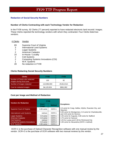### <span id="page-29-0"></span>**Redaction of Social Security Numbers**

### **Number of Clerks Contracting with each Technology Vendor for Redaction**

In the FY09 survey, 92 Clerks (77 percent) reported to have redacted electronic land records' images. These Clerks reported the technology vendors with whom they contracted. Four Clerks listed two vendors.

### # Clerks Vendor

- 69 Supreme Court of Virginia
- 3 International Land Systems
- 7 Logan Systems<br>2 American Cadas
- American Cadastre
- 10 In-House / Locality
- 2 Cott Systems
- 2 Computing Systems Innovations (CSI)
- 1 W.R. Systems
- 28 No redaction in FY09

### **Clerks Redacting Social Security Numbers**

| <b>Clerks</b>                                              | <b>FY08</b> | FY09       |
|------------------------------------------------------------|-------------|------------|
| Number of Clerks who redacted<br>images during fiscal year | 105         | 92         |
| Number of images redacted                                  | 110,996,593 | 29,814,512 |
| Cost for redacted images                                   | \$4,120,924 | \$961,902  |

### **Cost per Image and Method of Redaction**

|                                      | <b>FY09</b>     |               |                                                                                          |
|--------------------------------------|-----------------|---------------|------------------------------------------------------------------------------------------|
| <b>Vendors for Redaction</b>         | Cost /<br>Image | <b>Method</b> | <b>Exceptions:</b>                                                                       |
| Supreme Court of Virginia            | 3.35 cents      | $OCR+1$       | 4.0 cents for Craig, Halifax, Wythe, Roanoke City, and<br>Staunton                       |
| <b>International Land Systems</b>    | various         | $OCR+1$       | 0.00 cents for Montgomery; 3.0 cents for Charlottesville;<br>and 3.30 cents for Henrico. |
| <b>Logan Systems</b>                 | 4.0 cents       | OCR+1         | 3.35 cents for Augusta; 3.80 cents for Stafford                                          |
| <b>American Cadastre</b>             | 4.0 cents       | OCR+1         | 3.70 cents for Hanover                                                                   |
| <b>Cott Systems</b>                  | various         | OCR+1         | 3.25 for Louisa and 3.39 for Richmond City                                               |
| <b>Computing Systems Innovations</b> | 4.0 cents       | OCR+2         | 3.35 cents for Alexandria (OCR+1 method)                                                 |
| W.R. Systems                         | 2.65 cents      | $OCR+1$       |                                                                                          |

 OCR+1 is the purchase of Optical Character Recognition software with one manual review by the vendor. OCR+2 is the purchase of OCR software with two manual reviews by the vendor.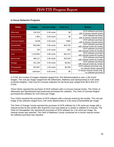### <span id="page-30-0"></span>**In-House Redaction Programs**

| <b>Clerks</b>           | # Images  | <b>Cost per Image</b> | <b>Total Cost</b> | <b>Method</b>                                            |
|-------------------------|-----------|-----------------------|-------------------|----------------------------------------------------------|
| Albemarle               | 124,224   | $0.00$ cents          | \$0               | OCR software purchase<br>with In-House manual review     |
| Spotsylvania            | 1,961     | $0.00$ cents          | \$0               | OCR software purchase<br>with In-House manual review     |
| <b>Colonial Heights</b> | 9,538     | 4.00 cents            | \$382             | OCR software purchase<br>with In-House manual review     |
| <b>Chesterfield</b>     | 563,000   | 3.50 cents            | \$19,705          | OCR software purchase<br>with manual review by locality  |
| Westmoreland            | 764       | $3.25$ cents          | \$25              | OCR software purchase<br>with manual review by locality  |
| York                    | 1,103,991 | 2.86 cents            | \$31,574          | OCR software purchase<br>with manual review by locality  |
| <b>Martinsville</b>     | 369,117   | 2.85 cents            | \$10,520          | OCR software purchase<br>with manual review by locality  |
| Orange                  | 101,226   | 3.35 cents            | \$3,391           | OCR software purchase<br>with manual review by vendor    |
| Chesapeake              | 322,857   | $1.64$ cents          | \$5,295           | OCR software purchase only,<br>no manual review reported |
| <b>Mathews</b>          | unknown   | $0.00$ cents          | \$0               | In-House manual review only,<br>no software purchase     |

In FY09, the number of images redacted ranged from 764 (Westmoreland) to over 1.1M (York) images. The cost per image ranged from \$0 (Albemarle, Mathews and Spotsylvania) to 4.00 cents (Colonial Heights). Total cost for in-house redaction for the fiscal year ranged from \$0 to \$31,574 (York).

Three Clerks reported the purchase of OCR software with a in-house manual review. The Clerks of Albemarle and Spotsylvania had previously purchased the software. The Clerk of Colonial Heights purchased the software for 4.00 cents per image.

Four Clerks reported the purchase of OCR software with a manual review by the locality. The cost per image of the software ranged from 2.85 cents (Martinsville) to 3.50 cents (Chesterfield) per image.

The Clerk of Orange County reported the purchase of OCR software for 3.35 cents per image with a manual review by the vendor (the Supreme Court was listed as a vendor in addition to in-house). The Clerk of Chesapeake City reported the purchase of OCR software for 1.64 cents per image. No manual review was reported. The Clerk of Mathews County conducted an in-house manual review. No software purchase was reported.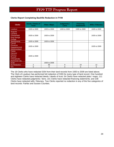# <span id="page-31-0"></span>**Clerks Report Completing Backfile Redaction in FY09**

| <b>Clerks</b>                                                                                      | Deeds / Deeds of<br><b>Trust</b> | <b>Plats / Maps</b> | Judgments /<br>Liens | <b>Financing</b><br><b>Statements</b> | <b>Wills / Fiduciary</b> |
|----------------------------------------------------------------------------------------------------|----------------------------------|---------------------|----------------------|---------------------------------------|--------------------------|
| Loudoun                                                                                            | 1935 to 2009                     | 1935 to 2009        | 1935 to 2009         | 1935 to 2009                          | 1935 to 2009             |
| Augusta<br>Caroline<br>Chesterfield<br><b>King George</b><br>Orange                                | 1935 to 2009                     | 1935 to 2009        |                      |                                       | 1935 to 2009             |
| Spotsylvania                                                                                       | 1935 to 2009                     | 1935 to 2009        |                      |                                       |                          |
| Carroll<br><b>Fluvanna</b><br>Rappahannock<br>Westmoreland                                         | 1935 to 2009                     |                     |                      |                                       | 1935 to 2009             |
| <b>Clarke</b><br>Hanover<br><b>Henrico</b><br><b>Russell</b><br>Chesapeake<br><b>Richmond City</b> | 1935 to 2009                     |                     |                      |                                       |                          |
| <b>Scott</b>                                                                                       |                                  | 1935 to 2009        |                      |                                       |                          |
| No Redaction                                                                                       | $\overline{c}$                   | 66                  | 9                    | 19                                    | 12                       |
| N/A                                                                                                | 0                                | 0                   | 0                    | 0                                     | 0                        |

The 18 Clerks who have redacted SSN from their land records from 1935 to 2009 are listed above. The Clerk of Loudoun has performed full redaction of SSN for every type of land record. One hundred and eighteen Clerks have redacted deeds / deeds of trust; 54 Clerks have redacted plats / maps; 111 Clerks have redacted judgments / liens; 101 Clerks have redacted financing statements; and 108 Clerks have redacted wills / fiduciary. Two Clerks reported no redaction in any of the five categories of land records: Fairfax and Sussex Counties.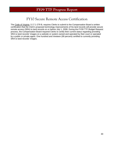# FY10 Secure Remote Access Certification

<span id="page-32-0"></span>The Code of Virginia, § 17.1-279 B, requires Clerks to submit to the Compensation Board a written certification that the Clerk's proposed technology improvements of his land records will provide secure remote access (SRA) to land records on or before July 1, 2008. During the FY09 TTF Budget Request process, the Compensation Board required Clerks to certify their current status regarding providing SRA to land records' images on a website or system owned and operated by their court or operated by a public or private agent. One hundred and nineteen (99 percent) certified to currently providing SRA to land records' images.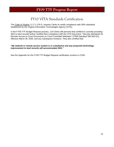# FY10 VITA Standards Certification

<span id="page-33-0"></span>The Code of Virginia, § 17.1-279 D, requires Clerks to certify compliance with SRA standards established by the Virginia Information Technologies Agency (VITA).

In the FY09 TTF Budget Request process, 119 Clerks (99 percent) that certified to currently providing SRA to land records further certified their compliance with the VITA document, "Security Standards for Remote Access to Court Documents on Court-Controlled Websites" (ITRM Standard SEC503-02), effective March 28, 2005, and any subsequent revisions. They also certified that:

### *"My website or remote access system is in compliance and any proposed technology improvement to land records will accommodate SRA."*

See the Appendix for the FY09 TTF Budget Request certification screens in COIN.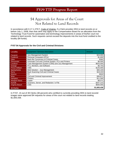# \$4 Approvals for Areas of the Court Not Related to Land Records

<span id="page-34-0"></span>In accordance with § 17.1-279 F, Code of Virginia, if a Clerk provides SRA to land records on or before July 1, 2008, then that clerk may apply to the Compensation Board for an allocation from the Technology Trust Fund for automation and technology improvements in areas of his/her court not related to land records. Such requests cannot exceed the deposits into the trust fund credited to the locality (\$4 funds).

# **FY07 \$4 Approvals for the Civil and Criminal Divisions**

| Locality              | <b>Equipment / Services Description</b>              | <b>Amount</b> |
|-----------------------|------------------------------------------------------|---------------|
| Fauguier              | Jury Management System                               | \$15,000      |
| <b>Frederick</b>      | Personal Computers (PCs)                             | \$1,600       |
| Giles                 | <b>Back-file Conversion of Criminal Cases</b>        | \$360         |
| Gloucester            | Automate Civil and Criminal System, PCs and Printers | \$6,500       |
| Loudoun               | Case Management System (CMS) and Jury Management     | \$625,000     |
| Orange                | PCs, Monitors, and Software                          | \$6,703       |
| <b>Prince William</b> | <b>CMS</b>                                           | \$125,000     |
| Spotsylvania          | Web Solution - Jury Management                       | \$40,100      |
| Surry                 | <b>Back Scanning Civil and Criminal Cases</b>        | \$19,433      |
| Warren                | PC.                                                  | \$500         |
| Wise                  | Civil and Criminal Improvement                       | \$36,871      |
| <b>Hampton</b>        | <b>Printers</b>                                      | \$11,590      |
| <b>Newport News</b>   | Copier                                               | \$9,571       |
| <b>Norfolk</b>        | Scanners, Server, and Redaction / e-File             | \$207,210     |
| Virginia Beach        | <b>CMS</b>                                           | \$500,000     |
| <b>15 Clerks</b>      |                                                      | \$1,605,438   |

In FY07, 15 out of 39 Clerks (38 percent) who certified to currently providing SRA to land records' images were approved \$4 requests for areas of the court not related to land records totaling \$1,605,438.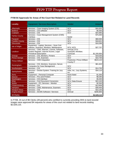# <span id="page-35-0"></span>**FY08 \$4 Approvals for Areas of the Court Not Related to Land Records**

| <b>Locality</b>        | <b>Equipment / Services Description</b>                                                                                  | <b>Vendor</b>                                | <b>Amount</b> |
|------------------------|--------------------------------------------------------------------------------------------------------------------------|----------------------------------------------|---------------|
| Albemarle              | Services - Case Imaging System (CIS)                                                                                     | SCV                                          | \$44,600      |
| <b>Bedford</b>         | Services - CIS software                                                                                                  | <b>SCV</b>                                   | \$5,000       |
| Culpeper               | Services - CIS                                                                                                           | <b>SCV</b>                                   | \$24,965      |
| <b>Fairfax County</b>  | Services - Case Management System (CMS)<br>Interface                                                                     | Nortel                                       | \$75,000      |
| Fauquier               | Services - CIS                                                                                                           | <b>SCV</b>                                   | \$68,565      |
| <b>Franklin County</b> | Services - CIS                                                                                                           | <b>SCV</b>                                   | \$18,621      |
| Gloucester             | Services - CIS                                                                                                           | <b>SCV</b>                                   | \$16,596      |
| Isle of Wight          | Equipment - Laptop; Services - Scan Civil<br>Indexes, Scanners, Monitors, Maintenance                                    | SCV; ACS                                     | \$27,757      |
| Loudoun                | Services - CMS, Warrant, License, Software,<br>System Register, Internet Access, Legal<br><b>Periodical Subscription</b> | AmCad; DTS;<br>ScanSoft; Westlaw;<br>ComCast | \$1,200,850   |
| Orange                 | Services - CIS, Monitors, Printers                                                                                       | SCV                                          | \$19,030      |
| <b>Prince George</b>   | Services - CIS, Scanners                                                                                                 | <b>SCV</b>                                   | \$10,700      |
| <b>Prince William</b>  | Services - CMS Integration                                                                                               | Praetorian; Prince William<br>County IT      | \$523,124     |
| <b>Rockingham</b>      | Services - CIS, Monitors, Scanners, Server,<br><b>Computers for Case Management</b>                                      | SCV                                          | \$61,623      |
| Southampton            | Services - CIS                                                                                                           | <b>SCV</b>                                   | \$14,750      |
| Spotsylvania           | Services - Docket System; Training for Jury<br>System                                                                    | Infax, Inc.; Jury Systems,<br>Inc.           | \$34,110      |
| <b>Surry</b>           | Equipment - Personal Computer                                                                                            | None listed                                  | \$1,500       |
| Warren                 | Services - PCs and Printers                                                                                              | SCV                                          | \$8,360       |
| Washington             | Services - CIS Interface                                                                                                 | SCV                                          | \$5,000       |
| Wise                   | Services - Civil Document Conversion                                                                                     | SCV; Data Ensure                             | \$22,245      |
| Wythe                  | Equipment - PC; Services - Monitor                                                                                       | SCV                                          | \$2,500       |
| Fredericksburg         | Services - CIS                                                                                                           | <b>SCV</b>                                   | \$13,909      |
| Hampton                | Services - CMS, Maintenance, Scanners                                                                                    | <b>SCV</b>                                   | \$39,400      |
| <b>Newport News</b>    | Services - CIS                                                                                                           | <b>SCV</b>                                   | \$10,100      |
| Virginia Beach         | Services - AICMS Software / Services                                                                                     | AmCad                                        | \$280,805     |
| 24 Clerks              |                                                                                                                          |                                              | \$2,529,110   |

In FY08, 24 out of 86 Clerks (28 percent) who certified to currently providing SRA to land records' images were approved \$4 requests for areas of the court not related to land records totaling \$2,529,110.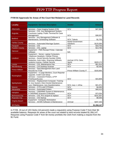#### **FY09 \$4 Approvals for Areas of the Court Not Related to Land Records**

| <b>Locality</b>        | <b>Equipment / Services Description</b>                                                                                                                                                                   | <b>Vendor</b>                         | <b>Amount</b> |
|------------------------|-----------------------------------------------------------------------------------------------------------------------------------------------------------------------------------------------------------|---------------------------------------|---------------|
| Albemarle              | Services - Case Imaging System (CIS)                                                                                                                                                                      | SCV                                   | \$47,896      |
| Augusta                | Services - CIS, Jury Management System,<br>Courtroom Laptop, Public Terminal for Case<br>Management                                                                                                       | SCV                                   | \$36,507      |
| <b>Bedford</b>         | Services - Jury Management Software &<br>Maintenance, Scheduling Software                                                                                                                                 | SCV; Telexis                          | \$1,753       |
| <b>Fairfax County</b>  | Services - Automated Marriage System                                                                                                                                                                      | <b>Nortel Government</b><br>Solutions | \$125,000     |
| Fauquier               | Services - CIS                                                                                                                                                                                            | <b>SCV</b>                            | \$18,703      |
| <b>Franklin County</b> | Services - CIS, Laptop                                                                                                                                                                                    | <b>SCV</b>                            | \$14,765      |
| Hanover                | Equipment - FMS Receipt Printer, Calendar<br>Software                                                                                                                                                     | N/A                                   | \$900         |
| Loudoun                | Equipment - Server, Laptop Computers,<br>Telephone Headsets, Cellular Phones<br>Services - Social Security Number (SSN)<br>Redaction, Auto Index, Scanning Software,<br>Systems License, Cellular Service | AmCad; DTS; Citrix;<br>Sprint         | \$320,172     |
| Louisa                 | Services - CIS, Maintenance Fee                                                                                                                                                                           | <b>SCV</b>                            | \$51,914      |
| Mecklenburg            | Services - CIS Desktop Scanner                                                                                                                                                                            | <b>SCV</b>                            | \$2,550       |
| <b>Prince William</b>  | Services - Seat Management Non Land<br>Records for FY08                                                                                                                                                   | Prince William County IT              | \$183,893     |
| Rockingham             | Equipment - 3 Large Monitors, Court Reporter<br>Upgrade, Credit Card Setup<br>Services - Casework Printers, LPTP<br>Print/Scan/Access                                                                     | SCV                                   | \$15,809      |
| Spotsylvania           | Services - Replacement Computer; Training<br>for Jury System; Elect Docket Maintenance;<br>Jury+ Maintenance; Jury Questionnaires                                                                         | SCV; Jury +; InFax                    | \$21,571      |
| Warren                 | Services - 3 PCs and 5 Printers                                                                                                                                                                           | SCV                                   | \$4,000       |
| Alexandria             | Services - Automated Orders                                                                                                                                                                               | <b>SDSC</b>                           | \$40,413      |
| Hampton                | Services - CMS/RMS System & Maintenance,<br>8 CMS/RMS Scanners & Monitors                                                                                                                                 | SCV                                   | \$73,354      |
| <b>Richmond City</b>   | Services - CIS, PCs acquire & replace                                                                                                                                                                     | <b>SCV</b>                            | \$101,507     |
| <b>Roanoke City</b>    | Services - CIS Startup                                                                                                                                                                                    | SCV                                   | \$8,000       |
| Virginia Beach         | <b>Equipment - Computer Workstation</b><br>Services - AICMS Software & Maintenance                                                                                                                        | AmCad                                 | \$287,440     |
| <b>19 Clerks</b>       |                                                                                                                                                                                                           |                                       | \$1,356,147   |

In FY09, 19 out of 120 Clerks (16 percent) made a request(s) using Purpose Code F from their \$4 available balance. Requests for areas of the court not related to land records totaled \$1,356,147. Requests using Purpose Code F from \$4 money prohibits the Clerk from making a request from the \$1 Fund.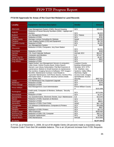#### **FY10 \$4 Approvals for Areas of the Court Not Related to Land Records**

| <b>Locality</b>         | <b>Equipment / Services Description</b>                                                                                                                                                                                                                                                                                                                                                                                                                                              | Vendor                                                                                                                                                                                                    | <b>Amount</b> |
|-------------------------|--------------------------------------------------------------------------------------------------------------------------------------------------------------------------------------------------------------------------------------------------------------------------------------------------------------------------------------------------------------------------------------------------------------------------------------------------------------------------------------|-----------------------------------------------------------------------------------------------------------------------------------------------------------------------------------------------------------|---------------|
| Albemarle               | Case Management System (CMS); Record Keeping                                                                                                                                                                                                                                                                                                                                                                                                                                         | SCV                                                                                                                                                                                                       | \$26,061      |
| Augusta                 | Redaction of Social Security Numbers (SSN), Laptops and<br>Monitors                                                                                                                                                                                                                                                                                                                                                                                                                  | SCV                                                                                                                                                                                                       | \$4,923       |
| <b>Bedford</b>          | <b>Jury Management Printers</b>                                                                                                                                                                                                                                                                                                                                                                                                                                                      | <b>SCV: Telexis</b>                                                                                                                                                                                       | \$650         |
| Culpeper                | Redaction of SSN                                                                                                                                                                                                                                                                                                                                                                                                                                                                     | SCV                                                                                                                                                                                                       | \$781         |
| <b>Fairfax County</b>   | Marriage License Consulting for Website                                                                                                                                                                                                                                                                                                                                                                                                                                              | Nortel                                                                                                                                                                                                    | \$30,000      |
| Fauquier                | Case Imaging System (CIS) and Equipment                                                                                                                                                                                                                                                                                                                                                                                                                                              | <b>SCV</b>                                                                                                                                                                                                | \$9,750       |
| <b>Frederick County</b> | <b>Redaction of SSN</b>                                                                                                                                                                                                                                                                                                                                                                                                                                                              | SCV                                                                                                                                                                                                       | \$1,052       |
| <b>Giles</b>            | Jury Management System                                                                                                                                                                                                                                                                                                                                                                                                                                                               | <b>ILS</b>                                                                                                                                                                                                | \$650         |
| Gloucester              | Redaction of SSN, Computers, Jury Scan Station                                                                                                                                                                                                                                                                                                                                                                                                                                       | SCV                                                                                                                                                                                                       | \$3,201       |
| Goochland               | <b>Redaction of SSN</b>                                                                                                                                                                                                                                                                                                                                                                                                                                                              | SCV                                                                                                                                                                                                       | \$330         |
| Hanover                 | CIS, Court Calendar Software                                                                                                                                                                                                                                                                                                                                                                                                                                                         | AmCad; SCV                                                                                                                                                                                                | \$64,047      |
| Henrico                 | <b>Computers and Monitors</b>                                                                                                                                                                                                                                                                                                                                                                                                                                                        | <b>ILS</b>                                                                                                                                                                                                | \$73,877      |
| James City Co           | Redaction of SSN                                                                                                                                                                                                                                                                                                                                                                                                                                                                     | SCV                                                                                                                                                                                                       | \$1,827       |
| <b>King and Queen</b>   | Redaction of SSN                                                                                                                                                                                                                                                                                                                                                                                                                                                                     | SCV                                                                                                                                                                                                       | \$831         |
| <b>King William</b>     | Redaction of SSN                                                                                                                                                                                                                                                                                                                                                                                                                                                                     | SCV                                                                                                                                                                                                       | \$237         |
| Loudoun                 | Digital Docket; Jury Management Servers & computers;<br>Public Kiosk; Online Process Book; Online Search<br>Warrant; Law Library Subscription; Flat Bed Scanners &<br>maintenance; Medium & Small Scanners & maintenance;<br>Flat monitors; Imaging Servers & Software; TIFF Images /<br>Microfilm; Maintenance Contract; Card Reader &<br>Typewriter Maintenance; Cell Phone Service; Archive PCs;<br>Information Desk; IT services; Security Camera install;<br>Scan Clerks' files | Loudoun County;<br><b>Building Infrastructure;</b><br>Westlaw; SCV; DTS;<br>CW Warthen; Jury<br>Systems; Valley Office<br>Machines; Digital<br>Access Contr; Images;<br>Sprint/Nextel; Access<br>Security | \$987,910     |
| Louisa                  | CIS Maintenance Fee; Equipment Upgrade                                                                                                                                                                                                                                                                                                                                                                                                                                               | SCV                                                                                                                                                                                                       | \$8,290       |
| Middlesex               | Redaction of SSN                                                                                                                                                                                                                                                                                                                                                                                                                                                                     | SCV                                                                                                                                                                                                       | \$278         |
| <b>Prince George</b>    | Redaction of SSN                                                                                                                                                                                                                                                                                                                                                                                                                                                                     | <b>SCV</b>                                                                                                                                                                                                | \$345         |
| <b>Prince William</b>   | Seat Management; Court Administration                                                                                                                                                                                                                                                                                                                                                                                                                                                | <b>Prince William County</b><br>IT                                                                                                                                                                        | \$101,699     |
| Rockingham              | Credit cards, Computers & Monitors, Software, Security<br>Camera                                                                                                                                                                                                                                                                                                                                                                                                                     | SCV                                                                                                                                                                                                       | \$273,046     |
| Shenandoah              | <b>Redaction of SSN</b>                                                                                                                                                                                                                                                                                                                                                                                                                                                              | SCV                                                                                                                                                                                                       | \$1,072       |
| Spotsylvania            | Jury Questionnaires, Electronic Docket, Jury+ Maintenance                                                                                                                                                                                                                                                                                                                                                                                                                            | <b>ILS</b>                                                                                                                                                                                                | \$13,040      |
| Warren                  | Redaction of SSN; Scanners & Monitors                                                                                                                                                                                                                                                                                                                                                                                                                                                | SCV                                                                                                                                                                                                       | \$9,117       |
| Washington              | Redaction of SSN                                                                                                                                                                                                                                                                                                                                                                                                                                                                     | SCV                                                                                                                                                                                                       | \$\$631       |
| Alexandria              | Redaction of SSN; Court Order                                                                                                                                                                                                                                                                                                                                                                                                                                                        | <b>SDSC</b>                                                                                                                                                                                               | \$87,739      |
| Chesapeake              | CIS Software & Maintenance; Computers & Printers                                                                                                                                                                                                                                                                                                                                                                                                                                     | SCV                                                                                                                                                                                                       | \$19,898      |
| Danville                | Monitor                                                                                                                                                                                                                                                                                                                                                                                                                                                                              | SCV                                                                                                                                                                                                       | \$907         |
| Hampton                 | Redaction of SSN; Printers                                                                                                                                                                                                                                                                                                                                                                                                                                                           | SCV                                                                                                                                                                                                       | \$3,775       |
| <b>Newport News</b>     | <b>Office Expenses</b>                                                                                                                                                                                                                                                                                                                                                                                                                                                               | <b>SCV</b>                                                                                                                                                                                                | \$200,000     |
| <b>Richmond City</b>    | Redaction of SSN; CIS; Computer                                                                                                                                                                                                                                                                                                                                                                                                                                                      | SCV                                                                                                                                                                                                       | \$35,173      |
| <b>Roanoke City</b>     | Computer replacement                                                                                                                                                                                                                                                                                                                                                                                                                                                                 | <b>SCV</b>                                                                                                                                                                                                | \$2,500       |
| Virginia Beach          | <b>CMS Maintenance</b>                                                                                                                                                                                                                                                                                                                                                                                                                                                               | AmCad                                                                                                                                                                                                     | \$110,850     |
| 33 Clerks               |                                                                                                                                                                                                                                                                                                                                                                                                                                                                                      |                                                                                                                                                                                                           | \$2,077,843   |

In FY10, as of November 1, 2009, 33 out of 94 eligible Clerks (35 percent) made a request(s) using Purpose Code F from their \$4 available balance. This is an 18 percent increase from FY09. Requests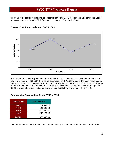for areas of the court not related to land records totaled \$2,077,843. Requests using Purpose Code F from \$4 money prohibits the Clerk from making a request from the \$1 Fund.



#### **Purpose Code F Approvals from FY07 to FY10**

In FY07, 15 Clerks were approved \$1.61M for civil and criminal divisions of their court. In FY08, 24 Clerks were approved \$2.53M (57.5 percent increase from FY07) for areas of the court not related to land records. In FY09, 19 Clerks were approved \$1.36M (46.2 percent decrease from FY08) for areas of the court not related to land records. In FY10, as of November 1, 2009, 33 Clerks were approved \$2.08 for areas of the court not related to land records (52.9 percent increase from FY09)..

#### **Approvals for Purpose Code F from FY07 to FY10**

| <b>Fiscal Year</b> | <b>Total Amount</b> |
|--------------------|---------------------|
| <b>FY07</b>        | \$1,605,438         |
| FY <sub>08</sub>   | \$2,529,110         |
| <b>FY09</b>        | \$1,356,147         |
| <b>FY10</b>        | \$2,077,843         |
| <b>TOTAL</b>       | \$7,568,538         |

Over the four-year period, total requests from \$4 money for Purpose Code F requests are \$7.57M.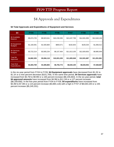# \$4 Approvals and Expenditures

#### **\$4 Total Approvals and Expenditures of Equipment and Services**

| \$4                             | <b>FY04</b> | <b>FY05</b> | <b>FY06</b>  | <b>FY07</b>  | <b>FY08</b>  | <b>FY09</b>  |
|---------------------------------|-------------|-------------|--------------|--------------|--------------|--------------|
| \$4 Available<br><b>Balance</b> | \$5,674,725 | \$9,923,541 | \$10,230,355 | \$13,437,799 | \$14,501,993 | \$12,640,136 |
| \$4 Equipment<br><b>Budgets</b> | \$1,160,091 | \$1,500,884 | \$893,571    | \$192,843    | \$105,034    | \$1,066,012  |
| \$4 Services<br><b>Budgets</b>  | \$3,722,214 | \$3,565,234 | \$9,107,464  | \$11,613,105 | \$12,826,853 | \$9,985,949  |
| Total \$4<br>Approved           | \$4,882,305 | \$5,066,118 | \$10,001,035 | \$11,805,948 | \$12,931,887 | \$11,051,961 |
| Year-End<br><b>Expenditures</b> | \$3,384,769 | \$4,385,883 | \$6,755,772  | \$8,630,100  | \$8,026,952  | \$7,268,887  |

In the six-year period from FY04 to FY09, **\$4 Equipment approvals** have decreased from \$1.2K to \$1.1K or a nine percent decrease (\$101,769). In the same time period, **\$4 Services approvals** have increased from \$3.7M to \$9.9M or a 165 percent increase (\$6,155,663). In the six-year period, **total \$4 approved amounts** have increased from \$4.9M to \$11.1M or a 127 percent increase (\$6,169,656). In the five-year period from FY04 to FY09, **\$4 expenditures** have increased from \$3.4M to \$7.3M or a 115 percent increase (\$3,884,118) with a high in FY07 of \$8,630,100 or a 155 percent increase (\$5,245,331).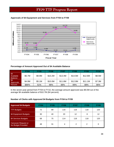#### 14.0 12.72 13.0 11.61 12.0 11.0 9.88 **Millions of Dollars Millions of Dollars** 10.0  $9.10$ 9.0 8.0 Equipment 7.0 Approvals 6.0 Services 5.0 3.72 3.56 Approvals 4.0 3.0  $1.16 \t 1.50 \t 0.89$ 2.0 1.06 1.0  $0.19 - 0.11$ 0.0 FY04 FY05 FY06 FY07 FY08 FY09 **Fiscal Year**

#### **Approvals of \$4 Equipment and Services from FY04 to FY09**

#### **Percentage of Amount Approved Out of \$4 Available Balance**

|                                    | <b>FY04</b> | <b>FY05</b> | <b>FY06</b> | <b>FY07</b> | <b>FY08</b> | <b>FY09</b> | <b>FY10</b> |
|------------------------------------|-------------|-------------|-------------|-------------|-------------|-------------|-------------|
| \$4<br>Available<br><b>Balance</b> | \$5.7M      | \$9.9M      | \$10.2M     | \$13.4M     | \$14.5M     | \$12.6M     | \$8.5M      |
| \$4<br>Approvals '                 | \$4.9M      | \$5.1M      | \$10.0M     | \$11.8M     | \$12.9M     | \$11.1M     | \$7.3M      |
| Percent                            | \$86%       | 51%         | 98%         | 88%         | 89%         | 88%         | 86%         |

In the seven-year period from FY04 to FY10, the average amount approved was \$9.0M out of the average \$4 available balance of \$10.7M (84 percent).

#### **Number of Clerks with Approved \$4 Budgets from FY04 to FY09**

| <b>Approved \$4 Budgets</b>                       | <b>FY04</b> | <b>FY05</b> | <b>FY06</b> | <b>FY07</b> | <b>FY08</b> | <b>FY09</b> |
|---------------------------------------------------|-------------|-------------|-------------|-------------|-------------|-------------|
| <b>TTF Budgets</b>                                | 72          | 89          | 116         | 118         | 118         | 120         |
| \$4 Equipment Budgets                             | 30          | 40          | 20          | 12          | 8           | 12          |
| \$4 Services Budgets                              | 68          | 75          | 114         | 118         | 118         | 120         |
| <b>Carryover Request or</b><br>No Budget Provided | 48          | 31          | 4           | 2           | 2           | 0           |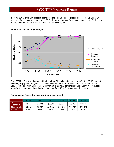In FY09, 120 Clerks (100 percent) completed the TTF Budget Request Process. Twelve Clerks were approved \$4 equipment budgets and 120 Clerks were approved \$4 services budgets. No Clerk chose to carry over their \$4 available balance to a future fiscal year.



#### **Number of Clerks with \$4 Budgets**

From FY04 to FY09, total approved budgets from Clerks have increased from 72 to 120 (67 percent increase). Equipment budgets from Clerks have decreased from 30 to 12 (60 percent decrease). Services budgets from Clerks increased from 68 to 120 (76 percent increase). Carry over requests from Clerks or not providing a budget decreased from 48 to 0 (100 percent decrease).

#### **Percentage of Expenditures Out of Amount Approved**

|                            | FY04   | FY05   | FY06    | FY07    | <b>FY08</b> | <b>FY09</b> |
|----------------------------|--------|--------|---------|---------|-------------|-------------|
| \$4<br><b>Expenditures</b> | \$3.4M | \$4.4M | \$6.8M  | \$8.6M  | \$8.0M      | \$7.3M      |
| \$4 Approvals              | \$4.9M | \$5.1M | \$10.0M | \$11.8M | \$12.9M     | \$11.1M     |
| Percent                    | 69%    | 86%    | 68%     | 73%     | 62%         | 66%         |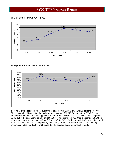#### **\$4 Expenditures from FY04 to FY09**



#### **\$4 Expenditure Rate from FY04 to FY09**



In FY04, Clerks **expended** \$3.4M out of the total approved amount of \$4.9M (69 percent). In FY05, Clerks expended \$4.4M out of the total approved amount of \$5.1M (86 percent). In FY06, Clerks expended \$6.8M out of the total approved amount of \$10.0M (68 percent). In FY07, Clerks expended \$8.6M out of the total approved amount of \$11.8M (73 percent). In FY08, Clerks expended \$8.0M out of the total approved amount of \$12.9M (62 percent). In FY09, Clerks expended \$7.3M out of the total approved amount of \$11.1M (66 percent). In the six-year period from FY04 to FY09, the average amount expended was \$6.4M, or 69 percent of the average approved amount of \$9.3M.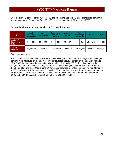Over the six-year period, from FY04 to FY09, the \$4 expenditure rate (actual expenditures compared to approved budgets) increased from 69 to 83 percent with a high of 87 percent in FY05.

| \$4                                           |    | Land<br><b>Records</b><br><b>Maintenance</b> |    | <b>SRA</b><br><b>Maintenance</b> | Hardware &<br><b>Software</b> | <b>Equipment:</b> |    | <b>Back</b><br><b>Redaction</b><br><b>Other</b><br>Scanning /<br>of SSN<br><b>Conversion</b> |    |             |    | <b>TOTAL</b> |    |             |
|-----------------------------------------------|----|----------------------------------------------|----|----------------------------------|-------------------------------|-------------------|----|----------------------------------------------------------------------------------------------|----|-------------|----|--------------|----|-------------|
| Number of<br>Clerks with \$4<br><b>Budget</b> | 84 | 88%                                          | 55 | 57%                              | 54                            | 56%               | 45 | 47%                                                                                          | 39 | 41%         | 13 | 14%          | 94 | 98%         |
| Total \$4<br>Approved*                        |    | \$1,729,022                                  |    | \$514,768                        |                               | \$1,999,264       |    | \$501,630                                                                                    |    | \$1,784,799 |    | \$784,382    |    | \$7,313,865 |

#### **FY10 \$4 Total Approvals with Number of Clerks with Budgets**

\*As of November 1, 2009.

In FY10, the \$4 available balance was \$8,504,488. Ninety-four Clerks out of an eligible 96 Clerks (98 percent) were approved \$4 money in six categories, listed above. The total \$4 money approved was \$7,313,865 (86 percent of the total \$4 available balance). A total of 26 Clerks did not make a \$4 budget. Twenty-four Clerks had a negative \$4 available balance (\$107,656.58 was transferred from the \$1 Fund to bring these Clerks up to a \$0 available balance). One Clerk carried over her \$4 money to FY11 and one Clerk did not certify to providing SRA to land records was therefore unable to budget his \$4 money in FY10. \$4 Equipment and Services Approvals from FY04 to FY10 increased from \$4.9M to \$7.3M (66 percent increase) with a high of \$12.9M in FY08.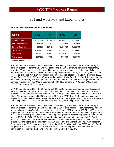# \$1 Fund Approvals and Expenditures

| \$1 FUND                  | <b>FY06</b> | <b>FY07</b> | <b>FY08</b> | <b>FY09</b> |  |
|---------------------------|-------------|-------------|-------------|-------------|--|
| <b>Available Balance</b>  | \$1,961,821 | \$3,164,943 | \$2,543,602 | \$2,034,481 |  |
| <b>Equipment Requests</b> | \$95,058    | \$7,394     | \$29,118    | \$42,046    |  |
| <b>Services Requests</b>  | \$1,388,207 | \$2,842,259 | \$2,259,769 | \$1,599,799 |  |
| <b>Total Approved</b>     | \$1,483,265 | \$2,849,653 | \$2,288,887 | \$1,641,845 |  |
| <b>Expenditures</b>       | \$816,002   | \$2,080,638 | \$1,896,101 | \$1,136,484 |  |
| <b>Total Unspent</b>      | \$667,263   | \$769,014   | \$392,786   | \$897,997   |  |

#### **\$1 Fund Total Approvals and Expenditures**

\*As of November 1, 2009.

In FY06, the total available in the \$1 Fund was \$1.9M. During the annual budget period in August, eligibility to request from the \$1 Fund was confined to the 105 Clerks who certified to not currently providing SRA to land records. Clerks making a \$1 request were asked to certify a shortfall of technology funds needed to achieve the goal set by the General Assembly of providing SRA to land records on or before July 1, 2006. Including one mid-year docket request made in November 2005, 66 out of the 105 Clerks (63 percent) requested a total of \$1.48M from the \$1 Fund. Twelve out of the 66 Clerks (18 percent) made an equipment request and 64 out of the 66 Clerks (97 percent) made a services request. Forty-four Clerks expended \$816,002 (55 percent) in FY06 and 31 Clerks had \$667,263 in unspent \$1 Fund monies.

In FY07, the total available in the \$1 Fund was \$3.16M. During the annual budget period in August, eligibility to request from the \$1 Fund was confined to the 61 Clerks who certified to not currently providing SRA to land records, but mid-year in FY07 the \$1 Fund was open to all Clerks. A total of 60 Clerks (50 percent) requested \$2.85M from the \$1 Fund in FY07. One Clerk made an equipment request for \$7,394. All 60 Clerks (100 percent) made a services request, totaling \$2.84M. Forty-seven Clerks expended \$2.1M in FY07 and 32 Clerks had \$769,014 in unspent \$1 Fund monies.

In FY08, the total available in the \$1 Fund was \$2.5M. During the annual budget period in August, eligibility to request from the \$1 Fund was open to all 120 Clerks, regardless of whether they certified to currently providing SRA to land records' images. In August 2007, 69 out of 120 Clerks (58 percent) requested a total of \$2.3M from the \$1 Fund. Six Clerks (5 percent) made an equipment request from the \$1 Fund, totaling \$29K. Sixty-nine Clerks (58 percent) made a services request from the \$1 Fund, totaling \$2.3M. In FY08, 28 Clerks expended 100 percent; 31 expended some of their \$1 Fund approved monies; and 10 Clerks expended none. The 59 Clerks who expended some or 100 percent of their \$1 Fund approved monies, totaled \$1,896,101. Forty-one Clerks had \$392,786 in unspent \$1 Fund monies and 39 Clerks (those who submitted an SRA Certification in July 2008) had a \$1 Fund carryover to FY09, totaling \$377,415. Two Clerks (who did not respond to the July 2008 SRA certification process) had a \$1 Fund reversion (non-carryover) of \$15,370.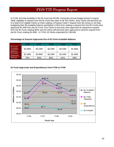In FY09, the total available in the \$1 Fund was \$2.0M. During the annual budget period in August 2008, eligibility to request from the \$1 Fund was open to all 120 Clerks. Sixty Clerks (50 percent) out of a total of 81 eligible Clerks (a Clerk making a Purpose Code F request from \$4 money or not fully budgeting their \$4 available balance prohibited a Clerk from making a request from the \$1 Fund) were approved \$1.64M from the \$1 Fund. Five Clerks (4 percent) were approved an equipment request from the \$1 Fund, totaling \$42K and 59 Clerks (49 percent) were approved a services request from the \$1 Fund, totaling \$1.60M. In FY09, 53 Clerks expended \$1,136,484.

|                                         | <b>FY06</b> | <b>FY07</b> | FY08    | <b>FY09</b> | <b>FY10</b> |
|-----------------------------------------|-------------|-------------|---------|-------------|-------------|
| \$1 Fund<br>Available<br><b>Balance</b> | \$1.96M     | \$3.16M     | \$2.54M | \$2.03M     | \$1.66M     |
| \$1 Fund<br>Approved                    | \$1.48M     | \$2.85M     | \$2.29M | \$1.64M     | \$1.65M     |
| Percent                                 | 76%         | 90%         | 90%     | 81%         | 99%         |

#### **Percentage of Amount Approved Out of \$1 Fund Available Balance**

#### **\$1 Fund Approvals and Expenditures from FY06 to FY09**

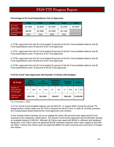|                                 | <b>FY06</b> | <b>FY07</b> | <b>FY08</b> | <b>FY09</b> | <b>FY10</b> |
|---------------------------------|-------------|-------------|-------------|-------------|-------------|
| \$1 Fund<br>Approvals           | \$1.48M     | \$2.85M     | \$2.29M     | \$1.64M     | \$1.65M     |
| \$1 Fund<br><b>Expenditures</b> | \$816K      | \$2.08M     | \$1.90M     | \$1.14M     |             |
| Percent                         | 55%         | 73%         | 83%         | 70%         |             |

#### **Percentage of \$1 Fund Expenditures Out of Approvals**

In FY06, approvals from the \$1 Fund totaled 76 percent of the \$1 Fund available balance and \$1 Fund expenditures were 55 percent of \$1 Fund approvals.

In FY07, approvals from the \$1 Fund totaled 90 percent of the \$1 Fund available balance and \$1 Fund expenditures were 73 percent of \$1 Fund approvals.

In FY08, approvals from the \$1 Fund totaled 90 percent of the \$1 Fund available balance and \$1 Fund expenditures were 83 percent of \$1 Fund approvals.

In FY09, approvals from the \$1 Fund totaled 81 percent of the \$1 Fund available balance and \$1 Fund expenditures were 70 percent of the \$1 Fund approvals.

| \$1 Fund                                           |           | Land<br><b>Records</b><br><b>Maintenance</b> |           | <b>SRA</b><br><b>Maintenance</b> |           | <b>Equipment:</b><br>Hardware &<br><b>Software</b> |           | <b>Redaction</b><br>of SSN | <b>TOTAL</b> |     |
|----------------------------------------------------|-----------|----------------------------------------------|-----------|----------------------------------|-----------|----------------------------------------------------|-----------|----------------------------|--------------|-----|
| Number of<br>Clerks with \$1<br><b>Fund Budget</b> | 47        | 56%                                          | 45        | 54%                              | 38        | 45%                                                | 47        | 56%                        | 69           | 82% |
| Total \$1 Fund<br>Approved*                        | \$534,738 |                                              | \$212,956 |                                  | \$344,871 |                                                    | \$563,491 |                            | \$1,656,056  |     |

#### **FY10 \$1 Fund Total Approvals with Number of Clerks with Budgets**

\*As of November 1, 2009.

In FY10, the \$1 Fund available balance was \$1,664,557. In August 2009, during the annual TTF budget period, Clerks made over \$2.47M in requests for the \$1 Fund. In order to consider priorities, the Compensation Board deferred \$1 Fund approvals until October.

At the October Board meeting, 69 out an eligible 84 Clerks (82 percent) were approved \$1 Fund requests in five categories, listed above. The total \$1 Fund money approved was \$1,656,056, leaving an available balance of \$8,501. Although 38 Clerks were approved \$345K in software and hardware equipment, nine Clerks were not approved \$123K hardware requests which were capped at \$15,000 per office. Twenty-nine Clerks were not approved \$691K for back scanning and conversion of images and indices.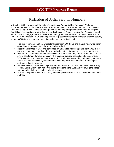# Redaction of Social Security Numbers

In October 2006, the Virginia Information Technologies Agency (VITA) Redaction Workgroup published the *Methods for the Redaction of Social Security Numbers from Electronic Land Record Documents Report*. The Redaction Workgroup was made up of representatives from the Virginia Court Clerks' Association, Virginia Information Technologies Agency, Virginia Bar Association, real estate brokers, mortgage lenders, bankers, technology vendors, and the Compensation Board. In FY07, the Compensation Board began approving requests for funding the redaction of social security numbers (SSN) using the recommendations of this report, which included:

- The use of software (Optical Character Recognition-OCR) plus one manual review for quality control and assurance is a reliable method of redaction.
- Redaction is limited to SSN and performed on a back-file (historical) basis from 1935 to the present as one project and day-forward redaction, at least annually, as a separate project.
- Plan for an estimated average redaction cost of 4 cents per image for back-file redaction and a similar cost for day-forward redaction. This estimate average cost is based on information VITA received from three vendors (AmCad, ILS, and Logan) regarding their pricing structure for the software redaction system and employee responsibilities attendant to running the software redaction system.
- Redaction should never result in permanent removal of text from an original document, only copies, and is achieved by removing the text containing the SSN and overlaying the space with a graphical element such as a black rectangle.
- At least a 95 percent level of accuracy can be expected with the OCR plus one manual pass method.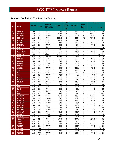#### **Approved Funding for SSN Redaction Services**

|             |                                      |                            |              |                          |                  | Land               |                      |                                                    |                     | <b>Total Cost</b> |
|-------------|--------------------------------------|----------------------------|--------------|--------------------------|------------------|--------------------|----------------------|----------------------------------------------------|---------------------|-------------------|
|             |                                      | <b>Budget</b>              |              | <b>Historical</b>        | <b>Accuracy</b>  | Record<br>s (B) or | <b>Number of</b>     | <b>Cents</b>                                       |                     |                   |
| <b>FIPS</b> | <b>Locality</b>                      | <b>FY</b>                  | Vendor       | (Back file) /            | Rate             | Other              | <b>Images</b>        | per                                                | \$4                 | \$1 Fund          |
|             |                                      |                            |              | Day-Forward              |                  | Areas              |                      | Image                                              |                     |                   |
|             |                                      |                            |              |                          |                  | (F)                |                      |                                                    |                     |                   |
| 001         | <b>ACCOMACK</b>                      | <b>FY08</b>                | <b>ILS</b>   | backfile                 | 99%              | B                  | 638,050              | 3                                                  | \$19,142            | \$0               |
| 003         | <b>ALBEMARLE</b>                     | <b>FY08</b>                | Cott         | backfile                 | 95-99%           | B                  | 1,193,255            | 4                                                  | \$47,730            | \$0               |
| 003         | <b>ALBEMARLE</b>                     | <b>FY08</b>                | Cott         | dayforward               | 95-99%           | B                  | 187,000              | $\overline{\mathbf{4}}$                            | \$7,480             | \$0               |
| 003<br>003  | <b>ALBEMARLE</b><br><b>ALBEMARLE</b> | <b>FY09</b><br><b>FY09</b> | Cott<br>Cott | backfile<br>dayforward   | 95-99%<br>95-99% | B<br>B             | 1,193,255<br>187,000 | 3.25<br>3.25                                       | \$38,781<br>\$6,078 | \$0<br>\$0        |
| 005         | <b>ALLEGHANY</b>                     | <b>FY08</b>                | SCV          | backfile                 | $95 + \%$        | B                  | 322,163              | 4                                                  | \$0                 | \$12,887          |
| 005         | <b>ALLEGHANY</b>                     | <b>FY09</b>                | SCV          | backfile                 | 98%              | B                  | 29,079               | $\overline{\mathbf{4}}$                            | \$1,163             | \$0               |
| 005         | <b>ALLEGHANY</b>                     | <b>FY09</b>                | SCV          | dayforward               | 98%              | B                  | 44,742               | $\overline{\mathbf{4}}$                            | \$1,790             | \$0               |
| 005         | <b>ALLEGHANY</b>                     | <b>FY10</b>                | SCV          | dayforward               | 98%              | B                  | 44,436               | $\overline{\mathbf{4}}$                            | \$0                 | \$1,777           |
| 007         | <b>AMELIA</b>                        | <b>FY09</b>                | <b>ILS</b>   | backfile                 | 99%              | B                  | 232,561              | 3                                                  | \$6,977             | \$0               |
| 009         | <b>AMHERST</b>                       | <b>FY10</b>                | Cott         | backfile                 | 98%              | B                  | 73475                | $\overline{\mathbf{4}}$                            | \$0                 | \$2,939           |
| 011         | <b>APPOMATTOX</b>                    | <b>FY07</b>                | <b>ILS</b>   | backfile                 | ??               | B                  | 229,307              | 3                                                  | \$6,879             | \$0               |
| 011         | <b>APPOMATTOX</b>                    | <b>FY08</b>                | <b>ILS</b>   | dayforward               | 99%              | B                  | 17,850               | 3                                                  | \$0                 | \$536             |
| 013         | <b>ARLINGTON</b>                     | <b>FY10</b>                | CSI          | <b>Backfile</b>          | 99.75%           | B                  | 6,876,097            | 4                                                  | \$0                 | \$255,043         |
| 013         | <b>ARLINGTON</b>                     | <b>FY10</b>                | CSI          | Dayforward               | 99.75%           | B                  | 1,438,250            | $\overline{\mathbf{4}}$                            | \$0                 | \$57,530          |
| 015         | <b>AUGUSTA</b>                       | <b>FY08</b>                | SCV          | backfile                 | $95 + \%$        | B                  | 1.179.022            | 4                                                  | \$47,161            | \$0               |
| 015         | <b>AUGUSTA</b>                       | <b>FY08</b>                | Logan        | backfile                 | 99%              | B                  | 599,400              | $\overline{\mathbf{4}}$                            | \$0                 | \$23,976          |
| 015         | <b>AUGUSTA</b>                       | <b>FY09</b>                | SCV          | backfile                 | 98%              | B                  | 44,893               | $\overline{\mathbf{4}}$                            | \$1,796             | \$0               |
| 015         | <b>AUGUSTA</b>                       | <b>FY09</b>                | SCV          | dayforward               | 98%              | B                  | 90,921               | $\overline{\mathbf{4}}$                            | \$3,637             | \$0               |
| 015         | <b>AUGUSTA</b>                       | <b>FY10</b>                | SCV          | backfile                 | 98%              | F                  | 50,000               | $\overline{\mathbf{4}}$<br>$\overline{4}$          | \$2,000             | \$0               |
| 015         | <b>AUGUSTA</b>                       | <b>FY10</b>                | SCV          | dayforward               | 98%              | B<br>F             | 113,766              |                                                    | \$4551              | \$0               |
| 015<br>017  | <b>AUGUSTA</b>                       | <b>FY10</b><br><b>FY09</b> | SCV<br>SCV   | dayforward<br>backfile   | 98%<br>98%       | B                  | 23,076<br>51,418     | $\overline{\mathbf{4}}$<br>3.35                    | \$923<br>\$1,723    | \$0<br>\$0        |
| 017         | <b>BATH</b><br><b>BATH</b>           | <b>FY09</b>                | SCV          | backfile                 | 98%              | B                  | 3,329                | 4                                                  | \$134               | \$0               |
| 017         | <b>BATH</b>                          | <b>FY09</b>                | SCV          | dayforward               | 98%              | B                  | 7,402                | $\overline{\mathbf{4}}$                            | \$296               | \$0               |
| 017         | <b>BATH</b>                          | <b>FY10</b>                | SCV          | dayforward               | 98%              | B                  | 7132                 | 4                                                  | \$0                 | \$285             |
| 019         | <b>BEDFORD</b>                       | <b>FY08</b>                | SCV          | backfile                 | $95 + \%$        | B                  | 1,515,659            | 4                                                  | \$60,626            | \$0               |
| 019         | <b>BEDFORD</b>                       | <b>FY09</b>                | SCV          | backfile                 | $95 + \%$        | B                  | 273,225              | 4                                                  | \$10,929            | \$0               |
| 019         | <b>BEDFORD</b>                       | <b>FY09</b>                | SCV          | backfile                 | 98%              | B                  | 62,495               | 4                                                  | \$2,500             | \$0               |
| 019         | <b>BEDFORD</b>                       | <b>FY09</b>                | SCV          | dayforward               | 98%              | B                  | 126,338              | $\overline{\mathbf{4}}$                            | \$5,053             | \$0               |
| 019         | <b>BEDFORD</b>                       | <b>FY10</b>                | Logan        | backfile                 | 99%              | B                  | 343,300              | 4                                                  | \$13,732            | \$0               |
| 021         | <b>BLAND</b>                         | <b>FY08</b>                | SCV          | backfile                 | $95 + \%$        | B                  | 47,482               | $\overline{\mathbf{4}}$                            | \$0                 | \$1,900           |
| 021         | <b>BLAND</b>                         | <b>FY09</b>                | SCV          | backfile                 | 98%              | B                  | 3,802                | 4                                                  | \$0                 | \$152             |
| 021         | <b>BLAND</b>                         | <b>FY09</b>                | SCV          | dayforward               | 98%              | B                  | 8,379                | 4                                                  | \$0                 | \$335             |
| 021         | <b>BLAND</b>                         | <b>FY10</b>                | SCV          | backfile                 | 98%              | B                  | 27,575               | $\overline{\mathbf{4}}$                            | \$0                 | \$1,103           |
| 021         | <b>BLAND</b>                         | <b>FY10</b>                | SCV          | dayforward               | 98%              | B                  | 9,929                | $\overline{4}$                                     | \$0                 | \$397             |
| 023         | <b>BOTETOURT</b>                     | <b>FY08</b>                | SCV          | backfile                 | $95 + \%$        | B                  | 409,520              | 4                                                  | \$16,381            | \$0               |
| 023<br>023  | <b>BOTETOURT</b><br><b>BOTETOURT</b> | <b>FY09</b><br><b>FY09</b> | SCV<br>SCV   | backfile<br>dayforward   | 98%<br>98%       | B<br>B             | 34,837<br>66,473     | $\overline{\mathbf{4}}$<br>$\overline{\mathbf{4}}$ | \$1,394<br>\$2,659  | \$0<br>\$0        |
| 023         | <b>BOTETOURT</b>                     | <b>FY10</b>                | SCV          | dayforward               | 98%              | B                  | 67,211               | 4                                                  | \$2,688             | \$0               |
| 023         | <b>BOTETOURT</b>                     | <b>FY10</b>                | SCV          | dayforward               | 98%              | F                  | 13633                | 4                                                  | \$545               | \$0               |
| 025         | <b>BRUNSWICK</b>                     | <b>FY08</b>                | SCV          | backfile                 | $95 + \%$        | B                  | 363,627              | $\overline{4}$                                     | \$14,545            | \$0               |
| 025         | <b>BRUNSWICK</b>                     | <b>FY09</b>                | SCV          | backfile                 | 98%              | в                  | 401,365              | 4                                                  | \$0                 | \$16,055          |
| 025         | <b>BRUNSWICK</b>                     | <b>FY09</b>                | SCV          | dayforward               | 98%              | B                  | 18,808               | 4                                                  | \$0                 | \$752             |
| 025         | <b>BRUNSWICK</b>                     | FY10                       | SCV          | dayforward               | 98%              | В                  | 19,420               | $\overline{\mathbf{4}}$                            | \$777               | \$0               |
| 027         | <b>BUCHANAN</b>                      | <b>FY08</b>                | SCV          | backfile                 | $95 + \%$        | B                  | 366,714              | 4                                                  | \$0                 | \$14,669          |
| 027         | <b>BUCHANAN</b>                      | <b>FY09</b>                | SCV          | backfile                 | 98%              | в                  | 18,525               | $\overline{\mathbf{4}}$                            | \$0                 | \$741             |
| 027         | <b>BUCHANAN</b>                      | <b>FY09</b>                | SCV          | dayforward               | 98%              | В                  | 50,790               | $\overline{\mathbf{4}}$                            | \$0                 | \$2,032           |
| 027         | <b>BUCHANAN</b>                      | <b>FY10</b>                | SCV          | dayforward               | 98%              | B                  | 139,367              | 4                                                  | \$0                 | \$5,575           |
| 029         | <b>BUCKINGHAM</b>                    | <b>FY07</b>                | <b>ILS</b>   | backfile                 | 99%              | B                  | 218,000              | 3                                                  | \$6,540             | \$0               |
| 031         | <b>CAMPBELL</b>                      | <b>FY08</b>                | SCV          | backfile<br>backfile     | $95 + \%$        | В<br>В             | 713,024              | 4                                                  | \$28,521            | \$0               |
| 031         | <b>CAMPBELL</b>                      | <b>FY09</b>                | SCV          |                          | 98%              |                    | 704,078              | 3.35                                               | \$23,587            | \$0               |
| 031<br>031  | <b>CAMPBELL</b><br><b>CAMPBELL</b>   | <b>FY09</b><br><b>FY09</b> | SCV<br>SCV   | backfile                 | 98%<br>98%       | В<br>B             | 356,997              | 4<br>4                                             | \$14,280            | \$0<br>\$0        |
| 031         | <b>CAMPBELL</b>                      | <b>FY10</b>                | SCV          | dayforward<br>dayforward | 98%              | В                  | 63,515<br>65,510     | 4                                                  | \$2,541<br>\$0      | \$2,620           |
| 033         | <b>CAROLINE</b>                      | <b>FY07</b>                | Logan        | backfile                 | ??               | в                  | 668,000              | 4                                                  | \$0                 | \$26,720          |
| 033         | <b>CAROLINE</b>                      | <b>FY08</b>                | Logan        | backfile                 | 99%              | B                  | 28,500               | 4                                                  | \$1,140             | \$0               |
| 033         | <b>CAROLINE</b>                      | <b>FY08</b>                | Logan        | dayforward               | 99%              | в                  | 74,000               | 4                                                  | \$2,960             | \$0               |
| 033         | <b>CAROLINE</b>                      | <b>FY09</b>                | Logan        | dayforward               | 99%              | B                  | 73,000               | $\overline{\mathbf{4}}$                            | \$0                 | \$2,920           |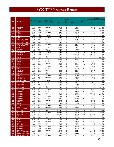|             |                                                  |                            |                       |                        |                  | Land<br>Record |                   |                | <b>Total Cost</b>   |                     |
|-------------|--------------------------------------------------|----------------------------|-----------------------|------------------------|------------------|----------------|-------------------|----------------|---------------------|---------------------|
|             |                                                  | <b>Budget</b>              |                       | <b>Historical</b>      | <b>Accuracy</b>  | s (B) or       | <b>Number of</b>  | Cents          |                     |                     |
| <b>FIPS</b> | <b>Locality</b>                                  | FY.                        | Vendor                | (Back file) /          | Rate             | Other          | <b>Images</b>     | per            |                     | \$1 Fund            |
|             |                                                  |                            |                       | Day-Forward            |                  | Areas          |                   | Image          | \$4                 |                     |
|             |                                                  |                            |                       |                        |                  | (F)            |                   |                |                     |                     |
| 033         | <b>CAROLINE</b>                                  | <b>FY10</b>                | Logan                 | dayforward             | 99%              | в              | 4,700             | 4              | \$1,017             | \$863               |
| 035         | <b>CARROLL</b>                                   | <b>FY07</b>                | Logan                 | backfile               | ??               | B              | 585,000           | 4              | \$0                 | \$23,400            |
| 035         | <b>CARROLL</b>                                   | <b>FY08</b>                | Logan                 | backfile               | 99%              | B              | 126,500           | 4              | \$0                 | $\overline{$}5,059$ |
| 035<br>035  | <b>CARROLL</b><br><b>CARROLL</b>                 | <b>FY08</b><br><b>FY09</b> | Logan<br>Logan        | dayforward<br>backfile | 99%<br>99%       | В<br>B         | 43,000<br>18,400  | 4<br>4         | \$0<br>\$0          | \$1,720<br>\$736    |
| 035         | <b>CARROLL</b>                                   | <b>FY09</b>                | Logan                 | dayforward             | 99%              | в              | 36,000            | 4              | \$0                 | \$1,440             |
| 035         | <b>CARROLL</b>                                   | <b>FY10</b>                | Logan                 | dayforward             | 99%              | B              | 32,000            | $\overline{4}$ | \$0                 | \$1,280             |
| 036         | <b>CHARLES CITY CO</b>                           | <b>FY08</b>                | SCV                   | backfile               | $95 + \%$        | B              | 35,113            | 4              | \$0                 | \$1,405             |
| 036         | CHARLES CITY CO                                  | <b>FY09</b>                | SCV                   | backfile               | 98%              | B              | 31,339            | 4              | \$1,254             | \$0                 |
| 036         | <b>CHARLES CITY CO</b>                           | <b>FY09</b>                | SCV                   | dayforward             | 98%              | B              | 9,331             | 4              | \$373               | \$0                 |
| 036         | <b>CHARLES CITY CO</b>                           | <b>FY10</b>                | SCV                   | dayforward             | 98%              | B              | 44,628            | 4              | \$1,785             | \$0                 |
| 036         | CHARLES CITY CO<br><b>CHARLOTTE</b>              | <b>FY10</b><br><b>FY08</b> | SCV<br>SCV            | backfile               | 98%              | B<br>B         | 50,000            | 4<br>4         | \$0<br>\$1,545      | \$2,000             |
| 037<br>037  | <b>CHARLOTTE</b>                                 | <b>FY09</b>                | SCV                   | backfile<br>backfile   | $95 + \%$<br>98% | B              | 38,615<br>6,624   | 4              | \$59                | \$0<br>\$0          |
| 037         | <b>CHARLOTTE</b>                                 | <b>FY09</b>                | SCV                   | dayforward             | 98%              | B              | 16,756            | 4              | \$0                 | \$0                 |
| 041         | <b>CHESTERFIELD</b>                              | <b>FY08</b>                | Logan                 | dayforward             | 99%              | B              | 317,000           | 2.4            | \$7,608             | \$0                 |
| 041         | <b>CHESTERFIELD</b>                              | <b>FY08</b>                | Logan                 | backfile               | 99%              | B              | 8,936,050         | $\overline{4}$ | \$346,538           | \$0                 |
| 041         | <b>CHESTERFIELD</b>                              | <b>FY09</b>                | Logan                 | dayforward             | 99%              | B              | 563,000           | 3.5            | \$19,705            | \$0                 |
| 043         | <b>CLARKE</b>                                    | <b>FY08</b>                | Logan                 | backfile               | 99%              | B              | 391,000           | $\overline{4}$ | \$0                 | \$15,640            |
| 045         | <b>CRAIG</b>                                     | <b>FY08</b>                | SCV                   | backfile               | $95 + \%$        | В              | 49,636            | 4              | \$0                 | \$1,985             |
| 045         | <b>CRAIG</b>                                     | <b>FY09</b>                | SCV                   | backfile               | 98%              | В              | 73,572            | 4              | \$2,943             | \$0                 |
| 045         | <b>CRAIG</b>                                     | <b>FY09</b>                | SCV                   | dayforward             | 98%              | B              | 13,401            | $\overline{4}$ | \$536               | \$0                 |
| 045         | <b>CRAIG</b>                                     | <b>FY09</b>                | SCV                   | backfile               | 98%              | B<br>B         | 98,664            | 3.35           | \$3,305             | \$0                 |
| 045<br>047  | <b>CRAIG</b><br><b>CULPEPER</b>                  | <b>FY10</b><br><b>FY08</b> | SCV<br>SCV            | dayforward<br>backfile | 98%<br>$95 + \%$ | B              | 22,884<br>628,864 | 4<br>4         | \$915<br>\$25,155   | \$0<br>\$0          |
| 047         | <b>CULPEPER</b>                                  | <b>FY09</b>                | SCV                   | backfile               | 98%              | В              | 35,461            | 4              | \$1,419             | \$0                 |
| 047         | <b>CULPEPER</b>                                  | <b>FY09</b>                | SCV                   | dayforward             | 98%              | B              | 75,848            | $\overline{4}$ | \$3,034             | \$0                 |
| 047         | <b>CULPEPER</b>                                  | <b>FY10</b>                | SCV                   | backfile               | 98%              | B              | 108,800           | $\overline{4}$ | \$4,352             | \$0                 |
| 047         | <b>CULPEPER</b>                                  | <b>FY10</b>                | SCV                   | dayforward             | 98%              | B              | 96,295            | $\overline{4}$ | \$3,852             | \$0                 |
| 047         | <b>CULPEPER</b>                                  | <b>FY10</b>                | SCV                   | dayforward             | 98%              | F              | 19,532            | 4              | \$781               | \$0                 |
| 049         | <b>CUMBERLAND</b>                                | <b>FY07</b>                | <b>ILS</b>            | backfile               | 99%              | B              | 116,920           | 3              | \$0                 | \$3,508             |
| 049         | <b>CUMBERLAND</b>                                | <b>FY08</b>                | <b>ILS</b>            | dayforward             | 99%              | B              | 13,900            | 3              | \$0                 | \$417               |
| 051         | <b>DICKENSON</b>                                 | <b>FY08</b>                | SCV                   | backfile               | $95 + \%$        | В              | 102,615           | 4              | \$320               | \$3,785             |
| 051         | <b>DICKENSON</b>                                 | <b>FY09</b>                | SCV                   | backfile               | 98%              | B              | 8,134             | $\overline{4}$ | \$0                 | \$325               |
| 051         | <b>DICKENSON</b>                                 | <b>FY09</b>                | SCV                   | dayforward             | 98%              | B              | 17,934            | 4              | \$0                 | \$717               |
| 051<br>051  | <b>DICKENSON</b><br><b>DICKENSON</b>             | <b>FY10</b><br><b>FY10</b> | Logan<br>SCV          | backfile<br>dayforward | 99%<br>98%       | B<br>B         | 229,500<br>25,426 | 4<br>4         | \$0<br>\$1,017      | \$9,180<br>\$0      |
| 053         | <b>DINWIDDIE</b>                                 | <b>FY08</b>                | SCV                   | backfile               | $95 + \%$        | B              | 24,963            | 4              | \$999               | \$0                 |
| 053         | <b>DINWIDDIE</b>                                 | <b>FY08</b>                | SCV                   | backfile               | $95 + \%$        | В              | 485,959           | 4              | \$19,437            | \$0                 |
| 054         | <b>DINWIDDIE</b>                                 | <b>FY09</b>                | SCV                   | backfile               | 98%              | В              | 625,000           | $\overline{4}$ | \$0                 | \$25,000            |
| 053         | <b>DINWIDDIE</b>                                 | <b>FY09</b>                | SCV                   | dayforward             | 98%              | B              | 39,800            | 4              | \$0                 | \$1,592             |
| 053         | <b>DINWIDDIE</b>                                 | <b>FY10</b>                | SCV                   | backfile               | 98%              | B              | 21,493            | 4              | \$860               | \$0                 |
| 053         | <b>DINWIDDIE</b>                                 | FY10                       | $\mbox{\texttt{SCV}}$ | dayforward             | 98%              | В              | 77,677            | 4              | \$3,107             | \$0                 |
| 057         | <b>ESSEX</b>                                     | <b>FY08</b>                | SCV                   | backfile               | $95 + \%$        | В              | 32,574            | $\overline{4}$ | \$1,303             | \$0                 |
| 057         | <b>ESSEX</b>                                     | FY09                       | SCV                   | backfile               | 98%              | В              | 9,706             | 4              | \$388               | \$0                 |
| 057         | <b>ESSEX</b>                                     | <b>FY09</b>                | SCV                   | dayforward             | 98%              | В              | 27,547            | $\overline{4}$ | \$1,102             | \$0                 |
| 057         | <b>ESSEX</b>                                     | FY10                       | SCV                   | dayforward             | 98%              | в              | 19,232            | 4              | \$0                 |                     |
| 059<br>061  | <b>FAIRFAX COUNTY</b><br><b>FAUQUIER</b>         | FY08                       | Cott                  | backfile               | 95-99%           |                | 1,771,737         |                | \$15,033            | \$42,548            |
| 061         | <b>FAUQUIER</b>                                  | FY08                       | Cott                  | dayforward             | 95-99%           | в<br>В         | 155,000           | 3.25<br>3.25   | \$0                 | \$5,038             |
| 061         | <b>FUAQUIER</b>                                  | <b>FY09</b>                | Cott                  | backfile               | 95-99%           | В              | 563,256           | 3.25           | \$10,306            | \$0                 |
| 063         | <b>FLOYD</b>                                     | <b>FY08</b>                | SCV                   | backfile               | $95 + \%$        | В              | 279,592           | 4              | \$11,184            | \$0                 |
| 063         | <b>FLOYD</b>                                     | <b>FY09</b>                | SCV                   | backfile               | 98%              | в              | 16,729            | $\overline{4}$ | \$0                 | \$669               |
| 063         | <b>FLOYD</b>                                     | <b>FY09</b>                | SCV                   | dayforward             | 98%              | В              | 34,838            | 4              | \$0                 | \$1,394             |
| 063         | <b>FLOYD</b>                                     | <b>FY10</b>                | SCV                   | dayforward             | 98%              | В              | 34,504            | 4              | \$1,380             | \$0                 |
| 065         | <b>FLUVANNA</b>                                  | FY07                       | Logan                 | backfile               | 99%              | в              | 605,000           | 4              | \$0                 | \$24,200            |
| 065         | <b>FLUVANNA</b>                                  | <b>FY08</b>                | Logan                 | backfile               | 99%              | В              | 43,750            | 3              | \$0                 | \$1,750             |
| 065         | <b>FLUVANNA</b>                                  | FY08                       | Logan                 | dayforward             | 99%              | в              | 59,000            | $\overline{4}$ | \$0                 | \$2,360             |
| 065         | <b>FLUVANNA</b>                                  | <b>FY09</b>                | Logan                 | dayforward             | 99%              | в              | 46,000            | 4              | \$0                 | \$1,840             |
| 065         | <b>FLUVANNA</b>                                  | <b>FY10</b>                | Logan                 | dayforward             | 98%              | в              | 30,200            | 4              | \$0                 | \$1,208             |
| 067<br>067  | <b>FRANKLIN COUNTY</b><br><b>FRANKLIN COUNTY</b> | FY08<br>FY09               | SCV<br>SCV            | backfile<br>backfile   | $95 + \%$<br>98% | В<br>В         | 382,167<br>44,198 | 4<br>4         | \$15,287<br>\$1,768 | \$0<br>\$0          |
| 067         | <b>FRANKLIN COUNTY</b>                           | FY09                       | SCV                   | dayforward             | 98%              | В              | 97,613            | $\overline{4}$ | \$3,905             | \$0                 |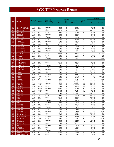|             |                                       |                            |            |                          |                  | Land               |                   |                         | <b>Total Cost</b>  |            |
|-------------|---------------------------------------|----------------------------|------------|--------------------------|------------------|--------------------|-------------------|-------------------------|--------------------|------------|
|             |                                       | <b>Budget</b>              |            | <b>Historical</b>        | <b>Accuracy</b>  | Record<br>s (B) or | <b>Number of</b>  | Cents                   |                    |            |
| <b>FIPS</b> | Locality                              | <b>FY</b>                  | Vendor     | (Back file) /            | Rate             | Other              | <b>Images</b>     | per                     |                    |            |
|             |                                       |                            |            | Day-Forward              |                  | Areas              |                   | Image                   | \$4                | \$1 Fund   |
|             |                                       |                            |            |                          |                  | (F)                |                   |                         |                    |            |
| 067         | <b>FRANKLIN COUNTY</b>                | FY10                       | SCV        | dayforward               | 98%              | в                  | 104,864           | 4                       | \$4,195            | \$0        |
| 067         | <b>FRANKLIN COUNTY</b>                | <b>FY10</b>                | SCV        | dayforward               | 98%              | F                  | 21,270            | $\overline{4}$          | \$851              | \$0        |
| 069         | <b>FREDERICK</b>                      | <b>FY08</b>                | SCV        | backfile                 | $95 + \%$        | B                  | 2,236,775         | 4                       | \$89,471           | \$0        |
| 069         | <b>FREDERICK</b>                      | <b>FY09</b>                | SCV        | backfile                 | 98%              | B                  | 126,987           | 4                       | \$5,079            | \$0        |
| 069         | <b>FREDERICK</b>                      | <b>FY09</b>                | SCV        | dayforward               | 98%              | B<br>B             | 165,787           | $\overline{4}$          | \$6,632            | \$0<br>\$0 |
| 069<br>069  | <b>FREDERICK</b><br><b>FREDERICK</b>  | <b>FY10</b><br><b>FY10</b> | SCV<br>SCV | dayforward<br>dayforward | 98%<br>98%       | F                  | 129,701<br>26,307 | 4<br>4                  | \$5,188<br>\$1,052 | \$0        |
| 073         | <b>GLOUCESTER</b>                     | <b>FY08</b>                | SCV        | backfile                 | $95 + \%$        | B                  | 696,964           | $\overline{4}$          | \$27,879           | \$0        |
| 073         | <b>GLOUCESTER</b>                     | <b>FY10</b>                | SCV        | dayforward               | 98%              | B                  | 74,009            | 4                       | \$2.960            | \$0        |
| 073         | <b>GLOUCESTER</b>                     | <b>FY10</b>                | SCV        | dayforward               | 98%              | F                  | 15,011            | $\overline{4}$          | \$601              | \$0        |
| 075         | <b>GOOCHLAND</b>                      | <b>FY08</b>                | SCV        | backfile                 | $95 + \%$        | B                  | 267,557           | $\overline{4}$          | \$10,702           | \$0        |
| 075         | <b>GOOCHLAND</b>                      | <b>FY09</b>                | SCV        | backfile                 | 98%              | B                  | 17,591            | 4                       | \$704              | \$0        |
| 075         | <b>GOOCHLAND</b>                      | <b>FY09</b>                | SCV        | dayforward               | 98%              | B                  | 38,157            | 4                       | \$1,526            | \$0        |
| 075         | <b>GOOCHLAND</b>                      | <b>FY10</b>                | SCV        | dayforward               | 98%              | B                  | 40,633            | $\overline{4}$          | \$1,625            | \$0        |
| 075         | <b>GOOCHLAND</b>                      | <b>FY10</b>                | SCV        | dayforward               | 98%              | F                  | 8,242             | 4                       | \$330              | \$0        |
| 077         | <b>GRAYSON</b>                        | <b>FY08</b>                | SCV        | backfile                 | $95 + \%$        | B                  | 287,439           | 4                       | \$0                | \$11,497   |
| 077         | <b>GRAYSON</b>                        | <b>FY09</b>                | SCV        | backfile                 | 98%              | B                  | 12,974            | $\overline{4}$          | \$519              | \$0        |
| 077         | <b>GRAYSON</b>                        | <b>FY09</b>                | SCV        | dayforward               | 98%              | B                  | 25,465            | 4                       | \$1,019            | \$0        |
| 077         | <b>GRAYSON</b>                        | <b>FY10</b>                | SCV        | dayforward               | 98%              | B                  | 25.351            | $\overline{4}$          | \$0                | \$1,014    |
| 079         | <b>GREENE</b>                         |                            |            |                          |                  |                    |                   |                         |                    |            |
| 081         | <b>GREENSVILLE</b>                    | <b>FY08</b>                | SCV        | backfile                 | $95 + \%$        | B                  | 121,428           | 4                       | \$4,857            | \$0        |
| 081         | <b>GREENSVILLE</b>                    | <b>FY09</b>                | SCV        | backfile                 | 98%              | B                  | 10,580            | 4                       | \$423              | \$0        |
| 081         | <b>GREENSVILLE</b>                    | <b>FY09</b>                | SCV        | dayforward               | 98%              | B                  | 17,831            | 4                       | \$713              | \$0        |
| 081         | <b>GREENSVILLE</b>                    | <b>FY09</b>                | SCV        | backfile                 | 98%              | B                  | 132,112           | 4<br>4                  | \$4,426            | \$0        |
| 081         | <b>GREENSVILLE</b><br><b>HALIFAX</b>  | <b>FY10</b><br><b>FY08</b> | SCV<br>SCV | dayforward               | 98%<br>$95 + \%$ | B<br>B             | 13,528<br>366,485 | 4                       | \$541<br>\$14,659  | \$0<br>\$0 |
| 083<br>083  | <b>HALIFAX</b>                        | <b>FY09</b>                | SCV        | backfile<br>backfile     | 98%              | B                  | 29,651            | 4                       | \$1,186            | \$0        |
| 083         | <b>HALIFAX</b>                        | <b>FY09</b>                | SCV        | dayforward               | 98%              | B                  | 62,179            | $\overline{4}$          | \$2,487            | \$0        |
| 083         | <b>HALIFAX</b>                        | <b>FY09</b>                | Logan      | backfile                 | 99%              | B                  | 251,500           | $\overline{4}$          | \$0                | \$10,060   |
| 083         | <b>HALIFAX</b>                        | <b>FY10</b>                | Logan      | backfile                 | 99%              | B                  | 121,750           | 4                       | \$0                | \$4,870    |
| 083         | <b>HALIFAX</b>                        | FY10                       | SCV        | dayforward               | 98%              | B                  | 50,727            | 4                       | \$0                | \$2,029    |
| 085         | <b>HANOVER</b>                        | <b>FY08</b>                | AmCad      | backfile                 | 95%              | B                  | 2,500,000         | 4                       | \$100,000          | \$0        |
| 085         | <b>HANOVER</b>                        | <b>FY08</b>                | AmCad      | dayforward               | 95%              | B                  | 1,893,988         | 1.69                    | \$12,000           | \$0        |
| 085         | <b>HANOVER</b>                        | <b>FY09</b>                | AmCad      | backfile                 | 99%              | B                  | 2,576,978         | 3.7                     | \$95,348           | \$0        |
| 085         | <b>HANOVER</b>                        | <b>FY09</b>                | AmCad      | backfile                 | 99%              | B                  | 42,230            | 3.7                     | \$1,563            | \$0        |
| 085         | <b>HANOVER</b>                        | <b>FY09</b>                | AmCad      | dayforward               | 95.5%            | B                  | 105,735           | 3.7                     | \$3,912            | \$0        |
| 085         | <b>HANOVER</b>                        | <b>FY10</b>                | AmCad      | backfile                 | 98.5%            | B                  | 37,946            | 3.7                     | \$1,406            | \$0        |
| 085         | <b>HANOVER</b>                        | <b>FY10</b>                | AmCad      | backfile                 | 98.5%            | F                  | 4.248             | 3.7                     | \$157              | \$0        |
| 087         | <b>HENRICO</b>                        | <b>FY08</b>                | <b>ILS</b> | backfile                 | 99%              | B                  | 8,123,613         | 3                       | \$184,713          | \$0        |
| 087         | <b>HENRICO</b>                        | <b>FY09</b>                | <b>ILS</b> | backfile                 | 99%              | B                  | 7,623,804         | 3.3                     | \$201,268          | \$0        |
| 089         | <b>HENRY</b>                          | <b>FY08</b><br><b>FY09</b> | SCV<br>SCV | backfile<br>backfile     | $95 + \%$<br>98% | B<br>B             | 390,629           | 4<br>$\overline{4}$     | \$15,626           | \$0<br>\$0 |
| 089<br>089  | <b>HENRY</b><br><b>HENRY</b>          | FY09                       | SCV        | dayforward               | 98%              | В                  | 33,304<br>67,587  | 4                       | \$1,332<br>\$2,704 | \$0        |
| 089         | henry                                 | FY10                       | SCV        | dayforward               | 98%              | B                  | 65439             | 4                       | \$2,618            | \$0        |
| 091         | <b>HIGHLAND</b>                       | <b>FY08</b>                | SCV        | backfile                 | $\frac{1}{95+%}$ | В                  | 39,249            | $\overline{4}$          | \$1,570            | \$0        |
| 091         | <b>HIGHLAND</b>                       | <b>FY09</b>                | SCV        | backfile                 | 98%              | В                  | 1,560             | 4                       | \$62               | \$0        |
| 091         | <b>HIGHLAND</b>                       | <b>FY09</b>                | SCV        | dayforward               | 98%              | B                  | 4,076             | 4                       | \$163              | \$0        |
| 091         | <b>HIGHLAND</b>                       | <b>FY10</b>                | SCV        | backfile                 | 98%              | В                  | 3,750             | 4                       | \$0                | \$150      |
| 091         | <b>HIGHLAND</b>                       | <b>FY10</b>                | SCV        | dayforward               | 98%              | B                  | 4,758             | $\overline{4}$          | \$0                | \$190      |
| 093         | <b>ISLE OF WIGHT</b>                  | <b>FY08</b>                | SCV        | backfile                 | $95 + \%$        | В                  | 770,676           | 4                       | \$30,828           | \$0        |
| 093         | <b>ISLE OF WIGHT</b>                  | <b>FY09</b>                | SCV        | backfile                 | 98%              | В                  | 26,194            | 4                       | \$1,048            | \$0        |
| 093         | <b>IISLE OF WIGHT</b>                 | <b>FY09</b>                | SCV        | dayforward               | 98%              | B                  | 51,603            | $\overline{4}$          | \$2,064            | \$0        |
| 093         | <b>ISLE OF WIGHT</b>                  | <b>FY10</b>                | Logan      | backfile                 | 99%              | B                  | 71,720            | 4                       | \$0                | \$2,869    |
| 093         | <b>ISLE OF WIGHT</b>                  | <b>FY10</b>                | SCV        | dayforward               | 98%              | B                  | 60,311            | $\overline{4}$          | \$2,412            | \$0        |
| 095         | JAMES CITY CO                         | <b>FY09</b>                | SCV        | backfile                 | 98%              | в                  | 2,334,504         | 3.35                    | \$78,206           | \$0        |
| 095         | JAMES CITY CO                         | <b>FY09</b>                | SCV        | backfile                 | 98%              | в                  | 90,044            | 4                       | \$3,602            | \$0        |
| 095         | JAMES CITY CO                         | <b>FY09</b>                | SCV        | dayforward               | 98%              | В                  | 179,598           | $\overline{\mathbf{4}}$ | \$7,184            | \$0        |
| 095         | JAMES CITY CO                         | <b>FY10</b>                | SCV        | backfile                 | 98%              | В                  | 145,900           | 4                       | \$5,836            | \$0        |
| 095         | <b>JAMES CITY CO</b><br>JAMES CITY CO | <b>FY10</b><br><b>FY10</b> | SCV<br>SCV | dayforward<br>dayforward | 98%<br>98%       | B<br>F             | 225,129           | 4<br>4                  | \$9,005<br>\$1,827 | \$0<br>\$0 |
| 095<br>097  | <b>KING AND QUEEN</b>                 | <b>FY08</b>                | SCV        | backfile                 | $95 + \%$        | В                  | 45,663<br>25,964  | 4                       | \$1,039            | \$0        |
| 097         | <b>KING AND QUEEN</b>                 | <b>FY09</b>                | SCV        | backfile                 | 98%              | В                  | 11,144            | $\overline{4}$          | \$446              | \$0        |
|             |                                       |                            |            |                          |                  |                    |                   |                         |                    |            |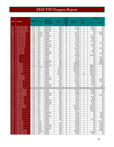|             |                                           |                            |                   |                        |                  | Land                      |                     |                         | <b>Total Cost</b>  |                      |
|-------------|-------------------------------------------|----------------------------|-------------------|------------------------|------------------|---------------------------|---------------------|-------------------------|--------------------|----------------------|
|             |                                           | <b>Budget</b>              |                   | <b>Historical</b>      | <b>Accuracy</b>  | <b>Record</b><br>s (B) or | <b>Number of</b>    | Cents                   |                    |                      |
| <b>FIPS</b> | <b>Locality</b>                           | FY.                        | Vendor            | (Back file) /          | Rate             | Other                     | <b>Images</b>       | per                     |                    |                      |
|             |                                           |                            |                   | Day-Forward            |                  | Areas                     |                     | Image                   | \$4                | \$1 Fund             |
|             |                                           |                            |                   |                        |                  | (F)                       |                     |                         |                    |                      |
| 097         | <b>KING AND QUEEN</b>                     | <b>FY09</b>                | SCV               | dayforward             | 98%              | В                         | 27,434              | 4                       | \$1,097            | \$0                  |
| 097         | <b>KING AND QUEEN</b>                     | <b>FY10</b>                | SCV               | dayforward             | 98%              | B                         | 122,369             | 4                       | \$4,895            | \$0                  |
| 097         | <b>KING AND QUEEN</b>                     | <b>FY10</b>                | SCV               | dayforward             | 98%              | F                         | 831                 | 4                       | \$33               | \$0                  |
| 099         | <b>KING GEORGE</b>                        | <b>FY07</b>                | AmCad             | backfile               | 96%              | В                         | 427,417             | 4                       | \$0                | \$17,097             |
| 099         | <b>KING GEORGE</b>                        | <b>FY08</b>                | AmCad             | backfile               | 100%             | В<br>B                    | 247,700             | 4<br>4                  | \$0                | \$9,908              |
| 099<br>101  | <b>KING GEORGE</b><br><b>KING WILLIAM</b> | <b>FY10</b><br><b>FY08</b> | AmCad<br>SCV      | dayforward<br>backfile | 98%<br>$95 + \%$ | B                         | 63,525<br>26,212    | 4                       | \$2,541<br>\$1,048 | \$0<br>\$0           |
| 101         | <b>KING WILLIAM</b>                       | <b>FY09</b>                | SCV               | backfile               | 98%              | B                         | 14,286              | 4                       | \$571              | \$0                  |
| 101         | <b>KING WILLIAM</b>                       | <b>FY09</b>                | SCV               | dayforward             | 98%              | B                         | 27,063              | 4                       | \$1,083            | \$0                  |
| 101         | <b>KING WILLIAM</b>                       | <b>FY09</b>                | SCV               | backfile               | 98%              | В                         | 154,775             | 4                       | \$0                | \$6,191              |
| 101         | <b>KING WILLIAM</b>                       | <b>FY10</b>                | SCV               | dayforward             | 98%              | В                         | 29,181              | 4                       | \$1,167            | \$0                  |
| 101         | <b>KING WILLIAM</b>                       | FY10                       | SCV               | dayforward             | 98%              | F                         | 5,919               | $\overline{4}$          | \$237              | \$0                  |
| 103         | <b>LANCASTER</b>                          | <b>FY08</b>                | SCV               | backfile               | $95 + \%$        | В                         | 244,019             | 4                       | \$0                | \$9,761              |
| 103         | <b>LANCASTER</b>                          | <b>FY09</b>                | SCV               | backfile               | 98%              | B                         | 11,061              | $\overline{\mathbf{4}}$ | \$442              | \$0                  |
| 103         | <b>LANCASTER</b>                          | <b>FY09</b>                | SCV               | dayforward             | 98%              | B                         | 22,837              | 4                       | \$914              | \$0                  |
| 103         | <b>LANCASTER</b>                          | <b>FY10</b>                | SCV               | dayforward             | 98%              | В                         | 26,892              | 4                       | \$0                | \$1,076              |
| 105         | LEE                                       | <b>FY08</b>                | SCV               | backfile               | $95 + \%$        | В                         | 484.590             | $\overline{4}$          | \$19,384           | \$0                  |
| 105         | LEE                                       | <b>FY08</b>                | SCV               | backfile               | $95 + \%$        | В                         | 37,964              | 4                       | \$0                | \$1,519              |
| 105         | LEE                                       | <b>FY09</b>                | SCV               | backfile               | 98%              | B                         | 49,717              | 4                       | \$0                | \$1,989              |
| 105         | LEE                                       | <b>FY09</b>                | SCV               | dayforward             | 98%              | B                         | 97,066              | 4                       | \$0                | \$3,883              |
| 105<br>107  | LEE<br><b>LOUDOUN</b>                     | <b>FY10</b><br><b>FY07</b> | SCV<br><b>DTS</b> | dayforward<br>backfile | 98%<br>99%       | $\overline{B}$<br>B       | 89,125<br>2,800,000 | 4<br>4                  | \$0<br>\$0         | \$3,565<br>\$112,000 |
| 107         | <b>LOUDOUN</b>                            | <b>FY09</b>                | <b>DTS</b>        | dayforward             | 99%              | B                         | 1,210,000           | $\overline{4}$          | \$48,400           | \$0                  |
| 107         | <b>LOUDOUN</b>                            | <b>FY09</b>                | AmCad             | backfile               | 95%              | В                         | 1,641,791           | 4                       | \$65,672           | \$0                  |
| 107         | <b>LOUDOUN</b>                            | <b>FY10</b>                | <b>DTS</b>        | backfile               | 99.5%            | B                         | 2,097,453           | 3                       | \$62,924           | \$0                  |
| 107         | <b>LOUDOUN</b>                            | <b>FY10</b>                | <b>DTS</b>        | backfile               | 99.5%            | B                         | 6,582,463           | $\mathbf{1}$            | \$65,825           | \$0                  |
| 107         | <b>LOUDOUN</b>                            | <b>FY10</b>                | <b>DTS</b>        | backfile               | 99.5%            | B                         | 522,978             | 4                       | \$20,919           | \$0                  |
| 109         | <b>LOUISA</b>                             | <b>FY08</b>                | Cott              | backfile               | 95-99%           | B                         | 815,939             | 3.25                    | \$26,518           | \$0                  |
| 111         | <b>LUNENBURG</b>                          | <b>FY09</b>                | SCV               | backfile               | 98%              | B                         | 82,703              | 4                       | \$3,308            | \$0                  |
| 111         | <b>LUNENBURG</b>                          | <b>FY09</b>                | SCV               | dayforward             | 98%              | В                         | 22,433              | 4                       | \$897              | \$0                  |
| 111         | <b>LUNENBURG</b>                          | <b>FY10</b>                | SCV               | dayforward             | 98%              | В                         | 137,547             | 4                       | \$1,638            | \$3,864              |
| 113         | <b>MADISON</b>                            | <b>FY08</b>                | SCV               | backfile               | $95 + \%$        | B                         | 168,640             | 4                       | \$1,483            | \$5,263              |
| 113         | <b>MADISON</b>                            | <b>FY09</b>                | SCV               | backfile               | 98%              | B                         | 20,610              | $\overline{4}$          | \$824              | \$0                  |
| 113         | <b>MADISON</b>                            | <b>FY09</b>                | SCV               | dayforward             | 98%              | B                         | 43,440              | 4                       | \$1,738            | \$0                  |
| 113         | <b>MADISON</b>                            | <b>FY10</b>                | SCV               | dayforward             | 98%              | В                         | 17,096              | 4                       | \$0                | \$684                |
| 115<br>117  | <b>MATHEWS</b><br><b>MECKLENBURG</b>      | <b>FY08</b>                | SCV               | backfile               | $95 + \%$        | В                         | 524,148             | 4                       | \$20,966           | \$0                  |
| 117         | <b>MECKLENBURG</b>                        | <b>FY09</b>                | SCV               | backfile               | 98%              | B                         | 23,933              | 4                       | \$958              | \$0                  |
| 117         | <b>MECKLENBURG</b>                        | <b>FY09</b>                | SCV               | dayforward             | 98%              | B                         | 48,600              | $\overline{4}$          | \$1,944            | \$0                  |
| 117         | <b>MECKLENBURG</b>                        | <b>FY10</b>                | SCV               | dayforward             | 98%              | В                         | 52,819              | 4                       | \$0                | \$2,113              |
| 119         | <b>MIDDLESEX</b>                          | <b>FY08</b>                | SCV               | backfile               | $95 + \%$        | B                         | 40,226              | 4                       | \$1,609            | \$0                  |
| 119         | <b>MIDDLESEX</b>                          | <b>FY09</b>                | SCV               | backfile               | 98%              | B                         | 24,647              | $\overline{4}$          | \$986              | \$0                  |
| $117$       | <b>MIDDLESEX</b>                          | FY09                       | <b>SCV</b>        | dayforward             | 98%              | В                         | 62,139              | 4                       | \$2,485            | $\sqrt{6}$           |
| 117         | <b>MIDDLESEX</b>                          | FY10                       | SCV               | dayforward             | 98%              | В                         | 34,247              | 4                       | \$1,370            | \$0                  |
| 117         | <b>MIDDLESEX</b>                          | <b>FY10</b>                | SCV               | dayforward             | 98%              | F                         | 6,947               | 4                       | \$278              | \$0                  |
| 121         | <b>MONTGOMERY</b>                         | <b>FY07</b>                | <b>ILS</b>        | backfile               | 99%              | В                         | 1,388,857           | 3                       | \$32,082           | \$0                  |
| $121$       | <b>MONTGOMERY</b>                         | <b>FY08</b>                | <b>ILS</b>        | backfile               | 99%              | в                         | 1,622,500           | 3                       | \$48,675           | \$0                  |
| 125         | <b>NELSON</b>                             | <b>FY08</b>                | SCV               | backfile               | $95 + \%$        | В                         | 386,509             | 4                       | \$15,460           | \$0                  |
| 125         | <b>NELSON</b>                             | <b>FY09</b>                | SCV               | backfile               | 98%              | В                         | 26,777              | 4                       | \$1,980            | \$0                  |
| 125         | <b>NELSON</b>                             | <b>FY09</b>                | SCV               | dayforward             | 98%              | В                         | 57,945              | 4<br>$\overline{4}$     | \$0                | \$1,409              |
| 125<br>125  | <b>NELSON</b><br><b>NELSON</b>            | <b>FY10</b><br>FY10        | SCV<br>SCV        | backfile<br>dayforward | 98%<br>98%       | в<br>B                    | 20,000<br>74,022    | $\overline{4}$          | \$0<br>\$0         | \$800<br>\$2,961     |
| 125         | <b>NELSON</b>                             | FY10                       | SCV               | backfile               | 98%              | В                         | 20,000              | $\overline{4}$          | \$0                | \$800                |
| 125         | <b>NELSON</b>                             | FY10                       | SCV               | backfile               | 98%              | в                         | 51,025              |                         | \$2,041            | \$0                  |
| 127         | <b>NEW KENT</b>                           | FY07                       | Logan             | backfile               | ??               | В                         | 436,000             | 4                       | \$0                | \$17,440             |
| 127         | <b>NEW KENT</b>                           | <b>FY08</b>                | Logan             | backfile               | 99%              | в                         | 48,000              | $\overline{4}$          | \$0                | \$1,920              |
| 127         | <b>NEW KENT</b>                           | <b>FY08</b>                | Logan             | dayforward             | 99%              | в                         | 46,000              | $\overline{4}$          | \$0                | \$1,840              |
| 127         | <b>NEW KENT</b>                           | <b>FY09</b>                | Logan             | dayforward             | 99%              | В                         | 30,400              | 4                       | \$0                | \$1,216              |
| $127$       | <b>NEW KENT</b>                           | FY10                       | Logan             | dayforward             | 98%              | В                         | 27,300              | 4                       | \$0                | \$1,092              |
| 131         | <b>NORTHAMPTON</b>                        | FY07                       | AmCad             | backfile               | 95%              | в                         | 490,909             | 4                       | \$0                | \$19,636             |
| 131         | <b>NORTHAMPTON</b>                        | FY08                       | AmCad             | backfile               | 95%              | В                         | 490,909             | 4                       | \$19,636           | \$0                  |
| $131$       | <b>NORTHAMPTON</b>                        | FY09                       | SCV               | backfile               | 98%              | в                         | 11,920              | 4                       | \$477              | \$0                  |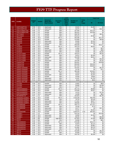|             |                                            |                            |                          |                          |                  | Land               |                    |                         | <b>Total Cost</b>  |                 |  |
|-------------|--------------------------------------------|----------------------------|--------------------------|--------------------------|------------------|--------------------|--------------------|-------------------------|--------------------|-----------------|--|
|             |                                            | <b>Budget</b>              |                          | <b>Historical</b>        | <b>Accuracy</b>  | Record<br>s (B) or | <b>Number of</b>   | Cents                   |                    |                 |  |
| <b>FIPS</b> | Locality                                   | <b>FY</b>                  | Vendor                   | (Back file) /            | Rate             | Other              | <b>Images</b>      | per                     | \$4                | \$1 Fund        |  |
|             |                                            |                            |                          | <b>Day-Forward</b>       |                  | Areas              |                    | Image                   |                    |                 |  |
|             |                                            |                            |                          |                          |                  | (F)                |                    |                         |                    |                 |  |
| 131         | <b>NORTHAMPTON</b>                         | <b>FY09</b>                | SCV                      | dayforward               | 98%              | в                  | 26,623             | 4                       | \$1,065            | \$0             |  |
| 131         | <b>NORTHAMPTON</b>                         | <b>FY10</b>                | SCV                      | dayforward               | 98%              | B                  | 26,070             | $\overline{4}$          | \$0                | \$1,043         |  |
| 133         | NORTHUMBERLAND                             | <b>FY08</b>                | <b>ILS</b>               | backfile                 | 99%              | B                  | 337,460            | 3                       | \$10,124           | \$0             |  |
| 133         | NORTHUMBERLAND                             | <b>FY09</b><br><b>FY08</b> | <b>ILS</b><br><b>ILS</b> | backfile                 | 99%<br>99%       | B<br>B             | 350,322            | 3<br>3                  | \$10,509           | \$0             |  |
| 135<br>135  | <b>NOTTOWAY</b><br><b>NOTTOWAY</b>         | <b>FY09</b>                | <b>ILS</b>               | backfile<br>backfile     | 98%              | B                  | 208,700<br>253,313 | 3                       | \$0<br>\$7,600     | \$6,261<br>\$0  |  |
| 137         | <b>ORANGE</b>                              | <b>FY08</b>                | SCV                      | backfile                 | $95 + \%$        | B                  | 943,496            | 4                       | \$0                | \$37,740        |  |
| 137         | <b>ORANGE</b>                              | <b>FY09</b>                | SCV                      | backfile                 | 98%              | B                  | 215,858            | $\overline{\mathbf{4}}$ | \$0                | \$8,956         |  |
| 137         | <b>ORANGE</b>                              | <b>FY09</b>                | SCV                      | dayforward               | 98%              | B                  | 60,608             | 4                       | \$2,103            | \$0             |  |
| 137         | <b>ORANGE</b>                              | <b>FY10</b>                | SCV                      | dayforward               | 98%              | В                  | 54,938             | 4                       | \$2,198            | \$0             |  |
| 139         | <b>PAGE</b>                                | <b>FY07</b>                | ILS.                     | backfile                 | 99%              | в                  | 459,039            | 3                       | \$0                | \$12,271        |  |
| 141         | <b>PATRICK</b>                             | <b>FY08</b>                | SCV                      | backfile                 | $95 + \%$        | B                  | 163,278            | $\overline{4}$          | \$6,531            | \$0             |  |
| 141         | <b>PATRICK</b>                             | <b>FY09</b>                | SCV                      | backfile                 | 98%              | B                  | 11,800             | 4                       | \$0                | \$472           |  |
| 141         | <b>PATRICK</b>                             | <b>FY09</b>                | SCV                      | dayforward               | 98%              | B                  | 24,590             | $\overline{4}$          | \$0                | \$984           |  |
| 141         | <b>PATRICK</b>                             | FY10                       | SCV                      | dayforward               | 98%              | B                  | 26,360             | 4                       | \$0                | \$1,054         |  |
| 143         | <b>PITTSYLVANIA</b>                        | <b>FY08</b>                | SCV                      | backfile                 | $95 + \%$        | B                  | 156,314            | 4                       | \$0                | \$6,253         |  |
| 143         | <b>PITTSYLVANIA</b>                        | <b>FY09</b>                | SCV                      | backfile                 | 98%              | B                  | 54,512             | $\overline{\mathbf{4}}$ | \$2,180            | \$0             |  |
| 143         | PITTSYLVANIA                               | <b>FY09</b>                | SCV                      | dayforward               | 98%              | B                  | 165,359            | 4                       | \$6,614            | \$0             |  |
| 143         | <b>PITTSYLVANIA</b>                        | <b>FY10</b>                | SCV                      | backfile                 | 98%              | B                  | 77,500             | 4                       | \$0                | \$3,100         |  |
| 137         | <b>PITTSYLVANIA</b>                        | <b>FY10</b>                | SCV                      | dayforward               | 98%              | B                  | 104,536            | $\overline{\mathbf{4}}$ | \$0                | \$4,182         |  |
| 145<br>145  | <b>POWHATAN</b><br><b>POWHATAN</b>         | <b>FY07</b><br><b>FY08</b> | <b>ILS</b><br><b>ILS</b> | backfile<br>backfile     | 99%<br>99%       | B<br>B             | 553,631<br>605,000 | 3<br>3                  | \$0<br>\$18,150    | \$16,609<br>\$0 |  |
| 145         | <b>POWHATAN</b>                            | <b>FY09</b>                | <b>ILS</b>               | backfile                 | 99%              | в                  | 627,243            | 3                       | \$18,818           | \$0             |  |
| 147         | PRINCE EDWARD                              | <b>FY07</b>                | <b>ILS</b>               | backfile                 | 99%              | B                  | 324,452            | 3                       | \$0                | \$9,734         |  |
| 147         | <b>PRINCE EDWARD</b>                       | <b>FY08</b>                | <b>ILS</b>               | dayforward               | 99%              | B                  | 23,700             | 3                       | \$0                | \$711           |  |
| 149         | PRINCE GEORGE                              | <b>FY08</b>                | SCV                      | backfile                 | $95 + \%$        | B                  | 395,299            | $\overline{4}$          | \$15,812           | \$0             |  |
| 149         | PRINCE GEORGE                              | FY09                       | SCV                      | backfile                 | 98%              | B                  | 25,003             | 4                       | \$1,000            | \$0             |  |
| 149         | <b>PRINCE GEORGE</b>                       | <b>FY09</b>                | SCV                      | dayforward               | 98%              | B                  | 49,367             | 4                       | \$1,975            | \$0             |  |
| 149         | PRINCE GEORGE                              | FY10                       | SCV                      | backfile                 | 98%              | B                  | 25,000             | $\overline{4}$          | \$1000             | \$0             |  |
| 149         | <b>PRINCE GEORGE</b>                       | FY10                       | SCV                      | dayforward               | 98%              | B                  | 42,497             | 4                       | \$1,700            | \$0             |  |
| 149         | <b>PRINCE GEORGE</b>                       | <b>FY10</b>                | SCV                      | dayforward               | 98%              | F                  | 8,619              | 4                       | \$345              | \$0             |  |
| 153         | <b>PRINCE WILLIAM</b>                      |                            |                          |                          |                  |                    |                    |                         |                    |                 |  |
| 155         | <b>PULASKI</b>                             | <b>FY09</b>                | SCV                      | backfile                 | 98%              | в                  | 15,852             | $\overline{4}$          | \$0                | \$634           |  |
| 155         | <b>PULASKI</b>                             | <b>FY09</b>                | SCV                      | dayforward               | 98%              | В                  | 59,960             | 4                       | \$0                | \$2,399         |  |
| 155         | <b>PULASKI</b>                             | FY10                       | SCV                      | dayforward               | 98%              | в                  | 53,777<br>201.724  | 4<br>4                  | \$0                | \$2,151         |  |
| 157<br>157  | <b>RAPPAHANNOCK</b><br><b>RAPPAHANNOCK</b> | <b>FY08</b><br><b>FY09</b> | SCV<br>SCV               | backfile<br>backfile     | $95 + \%$<br>98% | B<br>B             | 143,058            | 4                       | \$8,069<br>\$4,527 | \$0<br>\$0      |  |
| 157         | <b>RAPPAHANNOCK</b>                        | <b>FY09</b>                | SCV                      | dayforward               | 98%              | B                  | 14,215             | $\overline{4}$          | \$0                | \$1,764         |  |
| 157         | <b>RAPPAHANNOCK</b>                        | <b>FY10</b>                | SCV                      | dayforward               | 98%              | B                  | 16,308             | 4                       | \$0                | \$652           |  |
| 159         | <b>RICHMOND CO</b>                         | <b>FY07</b>                | <b>ILS</b>               | backfile                 | 99%              | B                  | 192,823            | 3                       | \$0                | \$5,785         |  |
| 161         | <b>ROANOKE COUNTY</b>                      | <b>FY08</b>                | SCV                      | backfile                 | $95 + \%$        | B                  | 1.019.239          | 4                       | \$40,769           | \$0             |  |
| 161         | <b>ROANOKE COUNTY</b>                      | FY09                       | SCV                      | backfile                 | 98%              | B                  | 78,703             | $\overline{4}$          | \$3,148            | \$0             |  |
| 161         | ROANOKE COUNTY                             | FY09                       | SCV                      | dayforward               | 98%              | в                  | 171,931            | 4                       | \$6,877            | \$0             |  |
| 161         | <b>ROANOKE COUNTY</b>                      | <b>FY10</b>                | SCV                      | dayforward               | 98%              | в                  | 188,060            | $\overline{\mathbf{4}}$ | \$7,522            | \$0             |  |
| 163         | <b>ROCKBRIDGE</b>                          | FY08                       | SCV                      | backfile                 | 95+%             | В                  | 436,773            | 4                       | \$17,471           | \$0             |  |
| 163         | <b>ROCKBRIDGE</b>                          | <b>FY09</b>                | SCV                      | backfile                 | 98%              | в                  | 19,236             | 4                       | \$770              | \$0             |  |
| 163         | <b>ROCKBRIDGE</b>                          | <b>FY10</b>                | SCV                      | dayforward               | 98%              | в                  | 43,277             | 4                       | \$0                | \$1,732         |  |
| 163         | <b>ROCK</b>                                | <b>FY09</b>                | SCV                      | dayforward               | 98%              | B                  | 40,241             | $\overline{4}$          | \$1,610            | \$0             |  |
| 165         | <b>ROCKINGHAM</b>                          | <b>FY08</b>                | ACS                      | backfile                 | 99%              | В                  | 2,649,374          | 3.53                    | \$93,403           | \$0             |  |
| 167         | <b>RUSSELL</b>                             | FY07                       | ILS                      | backfile                 | 99%              | B                  | 516,134            | 3                       | \$0                | \$15,484        |  |
| 167<br>167  | <b>RUSSELL</b><br><b>RUSSELL</b>           | <b>FY09</b><br>FY10        | SCV<br>SCV               | dayforward<br>dayforward | 98%<br>98%       | B<br>B             | 33,000<br>56,101   | 4<br>4                  | \$1,320<br>\$0     | \$0<br>\$2,244  |  |
| 169         | <b>SCOTT</b>                               | FY08                       | <b>BIS</b>               | backfile                 | high 90s%        | В                  | 527,815            | 3                       | \$7,535            | \$8,300         |  |
| 169         | <b>SCOTT</b>                               | <b>FY10</b>                | <b>BIS</b>               | backfile                 | 95%              | B                  | 20,508             | $\overline{4}$          | \$0                | \$821           |  |
| 171         | <b>SHENANDOAH</b>                          | FY08                       | SCV                      | backfile                 | $95 + \%$        | B                  | 579,338            | 4                       | \$23,174           | \$0             |  |
| 171         | SHENANDOAH                                 | <b>FY09</b>                | SCV                      | backfile                 | 98%              | В                  | 52,870             | 4                       | \$2,115            | \$0             |  |
| 171         | <b>SHENANDOAH</b>                          | <b>FY09</b>                | SCV                      | dayforward               | 98%              | B                  | 97,020             | $\overline{4}$          | \$3,881            | \$0             |  |
| 171         | <b>SHENANDOAH</b>                          | <b>FY10</b>                | SCV                      | dayforward               | 98%              | B                  | 131,962            | 4                       | \$5,278            | \$0             |  |
| 171         | <b>SHENANDOAH</b>                          | FY10                       | SCV                      | dayforward               | 98%              | F                  | 26,766             | 4                       | \$1,072            | \$0             |  |
| 173         | <b>SMYTH</b>                               | <b>FY08</b>                | SCV                      | backfile                 | $95 + \%$        | В                  | 153,369            | 4                       | \$0                | \$6,135         |  |
| 173         | <b>SMYTH</b>                               | FY09                       | SCV                      | backfile                 | 98%              | В                  | 82,838             | 4                       | \$0                | \$3,314         |  |
| 173         | <b>SMYTH</b>                               | FY09                       | SCV                      | dayforward               | 98%              | в                  | 154,733            | 4                       | \$6,189            | \$0             |  |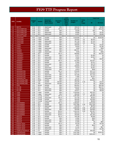|             |                                           |                            |                |                        |                 | Land                      |                      |                                           | <b>Total Cost</b>    |                |
|-------------|-------------------------------------------|----------------------------|----------------|------------------------|-----------------|---------------------------|----------------------|-------------------------------------------|----------------------|----------------|
|             |                                           | <b>Budget</b>              |                | <b>Historical</b>      | <b>Accuracy</b> | <b>Record</b><br>s (B) or | <b>Number of</b>     | <b>Cents</b>                              |                      |                |
| <b>FIPS</b> | Locality                                  | FY                         | Vendor         | (Back file) /          | Rate            | Other                     | <b>Images</b>        | per.                                      |                      |                |
|             |                                           |                            |                | Day-Forward            |                 | Areas                     |                      | Image                                     | \$4                  | \$1 Fund       |
|             |                                           |                            |                |                        |                 | (F)                       |                      |                                           |                      |                |
| 173         | <b>SMYTH</b>                              | <b>FY10</b>                | SCV            | dayforward             | 98%             | в                         | 108,410              | 4                                         | \$0                  | \$4,336        |
| 175         | <b>SOUTHAMPTON</b>                        | <b>FY08</b>                | SCV            | backfile               | $95 + \%$       | B                         | 631,236              | $\overline{\mathbf{4}}$                   | \$0                  | \$25,249       |
| 175         | <b>SOUTHAMPTON</b>                        | <b>FY09</b>                | SCV            | backfile               | 98%             | B                         | 20,038               | 4                                         | \$34                 | \$0            |
| 175         | <b>SOUTHAMPTON</b>                        | <b>FY09</b>                | SCV<br>SCV     | dayforward             | 98%             | B                         | 40,866               | $\overline{4}$<br>$\overline{4}$          | \$0                  | \$2,402        |
| 175         | <b>SOUTHAMPTON</b><br><b>SPOTSYLVANIA</b> | <b>FY10</b>                |                | dayforward             | 98%             | B                         | 41,567               |                                           | \$0                  | \$1,663        |
| 177<br>179  | <b>STAFFORD</b>                           | <b>FY07</b>                | Logan          | backfile               | 99%             | B                         | 3,418,000            | 4                                         | \$0                  | \$134.093      |
| 179         | <b>STAFFORD</b>                           | <b>FY09</b>                | Logan          | backfile               | 99%             | B                         | 164,600              | 3.8                                       | \$6,255              | \$0            |
| 179         | <b>STAFFORD</b>                           | <b>FY09</b>                | Logan          | dayforward             | 99%             | B                         | 187,700              | 3.8                                       | \$7,132              | \$0            |
| 179         | <b>STAFFORD</b>                           | <b>FY10</b>                | Logan          | dayforward             | 98%             | B                         | 116,900              | 3.8                                       | \$4,442              | \$0            |
| 181         | <b>SURRY</b>                              | <b>FY07</b>                | Logan          | backfile               | 99%             | B                         | 189,000              | $\overline{4}$                            | \$0                  | \$7,560        |
| 181         | <b>SURRY</b>                              | <b>FY10</b>                | Logan          | backfile               | 99%             | B                         | 34,626               | 4                                         | \$0                  | \$1,385        |
| 181         | <b>SURRY</b>                              | <b>FY10</b>                | Logan          | dayforward             | 99%             | B                         | 6,500                | $\overline{\mathbf{4}}$                   | \$0                  | \$260          |
| 183         | <b>SUSSEX</b>                             | <b>FY10</b>                | Logan          | backfile               | 99%             | B                         | 188.676              | $\overline{4}$                            | \$0                  | \$7,547        |
| 183         | <b>SUSSEX</b>                             | <b>FY10</b>                | Logan          | dayforward             | 99%             | B                         | 9,000                | $\overline{\mathbf{4}}$                   | \$0                  | \$360          |
| 185         | <b>TAZEWELL</b>                           | <b>FY08</b>                | SCV            | backfile               | $95 + \%$       | B                         | 808,892              | $\overline{\mathbf{4}}$                   | \$0                  | \$32,355       |
| 185         | <b>TAZEWELL</b>                           | <b>FY09</b>                | SCV            | backfile               | 98%             | B                         | 37,077               | $\overline{4}$                            | \$1,483              | \$0            |
| 185         | <b>TAZEWELL</b>                           | <b>FY09</b>                | SCV            | dayforward             | 98%             | B                         | 73,051               | 4                                         | \$2,922              | \$0            |
| 185         | <b>TAZEWELI</b>                           | <b>FY10</b>                | SCV            | dayforward             | 98%             | B                         | 73,887               | 4                                         | \$0                  | \$2,955        |
| 187         | <b>WARREN</b>                             | <b>FY08</b>                | SCV            | backfile               | $95 + \%$       | B                         | 812,655              | $\overline{4}$                            | \$32,507             | \$0            |
| 187         | <b>WARREN</b>                             | <b>FY09</b>                | SCV<br>SCV     | backfile               | 98%             | B                         | 37,805               | $\overline{4}$<br>$\overline{\mathbf{4}}$ | \$1,512              | \$0            |
| 187<br>187  | <b>WARREN</b><br><b>WARREN</b>            | <b>FY09</b><br><b>FY10</b> | SCV            | dayforward<br>backfile | 98%<br>98%      | B<br>B                    | 79,397<br>199,800    | $\overline{4}$                            | \$3,176<br>\$7,992   | \$0<br>\$0     |
| 187         | <b>WARREN</b>                             | <b>FY10</b>                | SCV            | dayforward             | 98%             | B                         | 73,524               | $\overline{4}$                            | \$2,941              | \$0            |
| 187         | <b>WARREN</b>                             | <b>FY10</b>                | SCV            | Dayforward             | 98%             | F                         | 14,913               | 4                                         | \$596                | \$0            |
| 191         | <b>WASHINGTON</b>                         | <b>FY08</b>                | SCV            | backfile               | $95 + \%$       | B                         | 679,325              | 4                                         | \$27,173             | \$0            |
| 191         | <b>WASHINGTON</b>                         | <b>FY09</b>                | SCV            | backfile               | 98%             | B                         | 376,717              | 4                                         | \$15,069             | \$0            |
| 191         | <b>WASHINGTON</b>                         | <b>FY09</b>                | SCV            | dayforward             | 98%             | B                         | 427,546              | 4                                         | \$17,102             | \$0            |
| 191         | <b>WASHINGTON</b>                         | <b>FY10</b>                | SCV            | dayforward             | 98%             | B                         | 77,682               | $\overline{4}$                            | \$3,107              | \$0            |
| 191         | <b>WASHINGTON</b>                         | <b>FY10</b>                | SCV            | dayforward             | 98%             | F                         | 15,757               | 4                                         | \$631                | \$0            |
| 193         | <b>WESTMORELAND</b>                       | <b>FY08</b>                | M&W            | backfile               | 98%             | B                         | 390,000              | $\overline{\mathbf{4}}$                   | \$15,600             | \$0            |
| 193         | <b>WESTMORELAND</b>                       | <b>FY09</b>                | Cott           | backfile               | 95-99%          | B                         | 245,246              | 3.25                                      | \$0                  | \$7,970        |
| 193         | <b>WESTMORELAND</b>                       | <b>FY09</b>                | <b>TBD</b>     | dayforward             | 95-99%          | B                         | 140,144              | $\overline{4}$                            | \$0                  | \$5,606        |
| 195         | <b>WISE</b>                               | <b>FY07</b>                | Mixnet         | backfile               | 98%             | B                         | 854,501              | $\overline{4}$                            | \$0                  | \$34,180       |
| 197         | <b>WYTHE</b>                              | <b>FY09</b>                | SCV            | backfile               | 98%             | B                         | 418,422              | $\overline{4}$                            | \$0                  | \$16,737       |
| 197         | <b>WYTHE</b>                              | <b>FY09</b>                | SCV            | dayforward             | 98%             | B                         | 48,681               | $\overline{4}$                            | \$0                  | \$1,948        |
| 197<br>199  | <b>WYTHE</b><br><b>YORK</b>               | <b>FY10</b><br><b>FY08</b> | SCV            | dayforward<br>backfile | 98%<br>99%      | B<br>B                    | 145,977<br>2,230,000 | 4<br>4                                    | \$0<br>\$87,970      | \$5,839<br>\$0 |
| 199         | <b>YORK</b>                               | <b>FY08</b>                | Logan<br>Logan | dayforward             | 99%             | B                         | 280,000              | 2.5                                       | \$7,000              | \$0            |
| 199         | <b>YORK</b>                               | <b>FY09</b>                | County         | backfile               | $95 + \%$       | B                         | 2,387,000            | 4                                         | \$95,480             | \$0            |
| 199         | <b>YORK</b>                               | <b>FY09</b>                | County         | dayforward             | $95 + \%$       | B                         | 147.750              | $\overline{4}$                            | \$5,910              | \$0            |
| 199         | <b>YORK</b>                               | <b>FY10</b>                | County         | backfile               | 95%             | B                         | 400.000              | $\overline{4}$                            | \$16,000             | \$0            |
| 199         | <b>YORK</b>                               | FY10                       | County         | Dayforward             | 95%             | в                         | 200,000              | 4                                         | \$8,000              | \$0            |
| 510         | <b>ALEXANDRIA</b>                         | <b>FY08</b>                | SCV            | backfile               | $95 + \%$       | B                         | 4,400,687            | $\overline{4}$                            | \$176.028            | \$0            |
| 510         | <b>ALEXANDRIA</b>                         | <b>FY09</b>                | SCV            | backfile               | 98%             | в                         | 3,617,690            | 3.35                                      | \$121,193            | \$0            |
| 510         | <b>ALEXANDRIA</b>                         | <b>FY09</b>                | SCV            | dayforward             | 98%             | В                         | 219,539              | 4                                         | \$8,782              | \$0            |
| 510         | <b>ALEXANDRIA</b>                         | <b>FY09</b>                | CSI            | backfile               | 99%             | B                         | 2,000,000            | 3.55                                      | \$71,000             | \$0            |
| 510         | <b>ALEXANDRIA</b><br><b>ALEXANDRIA</b>    | FY09<br><b>FY10</b>        | CSI<br>CSI     | dayforward<br>backfile | 99%<br>98.5%    | В<br>F                    | 250,000<br>1,444,152 | 3.55<br>3.55                              | \$43,605<br>\$51,267 | \$0<br>\$0     |
| 510<br>510  | <b>ALEXANDRIA</b>                         | FY10                       | CSI            | dayforward             | 98.5%           | B                         | 206,310              | 4                                         | \$8,245              | \$0            |
| 510         | <b>ALEXANDRIA</b>                         | <b>FY10</b>                | CSI            | dayforward             | 98.5%           | F                         | 250,000              | 4                                         | \$31,355             | \$0            |
| 520         | <b>BRISTOL</b>                            | <b>FY08</b>                | SCV            | backfile               | $95 + \%$       | В                         | 146,198              | $\overline{\mathbf{4}}$                   | \$5,848              | \$0            |
| 520         | <b>BRISTOL</b>                            | <b>FY09</b>                | SCV            | backfile               | 98%             | В                         | 12,082               | 4                                         | \$483                | \$0            |
| 520         | <b>BRISTOL</b>                            | <b>FY09</b>                | SCV            | dayforward             | 98%             | B                         | 24,658               | 4                                         | \$987                | \$0            |
| 520         | <b>BRISTOL</b>                            | <b>FY10</b>                | SCV            | dayforward             | 98%             | В                         | 21,609               | 4                                         | \$0                  | \$864          |
| 530         | <b>BUENA VISTA</b>                        | <b>FY08</b>                | SCV            | backfile               | 95+%            | B                         | 55,226               | 4                                         | \$0                  | \$2,209        |
| 530         | <b>BUENA VISTA</b>                        | FY09                       | SCV            | backfile               | 98%             | В                         | 8,057                | 4                                         | \$543                | \$0            |
| 530         | <b>BUENA VISTA</b>                        | <b>FY09</b>                | SCV            | dayforward             | 98%             | в                         | 21,191               | 4                                         | \$0                  | \$627          |
| 540         | <b>BUENA VISTA</b>                        | <b>FY10</b>                | SCV            | dayforward             | 98%             | В                         | 34,277               | $\overline{4}$                            | \$0                  | \$1,369        |
| 540         | <b>CHARLOTTESVILLE</b>                    | <b>FY09</b>                | ILS            | backfile               | 99%             | В                         | 876,500              | 3                                         | \$26,295             | \$0            |
| 550         | <b>CHESAPEAKE</b>                         | FY07                       | Logan          | backfile               | 99%             | B                         | 5,817,000            | $\overline{\mathbf{4}}$                   | \$0                  | \$226,425      |
| 550         | CHESAPEAKE                                | <b>FY08</b>                | Logan          | backfile               | 99%             | В                         | 5,817,000            | 4                                         | \$226,425            | \$0            |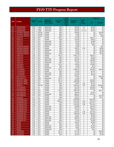|             |                                              |                            |             |                          |                         | Land              |                                   |                              | <b>Total Cost</b>     |                     |
|-------------|----------------------------------------------|----------------------------|-------------|--------------------------|-------------------------|-------------------|-----------------------------------|------------------------------|-----------------------|---------------------|
|             |                                              |                            |             | <b>Historical</b>        |                         | Record            |                                   | Cents                        |                       |                     |
| <b>FIPS</b> | Locality                                     | <b>Budget</b><br><b>FY</b> | Vendor      | (Back file) /            | <b>Accuracy</b><br>Rate | s (B) or<br>Other | <b>Number of</b><br><b>Images</b> | per                          |                       |                     |
|             |                                              |                            |             | Day-Forward              |                         | Areas             |                                   | Image                        | \$4                   | \$1 Fund            |
|             |                                              |                            |             |                          |                         | (F)               |                                   |                              |                       |                     |
| 550         | <b>CHESAPEAKE</b>                            | <b>FY08</b>                | Logan       | dayforward               | 99%                     | в                 | 540,000                           | 1.5                          | \$8,100               | \$0                 |
| 550         | <b>CHESAPEAKE</b>                            | <b>FY09</b>                | Logan       | dayforward               | 99%                     | B                 | 453,000                           | 3.5                          | \$7,315               | \$0                 |
| 550         | <b>CHESAPEAKE</b>                            | <b>FY10</b>                | Logan       | dayforward               | 99%                     | B                 | 351,000                           | 1.5 / 3.5                    | \$5,785               | \$0                 |
| 570         | <b>COLONIAL HEIGHTS</b>                      | <b>FY07</b>                | AmCad       | backfile                 | 96%                     | B                 | 400,000                           | 4                            | \$0                   | \$16,000            |
| 570         | <b>COLONIAL HEIGHTS</b>                      | <b>FY10</b>                | AmCad       | backfile                 | 98%                     | B                 | 37,839                            | 4                            | \$0                   | \$1,514             |
| 570         | <b>COLONIAL HEIGHTS</b>                      | FY10                       | AmCad       | backfile                 | 98%                     | F                 | 11,646                            | $\overline{4}$               | \$0                   | \$466               |
| 590         | <b>DANVILLE</b>                              | <b>FY08</b>                | SCV         | backfile                 | $95 + \%$               | B                 | 731,788                           | 4                            | \$29,271              | \$0                 |
| 590         | <b>DANVILLE</b><br><b>DANVILLE</b>           | <b>FY09</b>                | SCV         | backfile                 | 98%                     | B<br>B            | 170,340                           | $\overline{\mathbf{4}}$<br>4 | \$6,814               | \$0<br>\$0          |
| 590<br>590  | <b>DANVILLE</b>                              | <b>FY09</b><br><b>FY10</b> | SCV<br>SCV  | dayforward<br>dayforward | 98%<br>98%              | В                 | 59,706<br>56,185                  | 4                            | \$2,388<br>\$2,247    | \$0                 |
| 590         | <b>DANVILLE</b>                              | <b>FY10</b>                | SCV         | dayforward               | 98%                     | F                 | 11,396                            | $\overline{4}$               | \$457                 | \$0                 |
| 630         | <b>FREDERICKSBURG</b>                        | <b>FY09</b>                | SCV         | backfile                 | 98%                     | B                 | 12,805                            | 4                            | \$0                   | \$512               |
| 630         | <b>FREDERICKSBURG</b>                        | <b>FY09</b>                | SCV         | backfile                 | 98%                     | B                 | 250,291                           | 3.35                         | \$0                   | \$8,385             |
| 630         | <b>FREDERICKSBURG</b>                        | <b>FY09</b>                | SCV         | dayforward               | 98%                     | B                 | 29,187                            | 4                            | \$0                   | \$1,168             |
| 630         | <b>FREDERICKSBURG</b>                        | <b>FY10</b>                | SCV         | backfile                 | 98%                     | B                 | 44,200                            | 4                            | \$0                   | \$1,768             |
| 630         | <b>FREDERICKSBURG</b>                        | <b>FY10</b>                | SCV         | dayforward               | 98%                     | F                 | 30,158                            | 4                            | \$0                   | \$1,206             |
| 650         | <b>HAMPTON</b>                               | <b>FY08</b>                | SCV         | backfile                 | $95 + \%$               | B                 | 2.301.775                         | 4                            | \$92,071              | \$0                 |
| 650         | <b>HAMPTON</b>                               | <b>FY09</b>                | SCV         | backfile                 | 98%                     | B                 | 125,377                           | 4                            | \$5,015               | \$0                 |
| 650         | <b>HAMPTON</b>                               | <b>FY09</b>                | SCV         | dayforward               | 98%                     | B                 | 240.145                           | 4                            | \$9,606               | \$0                 |
| 650         | <b>HAMPTON</b>                               | <b>FY10</b>                | SCV         | dayforward               | 98%                     | B                 | 391,321                           | 4                            | \$15,653              | \$0                 |
| 650         | <b>HAMPTON</b>                               | <b>FY10</b>                | SCV         | dayforward               | 98%                     | F                 | 79,372                            | 4                            | \$3,175               | \$0                 |
| 670         | <b>HOPEWELL</b>                              | <b>FY08</b>                | SCV         | backfile                 | $95 + \%$               | B                 | 416,366                           | 4                            | \$16,655              | \$0                 |
| 670         | <b>HOPEWELL</b>                              | <b>FY09</b>                | SCV         | backfile                 | 98%                     | в                 | 14,328                            | $\overline{4}$               | \$573                 | \$0                 |
| 670         | <b>HOPEWELL</b>                              | <b>FY09</b>                | SCV         | dayforward               | 98%                     | B                 | 29,738                            | 4                            | \$1,190               | \$0                 |
| 680         | <b>LYNCHBURG</b>                             | <b>FY08</b>                | SCV         | backfile                 | $95 + \%$               | B                 | 1,288,718                         | 4                            | \$41,280              | \$10.269            |
| 680         | <b>LYNCHBURG</b>                             | <b>FY09</b>                | SCV         | backfile                 | 98%                     | B                 | 52,564                            | $\overline{\mathbf{4}}$      | \$2,103               | \$0                 |
| 680<br>680  | <b>LYNCHBURG</b><br><b>LYNCHBURG</b>         | <b>FY09</b><br><b>FY10</b> | SCV<br>SCV  | dayforward               | 98%<br>98%              | B<br>B            | 117,862<br>106,226                | 4<br>$\overline{4}$          | \$4,714<br>\$4,249    | \$0<br>\$0          |
| 690         | <b>MARTINSVILLE</b>                          | <b>FY08</b>                | City        | dayforward<br>backfile   | 99%                     | B                 | 757,331                           | 4                            | \$0                   | \$30,293            |
| 690         | <b>MARTINSVILLE</b>                          | FY10                       | Unity       | dayforward               | $95 + \%$               | B                 | 15,000                            | 4                            | \$0                   | \$600               |
| 700         | <b>NEWPORT NEWS</b>                          | <b>FY08</b>                | SCV         | backfile                 | $95 + \%$               | B                 | 550,000                           | $\overline{4}$               | \$22,000              | \$0                 |
| 700         | <b>NEWPORT NEWS</b>                          | <b>FY08</b>                | SCV         | backfile                 | $95 + \%$               | B                 | 2,926,080                         | $\overline{c}$               | \$36,814              | \$0                 |
| 700         | <b>NEWPORT NEWS</b>                          | <b>FY09</b>                | SCV         | backfile                 | 98%                     | B                 | 62,857                            | 2.03                         | \$1,276               | \$0                 |
| 710         | <b>NORFOLK</b>                               | <b>FY10</b>                | WR Sys      | backfile                 | 98%                     | В                 | 3,653,540                         | 2.81                         | \$2,640               | \$100.025           |
| 730         | <b>PETERSBURG</b>                            | <b>FY08</b>                | ILS         | backfile                 | 99%                     | в                 | 551,440                           | 3                            | \$15,895              | \$648               |
| 730         | <b>PETERSBURG</b>                            | <b>FY09</b>                | <b>ILS</b>  | backfile                 | 99%                     | B                 | 564,370                           | 3                            | \$16,931              | \$0                 |
| 740         | <b>PORTSMOUTH</b>                            | <b>FY08</b>                | SCV         | backfile                 | $95 + \%$               | B                 | 2,067,766                         | 4                            | \$0                   | \$82,711            |
| 740         | <b>PORTSMOUTH</b>                            | <b>FY09</b>                | SCV         | backfile                 | 98%                     | B                 | 198,005                           | $\overline{4}$               | \$7,921               | \$0                 |
| 740         | <b>PORTSMOUTH</b>                            | <b>FY09</b>                | SCV         | dayforward               | 98%                     | B                 | 380,422                           | 4                            | \$15,217              | \$0                 |
| 740         | <b>PORTSMOUTH</b>                            | <b>FY10</b>                | SCV         | backfile                 | 98%                     | B                 | 550,631                           | $\overline{4}$               | \$0                   | \$22,025            |
| 750         | <b>RADFORD</b>                               | <b>FY07</b>                | <b>ILS</b>  | backfile                 | 99%                     | B                 | 159,219                           | 3                            | \$0                   | \$4.777             |
| 760         | <b>RICHMOND CITY</b>                         | <b>FY08</b>                | SCV         | backfile                 | $95 + \%$               | B                 | 3,580,688                         | $\overline{4}$               | \$143,228             | \$0                 |
| 760<br>760  | <b>RICHMOND CITY</b><br><b>RICHMOND CITY</b> | FY08<br><b>FY09</b>        | Cott<br>SCV | backfile<br>backfile     | 95-99%<br>98%           | в<br>в            | 2,214,555<br>3,793,156            | 3.25<br>3.35                 | \$71,973<br>\$127,071 | \$0<br>\$0          |
| 760         | <b>RICHMOND CITY</b>                         | FY09                       | Cott        | backfile                 | 98%                     | в                 | 2,214,555                         | 3.36                         | \$74,473              | \$0                 |
| 760         | <b>RICHMOND CITY</b>                         | <b>FY09</b>                | SCV         | dayforward               | 98%                     | в                 | 494,808                           | 4                            | \$19,792              | \$0                 |
| 760         | <b>RICHMOND CITY</b>                         | <b>FY10</b>                | SCV         | dayforward               | 98%                     | в                 | 452,754                           | 4                            | \$18,110              | \$0                 |
| 760         | <b>RICHMOND CITY</b>                         | <b>FY10</b>                | SCV         | dayforward               | 98%                     | F                 | 91,832                            | 4                            | \$3,673               | \$0                 |
| 760         | <b>RICHMOND CITY</b>                         | FY10                       | Cott        | backfile                 | 98%                     | в                 | 542,547                           | 3.25                         | \$17,633              | \$0                 |
| 770         | <b>ROANOKE CITY</b>                          | <b>FY09</b>                | SCV         | backfile                 | 98%                     | B                 | 1,685,008                         | 3.35                         | \$56,448              | \$0                 |
| 770         | <b>ROANOKE CITY</b>                          | <b>FY09</b>                | SCV         | backfile                 | 98%                     | В                 | 96,317                            | 4                            | \$3,853               | \$0                 |
| 770         | <b>ROANOKE CITY</b>                          | <b>FY09</b>                | SCV         | dayforward               | 98%                     | В                 | 190,953                           | 4                            | \$7,638               | \$0                 |
| 770         | <b>ROANOKE CITY</b>                          | <b>FY10</b>                | SCV         | dayforward               | 98%                     | в                 | 283,224                           | $\overline{4}$               | \$11,329              | \$0                 |
| 770         | <b>ROANOKE CITY</b>                          | FY10                       | SCV         | dayforward               | 98%                     | F                 | 57,446                            | $\overline{4}$               | \$2,298               | \$0                 |
| 775         | <b>SALEM</b>                                 | FY08                       | SCV         | backfile                 | $95 + \%$               | в                 | 223,481                           | 4                            | \$8,940               | \$0                 |
| 775         | <b>SALEM</b>                                 | <b>FY09</b>                | SCV         | backfile                 | 98%                     | В                 | 18,417                            | 4                            | \$737                 | \$0                 |
| 775         | <b>SALEM</b>                                 | FY09                       | SCV         | dayforward               | 98%                     | В                 | 37,602                            | 4                            | \$1,504               | \$0                 |
| 775         | <b>SALEM</b>                                 | FY10                       | SCV         | dayforward               | 98%                     | в<br>F            | 38,301                            | 4                            | \$1,532               | \$0                 |
| 775         | <b>SALEM</b>                                 | <b>FY10</b>                | SCV         | Dayforward               | 98%                     |                   | 7,769                             | 4<br>$\overline{4}$          | \$311                 | \$0                 |
| 790<br>790  | <b>STAUNTON</b><br><b>STAUNTON</b>           | <b>FY08</b><br>FY08        | SCV<br>SCV  | backfile<br>backfile     | $95 + \%$<br>$95 + \%$  | В<br>в            | 577,318<br>111,213                | 4                            | \$0<br>\$0            | \$23,093<br>\$4,449 |
| 790         | <b>STAUNTON</b>                              | <b>FY09</b>                | SCV         | backfile                 | 98%                     | В                 | 181,443                           | $\overline{4}$               | \$0                   | \$7,258             |
|             |                                              |                            |             |                          |                         |                   |                                   |                              |                       |                     |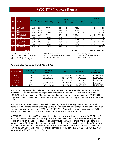|             |                       |                     |               |                                                   |                         | Land<br><b>Record</b>                    |                                   |                              |             | <b>Total Cost</b> |
|-------------|-----------------------|---------------------|---------------|---------------------------------------------------|-------------------------|------------------------------------------|-----------------------------------|------------------------------|-------------|-------------------|
| <b>FIPS</b> | Locality              | <b>Budget</b><br>FY | <b>Vendor</b> | <b>Historical</b><br>(Back file) /<br>Day-Forward | <b>Accuracy</b><br>Rate | s (B) or<br>Other<br><b>Areas</b><br>(F) | <b>Number of</b><br><b>Images</b> | <b>Cents</b><br>per<br>Image | \$4         | \$1 Fund          |
| 790         | <b>STAUNTON</b>       | <b>FY09</b>         | SCV           | dayforward                                        | 98%                     | B                                        | 83,072                            | 4                            | \$0         | \$3,323           |
| 790         | <b>STAUNTON</b>       | <b>FY10</b>         | SCV           | dayforward                                        | 98%                     | B                                        | 47,574                            | 4                            | \$0         | \$1,903           |
| 800         | <b>SUFFOLK</b>        | <b>FY07</b>         | AmCad         | backfile                                          | 96%                     | B                                        | 2,189,820                         | 4                            | \$0         | \$87,593          |
| 800         | <b>SUFFOLK</b>        | <b>FY08</b>         | AmCad         | dayforward                                        | 95%                     | B                                        | 300,000                           | $\overline{4}$               | \$0         | \$12,000          |
| 810         | <b>VIRGINIA BEACH</b> | <b>FY07</b>         | AmCad         | backfile                                          | 95%                     | B                                        | 11,381,468                        | 4                            | \$0         | \$455,259         |
| 820         | <b>WAYNESBORO</b>     | <b>FY08</b>         | SCV           | backfile                                          | $95 + \%$               | B                                        | 311,882                           | 4                            | \$12,475    | \$0               |
| 820         | <b>WAYNESBORO</b>     | <b>FY09</b>         | SCV           | dayforward                                        | 98%                     | в                                        | 80,055                            | 4                            | \$3,203     | \$0               |
| 820         | <b>WAYNESBORO</b>     | <b>FY10</b>         | SCV           | dayforward                                        | 98%                     | B                                        | 40,168                            | 4                            | \$1,607     | \$0               |
| 840         | <b>WINCHESTER</b>     | <b>FY08</b>         | SCV           | backfile                                          | $95 + \%$               | B                                        | 447,355                           | 4                            | \$0         | \$17,8974         |
| 840         | <b>WINCHESTER</b>     | <b>FY09</b>         | SCV           | <b>Backfile</b>                                   | 98%                     | в                                        | 19,999                            | 4                            | \$800       | \$0               |
| 840         | <b>WINCHESTER</b>     | <b>FY09</b>         | SCV           | dayforward                                        | 98%                     | в                                        | 41,622                            | 4                            | \$1,664     | \$0               |
| 840         | <b>WINCHESTER</b>     | <b>FY10</b>         | SCV           | dayforward                                        | 98%                     | в                                        | 506,276                           | 4                            | \$0         | \$20,251          |
|             |                       |                     |               |                                                   |                         |                                          |                                   |                              |             |                   |
|             | <b>TOTAL</b>          |                     |               |                                                   |                         |                                          | 207,329,496                       |                              | \$4,920,859 | \$2,480,719       |

SCV – Supreme Court of Virginia

AmCad – American Cadastre **BIS – Business Information Systems** Cott – Cott Systems<br>CSI – Computing Systems Innovations **DIS – Document Technology Systems** ILS – International Land Systems DTS – Document Technology Systems Logan – Logan Systems Mixnet – Mixnet Corporation M&W – M&W Printers

#### **Approvals for Redaction from FY07 to FY10**

| <b>Fiscal Year</b> | <b>Number of</b><br><b>Clerks</b> | <b>Number of</b><br><b>Images</b> | \$4         | \$1 Fund    | Total<br><b>Approved</b> |
|--------------------|-----------------------------------|-----------------------------------|-------------|-------------|--------------------------|
| FY07               | 25                                | 34,673,691                        | \$45,501    | \$1,277,367 | \$1,322,868              |
| <b>FY08</b>        | 90                                | 89,026,278                        | \$2,656,509 | \$483,953   | \$3,140,462              |
| <b>FY09</b>        | 88                                | 52,886,053                        | \$1,717,219 | \$155,980   | \$1,873,127              |
| <b>FY10</b>        | 85                                | 30,743,474                        | \$501,630   | \$563,491   | \$1,065,121              |
| <b>All Years</b>   | 115                               | 207,329,496                       | \$4,920,859 | \$2,480,719 | \$7,401,578              |

In FY07, 25 requests for back-file redaction were approved for 25 Clerks who certified to currently providing SRA to land records. All approvals were for the method of OCR plus one manual pass (OCR+1X) with one exception. The total number of images approved for redaction was 34,673,691. Approvals for redaction in FY07 totaled \$1,322,868 (\$45,501 in \$4 money and \$1,277,367 from the \$1 Fund).

In FY08, 106 requests for redaction (back file and day forward) were approved for 90 Clerks. All approvals were for the method of OCR plus one manual pass with one exception. The total number of images approved for redaction in FY08 was 89,026,278. Approvals for redaction services in FY08 totaled \$3,140,462 (\$2,656,509 in \$4 money and \$483,953 from the \$1 Fund).

In FY09, 172 requests for SSN redaction (back file and day forward) were approved for 88 Clerks. All approvals were for the method of OCR plus one manual pass. The Compensation Board approved redaction in which the vendor will run the images through the OCR software and then perform the manual review. The Board also approved redaction in which the Clerk will purchase the OCR software only and perform the manual review in-house. The total number of images funded for redaction in FY09 is 52,886,053. Approvals for redaction services in FY09 totaled \$1,873,127 (\$1,717,219 in \$4 money and \$155,908 from the \$1 Fund).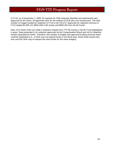In FY10, as of November 1, 2009, 92 requests for SSN redaction (backfile and dayforward) were approved for 85 Clerks. All approvals were for the method of OCR plus one manual pass. The total number of images funded for redaction in FY10 is 30,743,474. Approvals for redaction services in FY10 totaled \$1,065,121 (\$501,630 in \$4 money and \$563,491 from the \$1 Fund).

Note: Five Clerks have not made a redaction request from TTF \$4 money or the \$1 Fund (highlighted in gray). Data presented is for redaction approvals by the Compensation Board and not for redaction money expended by Clerks. Therefore, the number of images and approved funding amounts listed could be duplicative (i.e., a Clerk may not expend funds in one fiscal year; those funds would carry over and the Clerk may re-request the same funds for the same images).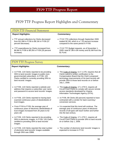# FY09 TTF Progress Report Highlights and Commentary

#### FY09 TTF Financial Statement

#### **Report Highlights: Commentary:**

- TTF annual collections by Clerks decreased from \$12.8M in FY06 to \$8.1M in FY09 (37 percent decrease).
- TTF expenditures by Clerks increased from \$6.8M in FY06 to \$9.2M in FY09 (35 percent increase).

- FY10 YTD collections through September 2009 totaled \$2.2M, which is a 7.32 percent increase compared to the same period in FY09.
- FY10 TTF Budget requests, as of November 1, 2009, total \$7.3M in \$4 money and \$1.6M from the \$1 Fund.

### FY09 TTF Progress Survey

#### **Report Highlights: Commentary:**

- In FY09, 119 Clerks reported to be providing SRA to land records' images to public (nongovernmental) subscribers. In FY08, 120 Clerks certified to currently providing SRA to land records' images.
- In FY09, 119 Clerks reported a website and address that requires a subscriber user name and password to access land records' images.
- In FY09, 120 Clerks reported to having back scanned continuous years of deeds/deeds of trust images.
- From FY04 to FY09, the average year of continuous years of electronic deeds/deeds of trust images increased from 26 years to 62 years old.
- In FY09, 119 Clerks reported to be providing SRA to electronic images. In FY09, 120 Clerks certified to providing SRA to land records' images.
- In FY09, 119 Clerks reported the total number of electronic land records' images available through SRA was 208M.

- The Code of Virginia, § 17.1-279, requires that all Clerks submit a written certification to the Compensation Board that the Clerk's proposed technology improvements of his land records will provide SRA to those land records on or before July 1, 2008.
- The Code of Virginia, 17.1-279 D, requires all Circuit Court Clerks to comply with secure remote access standards developed by Virginia Information Technologies Agency (VITA).
- In FY09, 99 Clerks (83 percent) reported to have contracted with a vendor for back scanning / conversion services.
- It is expected that this trend will continue. The average year of continuous years of electronic records of all types will reach further and further into the last century.
- The Code of Virginia, 17.1-279 C, requires all Circuit Court Clerks to provide SRA to land records on or before July 1, 2008.
- The number of electronic land records' images is expected to increase in FY10.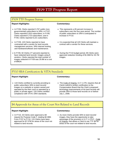### FY09 TTF Progress Survey

#### **Report Highlights: Commentary:**

- In FY06, Clerks reported 3,767 public (nongovernmental) subscribers to SRA; in FY07, Clerks reported 5,910 subscribers; in FY08, Clerks reported 5,723 subscribers; and in FY09, Clerks reported 6,221 subscribers.
- In FY09, 120 Clerks reported to have contracted with a vendor for land records management services, SRA internet hosting, and hardware/software and maintenance.
- In FY09, 92 Clerks (77 percent) reported to have redacted land records' images using 8 vendors. Clerks reported the total number of images redacted in FY09 was 29.8M at a cost of \$962K.

- This represents a 65 percent increase in subscribers over the four-year period. The number of public subscribers to SRA is anticipated to increase in FY10.
- It is expected that all 120 Clerks will maintain a contract with a vendor for these services.
- During the FY10 budget period, 85 Clerks were approved redaction funding of \$1.06M for 30.7M images.

## FY10 SRA Certification & VITA Standards

#### **Report Highlight: Commentary:**

• 119 Clerks certified to currently providing to public subscribers SRA to land records' images on a website or system owned and operated by the their court or operated by a public or private agent. 120 Clerks certified compliance with VITA's SRA standards.

• The Code of Virginia, § 17.1-279, requires that all Clerks submit a written certification to the Compensation Board that the Clerk's proposed technology improvements of his land records will provide SRA to those land records on or before July 1, 2008.

### \$4 Approvals for Areas of the Court Not Related to Land Records

#### **Report Highlight: Commentary:**

• In FY10, 33 Clerks were approved a \$4 request for Purpose Code F, totaling \$2.08M. From FY07 to FY10, 115 Clerks have been approved for \$7.57M for areas of the court not related to land records.

• As more Clerks provide SRA to land records' images, they have the opportunity to take advantage of the provision in § 17.1-279 F., Code of Virginia, that allows a Clerk to use TTF \$4 for areas of the court not related to land records.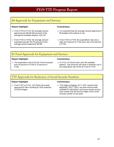## \$4 Approvals for Equipment and Services

#### **Report Highlight: Commentary:**

- From FY04 to FY10, the average amount approved was \$9.0M (84 percent) of the average \$4 available balance, \$10.7M.
- From FY04 to FY09, the average amount expended was \$6.7M (75 percent) of the average amount approved, \$8.9M.

- It is expected that the average amount approved of \$4 budgets will continue to rise.
- From FY04 to FY09, the expenditure rate was a high of 87 percent in FY05 and a low of 62 percent in FY08.

### \$1 Fund Approvals for Equipment and Services

#### Report Highlight: **Commentary: Commentary:**

• The expenditure rate of the \$1 Fund increased from 55 percent in FY06 to 70 percent in FY09.

• In FY10, 24 Clerks had a zero \$4 available balance. This pressure will cause a dramatic rise in the expenditure rate of the \$1 Fund in FY10.

### TTF Approvals for Redaction of Social Security Numbers

#### **Report Highlight: Commentary:**

• From FY07 to FY10, 115 Clerks have been approved \$7.4M in funding for SSN redaction of 207M images.

• The Code of Virginia, §17.1-294, requires that beginning, July 1, 2012, any land record made available to subscribers via secure remote access may contain only the last four digits of the social security number of any party.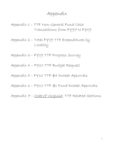Appendix 1 – TTF Non-General Fund Cash Transactions from FY97 to FY09

Appendix 2 – Total FY09 TTF Expenditures by Locality

Appendix 3 – FY09 TTF Progress Survey

Appendix 4 – FY10 TTF Budget Request

Appendix 5 – FY10 TTF \$4 Docket Approvals

Appendix 6 – FY10 TTF \$1 Fund Docket Approvals

Appendix 7 - Code of Virginia: TTF Related Sections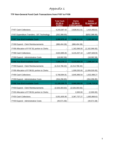### **TTF Non-General Fund Cash Transactions from FY97 to FY09**

|                                               | <b>Total Cash</b><br>\$3 ( \$5 in<br>$FY05+)$ | <b>Clerks</b><br>\$2 (\$4 in<br>FY05+) portion | <b>Admin</b><br>\$1 portion of<br>fee |
|-----------------------------------------------|-----------------------------------------------|------------------------------------------------|---------------------------------------|
| <b>FY97 Cash Collections</b>                  | 4,243,367.42                                  | 2,828,911.61                                   | 1,414,455.81                          |
| FY97 Expenditure Transfers - DIT Technology   | (252, 388.00)                                 |                                                | (\$252,388.00)                        |
| <b>FY97 Year-End Available Cash</b>           | 3,990,979.42                                  | 2,828,911.61                                   | 1,162,067.81                          |
| FY98 Expend - Clerk Reimbursements            | (886, 404.38)                                 | (886, 404.38)                                  |                                       |
| FY98 Allocation of FY97 \$1 portion to Clerks |                                               | 1,162,066.00                                   | (1, 162, 066.00)                      |
| <b>FY98 Cash Collections</b>                  | 4,822,885.65                                  | 3,215,257.10                                   | 1,607,628.55                          |
| FY98 Expend - Administrative Costs            | (18,082.58)                                   |                                                | (18,082.58)                           |
| <b>FY98 Year-End Available Cash</b>           | 7,909,378.11                                  | 6,319,830.33                                   | 1,589,547.78                          |
| FY99 Expend - Clerk Reimbursements            | (2,214,766.32)                                | (2,214,766.32)                                 |                                       |
| FY99 Allocation of FY98 \$1 portion to Clerks |                                               | 1,009,530.00                                   | (1,009,530.00)                        |
| <b>FY99 Cash Collections</b>                  | 5,768,994.81                                  | 3,845,996.54                                   | 1,922,998.27                          |
| FY99 Expend - Administrative Costs            | (354, 296.85)                                 |                                                | (354, 296.85)                         |
| <b>FY99 Year-End Available Cash</b>           | 11,109,309.75                                 | 8,960,590.55                                   | 2,148,719.20                          |
| FY00 Expend - Clerk Reimbursements            | (2,526,303.63)                                | (2,526,303.63)                                 |                                       |
| FY00 Allocation of FY99 \$1 portion to Clerks |                                               | 2,000.00                                       | (2,000.00)                            |
| <b>FY00 Cash Collections</b>                  | 5,051,605.90                                  | 3,367,737.27                                   | 1,683,868.63                          |
| FY00 Expend - Administrative Costs            | (40, 571.58)                                  |                                                | (40, 571.58)                          |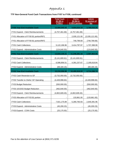|                                          | <b>Total Cash</b><br>\$3 (\$5 in<br>FY05+) | <b>Clerks</b><br>\$2 (\$4 in<br>FY05+) portion | <b>Admin</b><br>\$1 portion of<br>fee |
|------------------------------------------|--------------------------------------------|------------------------------------------------|---------------------------------------|
| <b>FY00 Year-End Available Cash</b>      | 13,594,040.44                              | 9,804,024.19                                   | 3,790,016.25                          |
| FY01 Expend - Clerk Reimbursements       | (4,757,461.69)                             | (4,757,461.69)                                 |                                       |
| FY01 Allocation of FY00 \$1 portion/RIF1 |                                            | 2,035,121.00                                   | (2,035,121.00)                        |
| FY01 Allocation of FY00 \$1 portion/RIF2 |                                            | 749,799.69                                     | (749, 799.69)                         |
| <b>FY01 Cash Collections</b>             | 5,122,196.96                               | 3,414,797.97                                   | 1,707,398.99                          |
| FY01 Expend - Administrative Costs       | (124, 640.50)                              |                                                | (124, 640.50)                         |
| <b>FY01 Year-End Available Cash</b>      | 13,834,135.21                              | 11,246,281.16                                  | 2,587,854.05                          |
| FY02 Expend - Clerk Reimbursements       | (5, 141, 600.61)                           | (5, 141, 600.61)                               |                                       |
| <b>FY02 Cash Collections</b>             | 6,586,856.51                               | 4,391,237.67                                   | 2,195,618.84                          |
| FY02 Expend - Administrative Costs       | (69, 184.15)                               |                                                | (69, 184.15)                          |
| <b>FY02 Year-End Available Cash</b>      | 15,210,206.96                              | 10,495,918.22                                  | 4,714,288.74                          |
| FY02 Cash Reversion to GF                | (3,732,050.00)                             | (3,732,050.00)                                 |                                       |
| FY03 Transfer to Clerks' GF Operating    | (4,449,998.84)                             |                                                | (4,449,998.84)                        |
| FY03 Budget Reduction                    | (550,000.00)                               |                                                | (550,000.00)                          |
| FY03 10/15/02 Budget Reduction           | (462, 640.00)                              |                                                | (462, 640.00)                         |
| FY03 Expend - Clerk Reimbursements       | (4,802,609.45)                             | (4,802,609.45)                                 |                                       |
| FY03 Allocation of FY03 \$1 portion      |                                            | 133,861.00                                     | (133, 861.00)                         |
| FY03 Cash Collections                    | 7,921,175.89                               | 5,280,783.93                                   | 2,640,391.96                          |
| FY03 Expend - Administrative Costs       | (45, 200.23)                               |                                                | (45, 200.23)                          |
| FY03 Expend - COIN Costs                 | (25, 175.50)                               |                                                | (25, 175.50)                          |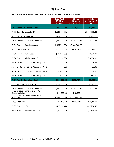|                                                        | <b>Total Cash</b><br>\$3 (\$5 in<br>$FY05+)$ | <b>Clerks</b><br>\$2 (\$4 in<br>FY05+) portion | <b>Admin</b><br>\$1 portion of<br>fee |
|--------------------------------------------------------|----------------------------------------------|------------------------------------------------|---------------------------------------|
| <b>FY03 Year-End Available Cash</b>                    | 9,063,708.83                                 | 7,375,903.70                                   | 1,687,805.13                          |
| FY03 Cash Reversion to GF                              | (3,500,000.00)                               |                                                | (3,500,000.00)                        |
| FY04 10/15/02 Budget Reduction                         | (462, 787.00)                                |                                                | (462, 787.00)                         |
| FY04 Transfer to Clerks' GF Operating                  | (1,489,212.73)                               | (1,487,142.46)                                 | (2,070.27)                            |
| FY04 Expend - Clerk Reimbursements                     | (3,384,769.22)                               | (3,384,769.22)                                 |                                       |
| <b>FY04 Cash Collections</b>                           | 8,512,088.24                                 | 5,674,725.49                                   | 2,837,362.75                          |
| FY04 Expend - COIN Costs                               | (130, 901.00)                                |                                                | (130, 901.00)                         |
| FY04 Expend - Administrative Costs                     | (23,504.69)                                  |                                                | (23, 504.69)                          |
| Adj to CARS cash bal - DPB Appropr Xfers               | (74.97)                                      |                                                | (74.97)                               |
| Adj to CARS cash bal - DPB Appropr Xfers               | (83.00)                                      |                                                | (83.00)                               |
| Adj to CARS cash bal - DPB Appropr Xfers               | (2,082.00)                                   |                                                | (2,082.00)                            |
| Adj to CARS cash bal - DPB Appropr Xfers               | (669.00)                                     |                                                | (669.00)                              |
| <b>FY04 Year-End Available Cash</b>                    | 8,584,622.43                                 | 8,178,717.51                                   | 405,904.92                            |
| FY05 Bud Red/Transfer to GF                            | (231, 393.00)                                |                                                | (231, 393.00)                         |
| FY05 Transfer to Clerks' GF Operating                  | (1,489,213.00)                               | (1,487,142.73)                                 | (2,070.27)                            |
| FY05 Offset of Transfer to GF w/GF<br>Reappropriation  | 543,385.00                                   | 543,385.00                                     |                                       |
| FY05 Expend - Clerk Reimbursements (incl.<br>Reapprop) | (4,385,882.67)                               | (4,385,882.67)                                 |                                       |
| <b>FY05 Cash Collections</b>                           | 12,404,426.50                                | 9,923,541.20                                   | 2,480,885.30                          |
| FY05 Expend - COIN                                     | (427, 254.47)                                |                                                | (427, 254.47)                         |
| FY05 Expend - Administrative Costs                     | (31, 846.09)                                 |                                                | (31, 846.09)                          |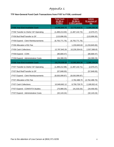|                                       | <b>Total Cash</b><br>$$3$ (\$5 in<br>$FY05+)$ | <b>Clerks</b><br>\$2 (\$4 in<br>FY05+) portion | <b>Admin</b><br>\$1 portion of<br>fee |
|---------------------------------------|-----------------------------------------------|------------------------------------------------|---------------------------------------|
| <b>FY05 Year-End Available Cash</b>   | 14,966,844.70                                 | 12,772,618.31                                  | 2,194,226.39                          |
| FY06 Transfer to Clerks' GF Operating | (1,489,213.00)                                | (1,487,142.73)                                 | (2,070.27)                            |
| FY06 Bud Red/Transfer to GF           | (115,696.00)                                  |                                                | (115, 696.00)                         |
| FY06 Expend - Clerk Reimbursements    | (6,755,771.76)                                | (6,755,771.76)                                 |                                       |
| FY06 Allocation of \$1 Fee            |                                               | 1,233,845.83                                   | (1, 233, 845.83)                      |
| <b>FY06 Cash Collections</b>          | 12,787,943.26                                 | 10,230,354.61                                  | 2,557,588.65                          |
| FY06 Expend - COIN                    | (80, 669.47)                                  |                                                | (80, 669.47)                          |
| FY06 Expend - Administrative Costs    | (34, 399.23)                                  |                                                | (34, 399.23)                          |
| <b>FY06 Year-End Available Cash</b>   | 19,279,038.50                                 | 15,993,904.26                                  | 3,285,134.24                          |
| FY07 Transfer to Clerks' GF Operating | (1,489,212.98)                                | (1,487,142.71)                                 | (2,070.27)                            |
| FY07 Bud Red/Transfer to GF           | (57, 848.00)                                  |                                                | (57, 848.00)                          |
| FY07 Expend - Clerk Reimbursements    | (8,630,099.87)                                | (8,630,099.87)                                 |                                       |
| FY07 Allocation of \$1 Fee            |                                               | 2,762,488.70                                   | (2,762,488.70)                        |
| <b>FY07 Cash Collections</b>          | 10,949,662.12                                 | 8,759,729.70                                   | 2,189,932.42                          |
| FY07 Expend - COIN/VITA Studies       | (75,989.25)                                   | (41, 533.25)                                   | (34, 456.00)                          |
| FY07 Expend - Administrative Costs    | (32, 143.24)                                  |                                                | (32, 143.24)                          |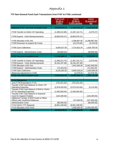|                                                                                          | <b>Total Cash</b><br>$$3$ (\$5 in<br>$FY05+)$ | <b>Clerks</b><br>\$2 (\$4 in)<br>FY05+) portion | <b>Admin</b><br>\$1 portion of<br>fee |
|------------------------------------------------------------------------------------------|-----------------------------------------------|-------------------------------------------------|---------------------------------------|
| <b>Adjusted FY07 Year-End Available Cash</b>                                             | 19,943,019.14                                 | 17,384,435.18                                   | 2,558,583.96                          |
| FY08 Transfer to Clerks' GF Operating                                                    | (1,489,212.98)                                | (1,487,142.71)                                  | (2,070.27)                            |
| FY08 Expend - Clerk Reimbursements                                                       | (9,864,876.47)                                | (9,864,876.47)                                  |                                       |
| FY08 Allocation of \$1 Fee<br>FY08 Reversion of unspent \$1 Funds                        |                                               | 2,288,887.00<br>(15, 370.00)                    | (2,288,887.00)<br>15,370.00           |
| <b>FY08 Cash Collections</b>                                                             | 9,093,527.93                                  | 7,274,822.34                                    | 1,818,705.59                          |
| FY08 Expend - Administrative Costs                                                       | (36, 869.50)                                  |                                                 | (36, 869.50)                          |
| <b>FY08 Year-End Available Cash</b>                                                      | 17,645,588.12                                 | 15,569,036.99                                   | 2,076,551.13                          |
| FY09 Transfer to Clerks' GF Operating<br>FY09 Expend - Clerk Reimbursements              | (1,489,212.75)<br>(9, 155, 197.48)            | (1,487,142.71)<br>(9, 155, 197.48)              | (2,070.04)                            |
| FY09 Allocation of \$1 Fee                                                               |                                               | 1,641,845.00                                    | (1,641,845.00)                        |
| FY09 Expend - Administrative Costs<br><b>FY09 Cash Collections</b>                       | (72, 163.23)<br>8,125,282,93                  | 6,500,226,34                                    | (72, 163.23)<br>1,625,056.59          |
| <b>Balancing Adjustment to COIN</b>                                                      |                                               | 12,079.25                                       | (12,079.25)                           |
| <b>FY09 Year-End Available Cash</b>                                                      | 15,054,297.59                                 | 13,092,565.74                                   | 1,961,731.85                          |
| <b>FY10 Obligations</b>                                                                  |                                               |                                                 |                                       |
| June FY09 Expended in FY10                                                               | (722,421.32)                                  | (722, 421, 32)                                  |                                       |
| Transfer of \$4 Cash Balance to Clerks' GF<br><b>Operating Expenses</b>                  | (2,978,426.00)                                | (2,973,313.00)                                  | (5, 113.00)                           |
| Transfer of \$4 Cash Balance of \$1M to Clerks'<br><b>GF for Operating Expenses</b>      | (1,000,000.00)                                | (1,000,000.00)                                  |                                       |
| Transfer of \$1 Cash Balance to Supreme<br><b>Court for Support Position</b>             | (104, 280.00)                                 |                                                 | (104, 280.00)                         |
| Additional Transfer of \$1M Funds to Offset<br><b>Offices with Insufficient Balances</b> |                                               | 107,656.58                                      | (107, 656.58)                         |
| <b>Administrative Costs</b>                                                              | (80,000.00)                                   |                                                 | (80,000.00)                           |
| FY10 Clerk's TTF Requests                                                                | (8,901,448.00)                                | (8,901,448.00)                                  |                                       |
| FY10 Allocation of \$1 Fund<br><b>Anticipated Balance</b>                                | 10,169,170.27                                 | 1,656,056.00<br>1,259,096.00                    | (1,656,056.00)<br>8,626.27            |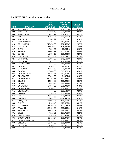### **Total FY09 TTF Expenditures by Locality**

| <b>FIPS</b> | <b>LOCALITY</b>      | <b>FY09</b><br><b>FUNDS</b><br><b>EXPENDED</b> | <b>FY98-FY09</b><br><b>TOTAL</b><br><b>EXPENDED</b> | <b>PERCENT</b><br>of TOTAL |
|-------------|----------------------|------------------------------------------------|-----------------------------------------------------|----------------------------|
| 001         | <b>ACCOMACK</b>      | 48,260.00                                      | 209,777.68                                          | 0.34%                      |
| 003         | <b>ALBEMARLE</b>     | 129,250.15                                     | 504,430.50                                          | 0.81%                      |
| 005         | <b>ALLEGHANY</b>     | 14,397.74                                      | 182,470.12                                          | 0.29%                      |
| 007         | <b>AMELIA</b>        | 40,646.25                                      | 169,060.39                                          | 0.27%                      |
| 009         | <b>AMHERST</b>       | 27,342.22                                      | 100,728.49                                          | 0.16%                      |
| 011         | <b>APPOMATTOX</b>    | 10,194.00                                      | 141,963.64                                          | 0.23%                      |
| 013         | <b>ARLINGTON</b>     | 245,074.60                                     | 1,292,453.87                                        | 2.07%                      |
| 015         | <b>AUGUSTA</b>       | 88,970.70                                      | 625,550.05                                          | 1.00%                      |
| 017         | <b>BATH</b>          | 7,394.96                                       | 63,204.42                                           | 0.10%                      |
| 019         | <b>BEDFORD</b>       | 38,068.88                                      | 502,079.63                                          | 0.80%                      |
| 021         | <b>BLAND</b>         | 16,635.16                                      | 126,094.58                                          | 0.20%                      |
| 023         | <b>BOTETOURT</b>     | 36,519.01                                      | 204,244.23                                          | 0.33%                      |
| 025         | <b>BRUNSWICK</b>     | 26,805.37                                      | 141,530.68                                          | 0.23%                      |
| 027         | <b>BUCHANAN</b>      | 27,472.00                                      | 232,809.60                                          | 0.37%                      |
| 029         | <b>BUCKINGHAM</b>    | 16,176.83                                      | 146,023.66                                          | 0.23%                      |
| 031         | <b>CAMPBELL</b>      | 74,143.00                                      | 322,802.45                                          | 0.52%                      |
| 033         | <b>CAROLINE</b>      | 78,215.63                                      | 299,035.69                                          | 0.48%                      |
| 035         | CARROLL              | 103,088.80                                     | 365,576.18                                          | 0.58%                      |
| 036         | <b>CHARLES CITY</b>  | 33,487.34                                      | 161,017.92                                          | 0.26%                      |
| 037         | <b>CHARLOTTE</b>     | 27,344.00                                      | 64,374.05                                           | 0.10%                      |
| 041         | <b>CHESTERFIELD</b>  | 250,751.38                                     | 2,531,858.44                                        | 4.05%                      |
| 043         | <b>CLARKE</b>        | 44,540.00                                      | 192,228.00                                          | 0.31%                      |
| 045         | <b>CRAIG</b>         | 14,589.15                                      | 165,833.64                                          | 0.27%                      |
| 047         | <b>CULPEPER</b>      | 57,576.66                                      | 278,993.90                                          | 0.45%                      |
| 049         | <b>CUMBERLAND</b>    | 19,740.36                                      | 132,459.11                                          | 0.21%                      |
| 051         | <b>DICKENSON</b>     | 0.00                                           | 123,543.00                                          | 0.20%                      |
| 053         | <b>DINWIDDIE</b>     | 65,748.84                                      | 150,835.84                                          | 0.24%                      |
| 057         | <b>ESSEX</b>         | 48,141.00                                      | 129,949.20                                          | 0.21%                      |
| 059         | <b>FAIRFAX</b>       | 739,431.00                                     | 9,104,447.36                                        | 14.56%                     |
| 061         | <b>FAUQUIER</b>      | 61,965.81                                      | 458,759.63                                          | 0.73%                      |
| 063         | <b>FLOYD</b>         | 14,146.45                                      | 129,825.59                                          | 0.21%                      |
| 065         | <b>FLUVANNA</b>      | 38,106.91                                      | 401,144.26                                          | 0.64%                      |
| 067         | <b>FRANKLIN</b>      | 168,456.68                                     | 285,868.66                                          | 0.46%                      |
| 069         | <b>FREDERICK</b>     | 42,635.08                                      | 546,289.13                                          | 0.87%                      |
| 071         | <b>GILES</b>         | 7,112.21                                       | 137,758.89                                          | 0.22%                      |
| 073         | <b>GLOUCESTER</b>    | 18,245.47                                      | 201,803.63                                          | 0.32%                      |
| 075         | <b>GOOCHLAND</b>     | 26,412.64                                      | 170,976.07                                          | 0.27%                      |
| 077         | <b>GRAYSON/GALAX</b> | 27,755.56                                      | 256,693.12                                          | 0.41%                      |
| 079         | <b>GREENE</b>        | 19,495.00                                      | 105,007.00                                          | 0.17%                      |
| 081         | <b>GREENSVILLE</b>   | 24,740.00                                      | 145,962.32                                          | 0.23%                      |
| 083         | <b>HALIFAX</b>       | 112,329.78                                     | 296,393.86                                          | 0.47%                      |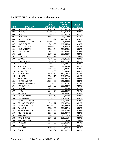|  | <b>Total FY09 TTF Expenditures by Locality, continued</b> |
|--|-----------------------------------------------------------|
|--|-----------------------------------------------------------|

|             |                              | <b>FY09</b>              | <b>FY98-FY09</b>              |                            |
|-------------|------------------------------|--------------------------|-------------------------------|----------------------------|
| <b>FIPS</b> | <b>LOCALITY</b>              | <b>FUNDS</b>             | <b>TOTAL</b>                  | <b>PERCENT</b><br>of TOTAL |
| 085         | <b>HANOVER</b>               | <b>EXPENDED</b>          | <b>EXPENDED</b><br>735,887.54 | 1.18%                      |
| 087         | <b>HENRICO</b>               | 147,098.23<br>396,804.28 | 1,494,257.49                  | 2.39%                      |
| 089         | <b>HENRY</b>                 | 29,330.55                | 195,952.20                    | 0.31%                      |
| 091         | <b>HIGHLAND</b>              | 44,633.00                | 86,557.00                     | 0.14%                      |
| 093         | <b>ISLE OF WIGHT</b>         | 20,596.97                | 226,547.20                    | 0.36%                      |
| 095         | <b>WILLIAMSBG/JAMES CITY</b> | 283,993.00               | 994,287.60                    | 1.59%                      |
| 097         | <b>KING &amp; QUEEN</b>      | 10,313.00                | 110,643.48                    | 0.18%                      |
| 099         | <b>KING GEORGE</b>           | 24,000.00                | 295,277.79                    | 0.47%                      |
| 101         | <b>KING WILLIAM</b>          | 53,828.04                | 201,820.20                    | 0.32%                      |
| 103         | <b>LANCASTER</b>             | 13,934.00                | 157,538.51                    | 0.25%                      |
| 105         | <b>LEE</b>                   | 35,337.29                | 207,086.57                    | 0.33%                      |
| 107         | <b>LOUDOUN</b>               | 327,979.91               | 1,537,221.28                  | 2.46%                      |
| 109         | <b>LOUISA</b>                | 70,784.00                | 246,815.11                    | 0.39%                      |
| 111         | <b>LUNENBURG</b>             | 71,924.69                | 292,711.69                    | 0.47%                      |
| 113         | <b>MADISON</b>               | 6,884.72                 | 116,074.77                    | 0.19%                      |
| 115         | <b>MATHEWS</b>               | 5,880.00                 | 44,948.00                     | 0.07%                      |
| 117         | <b>MECKLENBURG</b>           | 36,973.56                | 237,840.94                    | 0.38%                      |
| 119         | <b>MIDDLESEX</b>             | 0.00                     | 39,549.45                     | 0.06%                      |
| 121         | <b>MONTGOMERY</b>            | 88,468.57                | 443,132.78                    | 0.71%                      |
| 125         | <b>NELSON</b>                | 25,068.79                | 213,472.93                    | 0.34%                      |
| 127         | <b>NEW KENT</b>              | 44,997.00                | 345,667.26                    | 0.55%                      |
| 131         | <b>NORTHAMPTON</b>           | 121,343.00               | 518,938.58                    | 0.83%                      |
| 133         | NORTHUMBERLAND               | 0.00                     | 107,877.61                    | 0.17%                      |
| 135         | <b>NOTTOWAY</b>              | 15,241.35                | 118,844.68                    | 0.19%                      |
| 137         | <b>ORANGE</b>                | 29,350.35                | 353,930.48                    | 0.57%                      |
| 139         | <b>PAGE</b>                  | 20,473.14                | 212,240.85                    | 0.34%                      |
| 141         | <b>PATRICK</b>               | 13,479.65                | 99,433.09                     | 0.16%                      |
| 143         | PITTSYLVANIA                 | 31,285.49                | 237,223.65                    | 0.38%                      |
| 145         | <b>POWHATAN</b>              | 13,161.00                | 162,096.49                    | 0.26%                      |
| 147         | PRINCE EDWARD                | 29,235.00                | 175,632.91                    | 0.28%                      |
| 149         | PRINCE GEORGE                | 7,161.17                 | 196,962.44                    | 0.31%                      |
| 153         | PRINCE WILLIAM               | 370,296.00               | 4,189,823.80                  | 6.70%                      |
| 155         | <b>PULASKI</b>               | 22,586.89                | 331,647.43                    | 0.53%                      |
| 157         | <b>RAPPAHANNOCK</b>          | 45,256.75                | 155,879.09                    | 0.25%                      |
| 159         | RICHMOND CO.                 | 39,167.55                | 139,087.73                    | 0.22%                      |
| 161         | ROANOKE CO.                  | 67,646.00                | 582,128.74                    | 0.93%                      |
| 163         | <b>ROCKBRIDGE</b>            | 33,985.71                | 156,151.56                    | 0.25%                      |
| 165         | <b>ROCKINGHAM</b>            | 184,594.54               | 623,245.40                    | 1.00%                      |
| 167         | <b>RUSSELL</b>               | 53,777.00                | 397,412.81                    | 0.64%                      |
| 169         | <b>SCOTT</b>                 | 5,571.00                 | 397,337.55                    | 0.64%                      |
| 171         | SHENANDOAH                   | 48,683.65                | 397,782.78                    | 0.64%                      |
| 173         | <b>SMYTH</b>                 | 25,436.34                | 279,697.19                    | 0.45%                      |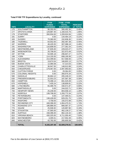|  | <b>Total FY09 TTF Expenditures by Locality, continued</b> |  |  |
|--|-----------------------------------------------------------|--|--|
|--|-----------------------------------------------------------|--|--|

|             |                         | <b>FY09</b><br><b>FUNDS</b> | <b>FY98-FY09</b><br><b>TOTAL</b> | <b>PERCENT</b> |
|-------------|-------------------------|-----------------------------|----------------------------------|----------------|
| <b>FIPS</b> | <b>LOCALITY</b>         | <b>EXPENDED</b>             | <b>EXPENDED</b>                  | of TOTAL       |
| 175         | <b>SOUTHAMPTON</b>      | 98,350.00                   | 306,492.30                       | 0.49%          |
| 177         | <b>SPOTSYLVANIA</b>     | 129,887.40                  | 1,160,015.76                     | 1.85%          |
| 179         | <b>STAFFORD</b>         | 260,934.00                  | 1,209,924.56                     | 1.93%          |
| 181         | <b>SURRY</b>            | 0.00                        | 134,464.19                       | 0.22%          |
| 183         | <b>SUSSEX</b>           | 70,360.00                   | 152,836.30                       | 0.24%          |
| 185         | <b>TAZEWELL</b>         | 64,552.00                   | 282,487.38                       | 0.45%          |
| 187         | <b>WARREN</b>           | 48,429.35                   | 307,088.18                       | 0.49%          |
| 191         | <b>WASHINGTON</b>       | 116,808.93                  | 277,361.54                       | 0.44%          |
| 193         | WESTMORELAND            | 37,835.00                   | 229,023.27                       | 0.37%          |
| 195         | <b>WISE/NORTON</b>      | 26,708.00                   | 322,973.49                       | 0.52%          |
| 197         | <b>WYTHE</b>            | 54,595.18                   | 296,607.27                       | 0.47%          |
| 199         | <b>YORK</b>             | 114,155.93                  | 699,195.99                       | 1.12%          |
| 510         | <b>ALEXANDRIA</b>       | 214,499.82                  | 917,566.93                       | 1.47%          |
| 520         | <b>BRISTOL</b>          | 19,674.54                   | 166,802.13                       | 0.27%          |
| 530         | <b>BUENA VISTA</b>      | 12,080.08                   | 57,314.03                        | 0.09%          |
| 540         | <b>CHARLOTTESVILLE</b>  | 36,947.50                   | 148,913.98                       | 0.24%          |
| 550         | <b>CHESAPEAKE</b>       | 179,467.00                  | 2,097,993.83                     | 3.35%          |
| 560         | <b>CLIFTON FORGE</b>    | 0.00                        | 29,364.00                        | 0.05%          |
| 570         | <b>COLONIAL HEIGHTS</b> | 0.00                        | 356,975.34                       | 0.57%          |
| 590         | <b>DANVILLE</b>         | 36,664.12                   | 205,249.22                       | 0.33%          |
| 630         | <b>FREDERICKSBURG</b>   | 22,553.23                   | 187,587.38                       | 0.30%          |
| 650         | <b>HAMPTON</b>          | 79,498.14                   | 691,525.09                       | 1.11%          |
| 670         | <b>HOPEWELL</b>         | 7,435.24                    | 138,809.91                       | 0.22%          |
| 680         | <b>LYNCHBURG</b>        | 65,489.79                   | 430,571.87                       | 0.69%          |
| 690         | <b>MARTINSVILLE</b>     | 0.00                        | 244,022.71                       | 0.39%          |
| 700         | <b>NEWPORT NEWS</b>     | 25,248.00                   | 803,558.10                       | 1.28%          |
| 710         | <b>NORFOLK</b>          | 138,708.00                  | 1,293,772.34                     | 2.07%          |
| 730         | <b>PETERSBURG</b>       | 0.00                        | 147,494.01                       | 0.24%          |
| 740         | <b>PORTSMOUTH</b>       | 138,428.00                  | 829,251.75                       | 1.33%          |
| 750         | <b>RADFORD</b>          | 4,758.00                    | 155,072.89                       | 0.25%          |
| 760         | <b>RICHMOND CITY</b>    | 448,396.00                  | 1,064,470.31                     | 1.74%          |
| 770         | ROANOKE CITY            | 186,886.00                  | 666,587.37                       | 1.07%          |
| 775         | <b>SALEM</b>            | 25,506.92                   | 120,897.90                       | 0.19%          |
| 790         | <b>STAUNTON</b>         | 47,565.00                   | 462,139.27                       | 0.74%          |
| 800         | <b>SUFFOLK</b>          | 158,396.00                  | 862,134.32                       | 1.38%          |
| 810         | <b>VIRGINIA BEACH</b>   | 430,325.00                  | 4,711,055.40                     | 7.53%          |
| 820         | WAYNESBORO              | 3,305.51                    | 217,552.49                       | 0.35%          |
| 840         | <b>WINCHESTER</b>       | 42,782.00                   | 265,600.58                       | 0.42%          |
|             | <b>TOTAL</b>            | 9,155,197.48                | 62,509,276.51                    | 100.00%        |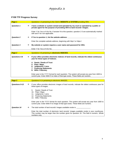

### **FY09 TTF Progress Survey**

| Page 1            |               | Questions 1-3 pertaining to the Clerk's WEBSITE or SYSTEM providing SRA.                                                                                        |
|-------------------|---------------|-----------------------------------------------------------------------------------------------------------------------------------------------------------------|
| <b>Question 1</b> | $\rightarrow$ | I have a website or system owned and operated by my court or operated by a public or<br>private agent for the purpose of providing SRA to land records' images. |
|                   |               | Enter Y for Yes or N for No. If answer N to this question, question 2-3 are automatically marked<br>with and X for non-applicable.                              |
| <b>Question 2</b> | $\rightarrow$ | If Yes to question 1, list the website address:                                                                                                                 |
|                   |               | Enter the complete website address, beginning with http:// or https:/.                                                                                          |
| <b>Question 3</b> | $\rightarrow$ | My website or system requires a user name and password for SRA.                                                                                                 |
|                   |               | Enter Y for Yes or N for No.                                                                                                                                    |
| Page 2            |               | Questions 4-8 pertaining to electronic INDEXES.                                                                                                                 |
|                   |               |                                                                                                                                                                 |

| <b>rage z</b> |               | Questions 4-8 pertaining to electronic inDEXES.                                                                                                                                      |
|---------------|---------------|--------------------------------------------------------------------------------------------------------------------------------------------------------------------------------------|
| Questions 4-8 | $\rightarrow$ | If your office provides electronic indexes of land records, indicate the oldest continuous<br>year for these types of indexes.                                                       |
|               |               | Deeds / Deeds of Trust<br>4.<br>Plats / Maps<br>5.<br>Judgments / Liens<br>6.<br><b>Financing Statements</b><br><b>Wills / Fiduciary</b><br>8.                                       |
|               |               | Enter year in the YYYY format for each question. The system will accept any year from 1600 to<br>current year. Enter 0000 if no index of that type exists. These fields are numeric. |

| Page 3             |               | Questions 9-14 pertaining to electronic IMAGES.                                                                                                                                                                  |
|--------------------|---------------|------------------------------------------------------------------------------------------------------------------------------------------------------------------------------------------------------------------|
| Questions 9-13     | $\rightarrow$ | If your office provides electronic images of land records, indicate the oldest continuous year for<br>these types of images.                                                                                     |
|                    |               | Deeds / Deeds of Trust<br>9.<br>10. Plats / Maps<br>11. Judgments / Liens<br>12. Financing Statements<br>13. Wills / Fiduciary                                                                                   |
|                    |               | Enter year in the YYYY format for each question. The system will accept any year from 1600 to<br>current year. Enter 0000 if no image of that type exists. These fields are numeric.                             |
| <b>Question 14</b> | $\rightarrow$ | The total number of land records' images available onsite is:                                                                                                                                                    |
|                    |               | Enter the total number of electronic land records' images available onsite in your courthouse.<br>This number may be larger than the number given for question 16. This field is numeric. Whole<br>numbers only. |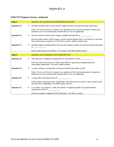#### **FY09 TTF Progress Survey, continued**

| Page 4             |               | Questions 15-17 pertaining SECURE REMOTE ACCESS.                                                                                                                              |
|--------------------|---------------|-------------------------------------------------------------------------------------------------------------------------------------------------------------------------------|
| <b>Question 15</b> | $\rightarrow$ | My office provides SRA to land records' images to public (non-governmental) subscribers.                                                                                      |
|                    |               | Enter Y for Yes or N for No. If answer Yes, questions 16-31 must be answered. If answer No,<br>questions 16-31 are automatically marked with an X for non-applicable.         |
| <b>Question 16</b> | $\rightarrow$ | My total number of land records' images available through SRA is ______________                                                                                               |
|                    |               | Enter the total number of SRA images. Answer must be greater than 0, but equal to or less than<br>the number given in question 14. This field is numeric. Whole numbers only. |
| <b>Question 17</b> | $\rightarrow$ | My office began providing SRA to land records' images to public (non-governmental) subscribers<br>in ____________________                                                     |
|                    |               | Enter month and year in the MM / YYYY format. This field is alpha-numeric.                                                                                                    |
|                    |               |                                                                                                                                                                               |
| Page 5             |               | Questions 18-21 pertaining to SRA SUBSCRIPTION.                                                                                                                               |
| <b>Question 18</b> | $\rightarrow$ | Who approves / disapproves applications for subscription to SRA?                                                                                                              |
|                    |               | Enter the name of the person or entity responsible for approving or disapproving SRA<br>subscription applications. This field is alpha-numeric.                               |
| <b>Question 19</b> | $\rightarrow$ | I accept / willing to accept public (non-governmental) subscribers to SRA.                                                                                                    |
|                    |               | Enter Y for Yes or N for No. If answer Yes, questions 20-31 must be answered. If answer No,<br>questions 20-31 are automatically marked with an X for non-applicable.         |
| Question 20        | $\rightarrow$ | I charge SRA subscription fee(s) of: _______________                                                                                                                          |
|                    |               | Enter monthly subscription fees. If applicable, enter discount for 6-month or year contract. Enter<br>one-time fees, if applicable. This field is alpha-numeric.              |
| <b>Question 21</b> | $\rightarrow$ | In my office, as of August 1, 2009, the number of registered public (non-governmental)<br>subscribers to SRA is _____________                                                 |
|                    |               | Enter the number of registered SRA subscribers. This field is numeric.                                                                                                        |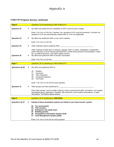### **FY09 TTF Progress Survey, continued**

| Page 6             |               | Questions 22-25 pertaining to SRA PUBLICITY.                                                                                                                                                                                                                                                                    |
|--------------------|---------------|-----------------------------------------------------------------------------------------------------------------------------------------------------------------------------------------------------------------------------------------------------------------------------------------------------------------|
| <b>Question 22</b> | $\rightarrow$ | My office has publicized the availability of SRA to land records' images.                                                                                                                                                                                                                                       |
|                    |               | Enter Y for Yes or N for No. If answer Yes, questions 23-31 must be answered. If answer No,<br>questions 23-31 are automatically marked with an X for non-applicable.                                                                                                                                           |
| <b>Question 23</b> | →             | My office has publicized SRA on my court's website.                                                                                                                                                                                                                                                             |
|                    |               | Enter Y for Yes or N for No.                                                                                                                                                                                                                                                                                    |
| <b>Question 24</b> | $\rightarrow$ |                                                                                                                                                                                                                                                                                                                 |
| <b>Question 25</b> | $\rightarrow$ | Other methods include flyer or handout, signage, letter or memo, newspaper or publication,<br>public television or local channel advertisement, verbal announcement or presentation, email,<br>fax, or political brochure. This field is alpha-numeric.<br>My office has publicized SRA to the Bar Association. |
|                    |               | Enter Y for Yes or N for No.                                                                                                                                                                                                                                                                                    |
|                    |               |                                                                                                                                                                                                                                                                                                                 |
| Page 7             |               | Questions 26-31 pertaining to SRA PUBLICITY.                                                                                                                                                                                                                                                                    |
| Questions 26-30    | $\rightarrow$ | My office has publicized SRA to:                                                                                                                                                                                                                                                                                |
|                    |               | Realtors<br>26.<br>27.<br>Surveyors<br>Title companies<br>28.<br>29.<br><b>Financial institutions</b><br>The Public<br>30.<br>Enter Y for Yes or N for No for each question.                                                                                                                                    |
| <b>Question 31</b> | $\rightarrow$ |                                                                                                                                                                                                                                                                                                                 |
|                    |               | Enter other groups, such as public meeting, notice in government office, law library, civic league,<br>genealogist group, appraisers, hospitals, title searchers, home builder associations, or legal<br>secretaries. This field is alpha-numeric.                                                              |
| Page 8             |               | Questions 32-37 pertaining to LINKAGES.                                                                                                                                                                                                                                                                         |
|                    |               |                                                                                                                                                                                                                                                                                                                 |
| Questions 32-37    | →             | Indicate if these automated systems are linked to your land records' system.                                                                                                                                                                                                                                    |
|                    |               | 32.<br><b>Tax assessments</b><br>33. Title transfers<br>34. Delinquent real estate taxes<br>35. Building permits<br>36. Geographical Information System (GIS)<br>37. Case Management System (CMS)<br>Enter Y for Yes or N for No for each question.                                                             |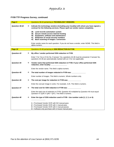### **FY09 TTF Progress Survey, continued**

| Page 9             |               | Questions 38-42 pertaining to TECHNOLOGY VENDORS.                                                                                                                                                                  |
|--------------------|---------------|--------------------------------------------------------------------------------------------------------------------------------------------------------------------------------------------------------------------|
| Question 38-42     | $\rightarrow$ | Indicate the technology vendors (including your locality) with whom you have signed a<br>contract for the following services. Please spell out vendor names completely.                                            |
|                    |               | 38. Land records automation system<br>39. Secure remote access internet hosting<br>40. Equipment, software and maintenance<br>41. Redaction of social security numbers<br>42. Back scanning of images / conversion |
|                    |               | Enter vendor name for each question. If you do not have a vendor, enter NONE. This field is<br>alpha-numeric.                                                                                                      |
| Page 10            |               | Questions 43-48 pertaining to SSN REDACTION IN FY09.                                                                                                                                                               |
| <b>Question 43</b> | $\rightarrow$ | My office / vendor performed SSN redaction in FY09.                                                                                                                                                                |
|                    |               | Enter Y for Yes or N for No. If answer Yes, questions 44-48 must be answered. If answer No,<br>questions 44-48 are automatically marked with an X for non-applicable.                                              |
| Question 44        | $\rightarrow$ | Vendor name that performed SSN redaction in FY09. If your office performed SSN<br>redaction, enter locality:                                                                                                       |
|                    |               | Enter the vendor name. This field is alpha-numeric.                                                                                                                                                                |
| Question 45        | $\rightarrow$ | The total number of images redacted in FY09 was: __________                                                                                                                                                        |
|                    |               | Enter number of images. This field is numeric. Whole numbers only.                                                                                                                                                 |
| <b>Question 46</b> | $\rightarrow$ | The cost per image for redaction in FY09 was:                                                                                                                                                                      |
|                    |               | Enter the cost per image in cents. For example, 3.25. This field is numeric.                                                                                                                                       |
| <b>Question 47</b> | $\rightarrow$ | The total cost for SSN redaction in FY09 was:                                                                                                                                                                      |
|                    |               | Enter the total cost of redaction in FY09. Question 45 multiplied by Question 46 must equal<br>Question 47 ( $Q45 \times Q46 = Q47$ ). This field is numeric.                                                      |
| Question 48        | $\rightarrow$ | Enter the type of SSN redaction used in FY09 - Use number code (1, 2, 3, or 4):                                                                                                                                    |
|                    |               | 1 = Purchased Vendor OCR with NO manual pass<br>2 = Purchased Vendor OCR with 1 manual pass<br>$3$ = Purchased Vendor OCR with 2 manual passes<br>4 = Software-only purchase with in-house manual pass             |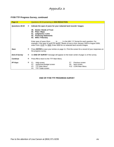#### **FY09 TTF Progress Survey, continued**

| Page 11              |               | Questions 49-53 pertaining to SSN REDACTION.                                                                                                                                                                                                                             |  |  |  |  |  |  |  |  |
|----------------------|---------------|--------------------------------------------------------------------------------------------------------------------------------------------------------------------------------------------------------------------------------------------------------------------------|--|--|--|--|--|--|--|--|
| Questions 49-53      | $\rightarrow$ | Indicate the span of years for your redacted land records' images:<br>49. Deeds / Deeds of Trust                                                                                                                                                                         |  |  |  |  |  |  |  |  |
|                      |               | 50. Plats / Maps<br>51. Judgments / Liens<br>52. Financing Statements<br>53. Wills / Fiduciary                                                                                                                                                                           |  |  |  |  |  |  |  |  |
|                      |               | Enter span of years (from _______ to ______) in the MM / YY format for each question. For<br>example, if the span of years for deeds / deeds of trust is from January 1935 to August 2009,<br>enter From: 0135 To: 0809. Enter 0000 for no redacted land records images. |  |  |  |  |  |  |  |  |
| Save                 | $\rightarrow$ | Press <b>ENTER</b> to save your entries on page 11. Print the screen for a record of your responses on<br>the progress survey.                                                                                                                                           |  |  |  |  |  |  |  |  |
| <b>End of Survey</b> | $\rightarrow$ | An <b>END OF SURVEY</b> message will appear on the lower center of page 11 of the survey.                                                                                                                                                                                |  |  |  |  |  |  |  |  |
| <b>Continue</b>      | $\rightarrow$ | Press F3 to return to the TTF Main Menu.                                                                                                                                                                                                                                 |  |  |  |  |  |  |  |  |
| <b>PF Keys</b>       | $\rightarrow$ | Help screen<br>Previous screen<br>F1 F<br>F7.<br>Authorized Budget screen<br>F2<br>F8.<br>Next screen<br>F <sub>3</sub><br><b>TTF Main Menu</b><br>COIN Main Menu<br>F12<br><b>TTF Totals screen</b><br>F4                                                               |  |  |  |  |  |  |  |  |

**END OF FY09 TTF PROGRESS SURVEY**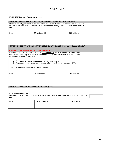### **FY10 TTF Budget Request Screens**

| <b>OPTION 2 - CERTIFICATION FOR SECURE REMOTE ACCESS TO LAND RECORDS</b>                                                                                                                                               |                   |               |  |  |  |  |  |  |  |  |  |
|------------------------------------------------------------------------------------------------------------------------------------------------------------------------------------------------------------------------|-------------------|---------------|--|--|--|--|--|--|--|--|--|
| My office currently provides to public subscribers secure remote access to land records' images on a<br>website or system owned and operated by my court or operated by a public or private agent. Enter YES<br>or NO. |                   |               |  |  |  |  |  |  |  |  |  |
|                                                                                                                                                                                                                        |                   |               |  |  |  |  |  |  |  |  |  |
| Date:                                                                                                                                                                                                                  | Officer Logon ID: | Officer Name: |  |  |  |  |  |  |  |  |  |
|                                                                                                                                                                                                                        |                   |               |  |  |  |  |  |  |  |  |  |

| <b>OPTION 3- CERTIFICATION FOR VITA SECURITY STANDARDS (If answer to Option 2 is YES)</b>                                                                                                                                            |  |  |  |  |  |  |  |  |
|--------------------------------------------------------------------------------------------------------------------------------------------------------------------------------------------------------------------------------------|--|--|--|--|--|--|--|--|
| <b>CURRENTLY PROVIDING SRA TO LAND RECORDS.</b>                                                                                                                                                                                      |  |  |  |  |  |  |  |  |
| Pursuant to §§ 17.1-279 D and 17.1-294 A, Code of Virginia, and in accordance with the security<br>standards developed by VITA (ITRM Standard SEC503-02), effective March 28, 2005, and any<br>subsequent revisions, I certify that: |  |  |  |  |  |  |  |  |
| My website or remote access system are in compliance and<br>Any proposed technology improvements to land records will accommodate SRA.<br>$\mathbf{2}$                                                                               |  |  |  |  |  |  |  |  |
| To concur with the above statement, enter YES or NO.                                                                                                                                                                                 |  |  |  |  |  |  |  |  |
| Officer Name:<br>Officer Logon ID:<br>Date:                                                                                                                                                                                          |  |  |  |  |  |  |  |  |

| OPTION 4 - ELECTION TO FY10 \$4 BUDGET REQUEST                                                                      |                   |               |  |  |  |  |  |  |  |  |
|---------------------------------------------------------------------------------------------------------------------|-------------------|---------------|--|--|--|--|--|--|--|--|
| FY10 \$4 Available Balance:                                                                                         |                   |               |  |  |  |  |  |  |  |  |
| l elect to budget all or a portion of my \$4 available balance for technology expenses in FY10. Enter YES<br>or NO. |                   |               |  |  |  |  |  |  |  |  |
|                                                                                                                     |                   |               |  |  |  |  |  |  |  |  |
| Date:                                                                                                               | Officer Logon ID: | Officer Name: |  |  |  |  |  |  |  |  |
|                                                                                                                     |                   |               |  |  |  |  |  |  |  |  |
|                                                                                                                     |                   |               |  |  |  |  |  |  |  |  |
|                                                                                                                     |                   |               |  |  |  |  |  |  |  |  |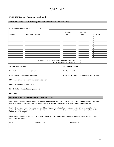### **FY10 TTF Budget Request, continued**

|                                       | <b>OPTION 5-FY10 \$4 BUDGET REQUEST FOR EQUIPMENT AND SERVICES</b>                                                                                                                                                                               |                                                                                |                 |                                             |  |  |  |  |
|---------------------------------------|--------------------------------------------------------------------------------------------------------------------------------------------------------------------------------------------------------------------------------------------------|--------------------------------------------------------------------------------|-----------------|---------------------------------------------|--|--|--|--|
| FY10 \$4 Available Balance:           | \$                                                                                                                                                                                                                                               |                                                                                |                 |                                             |  |  |  |  |
| Vendor                                | Line Item Description                                                                                                                                                                                                                            | Description<br>Code                                                            | Purpose<br>Code | <b>Total Cost</b><br>\$<br>\$<br>\$         |  |  |  |  |
|                                       |                                                                                                                                                                                                                                                  |                                                                                |                 | \$<br>\$<br>$\frac{6}{3}$<br>$\frac{6}{3}$  |  |  |  |  |
|                                       |                                                                                                                                                                                                                                                  |                                                                                |                 | $\overline{\$}$<br>$\overline{\mathcal{S}}$ |  |  |  |  |
|                                       |                                                                                                                                                                                                                                                  | Total FY10 \$4 Equipment and Services Requests:<br>FY10 \$4 Remaining Balance: | \$<br>\$        |                                             |  |  |  |  |
| \$4 Description Codes                 |                                                                                                                                                                                                                                                  | \$4 Purpose Codes                                                              |                 |                                             |  |  |  |  |
|                                       | $B =$ Back scanning / conversion services                                                                                                                                                                                                        | $B =$ land records                                                             |                 |                                             |  |  |  |  |
| $E =$ Equipment (software & hardware) |                                                                                                                                                                                                                                                  | $F =$ areas of the court not related to land records                           |                 |                                             |  |  |  |  |
|                                       | $MR = Maintenance$ of records management system                                                                                                                                                                                                  |                                                                                |                 |                                             |  |  |  |  |
| MS = Maintenance of SRA system        |                                                                                                                                                                                                                                                  |                                                                                |                 |                                             |  |  |  |  |
|                                       | $R$ = Redaction of social security numbers                                                                                                                                                                                                       |                                                                                |                 |                                             |  |  |  |  |
| $O = Other$                           |                                                                                                                                                                                                                                                  |                                                                                |                 |                                             |  |  |  |  |
|                                       | <b>OPTION 6 - CERTIFICATION FOR \$4 BUDGET REQUEST</b>                                                                                                                                                                                           |                                                                                |                 |                                             |  |  |  |  |
|                                       | I certify that the amount of my \$4 budget request for proposed automation and technology improvements are in compliance<br>with § 17.1-279, Code of Virginia, and that I continue to provide secure remote access to land records' images.      |                                                                                |                 |                                             |  |  |  |  |
| et.seq., Code of Virginia.            | I certify to the best of my knowledge and belief that the process utilized to procure any equipment or services for which<br>payment will be made using funds requested herein is in conformance with the Virginia Public Procurement Act, 11-35 |                                                                                |                 |                                             |  |  |  |  |
| Compensation Board.                   | I have provided / will provide my local governing body with a copy of all documentation and justification supplied to the                                                                                                                        |                                                                                |                 |                                             |  |  |  |  |
| Date:                                 | Officer Logon ID:                                                                                                                                                                                                                                | Officer Name:                                                                  |                 |                                             |  |  |  |  |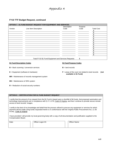#### **FY10 TTF Budget Request, continued**

|        | <b>OPTION 7 - \$1 FUND BUDGET REQUEST FOR EQUIPMENT AND SERVICES</b> |                                                      |         |                   |
|--------|----------------------------------------------------------------------|------------------------------------------------------|---------|-------------------|
|        |                                                                      | Description                                          | Purpose |                   |
| Vendor | Line Item Description                                                | Code                                                 | Code    | <b>Total Cost</b> |
|        |                                                                      |                                                      |         |                   |
|        |                                                                      |                                                      |         |                   |
|        |                                                                      |                                                      |         |                   |
|        |                                                                      |                                                      |         |                   |
|        |                                                                      |                                                      |         |                   |
|        |                                                                      |                                                      |         |                   |
|        |                                                                      |                                                      |         |                   |
|        |                                                                      |                                                      |         |                   |
|        |                                                                      |                                                      |         |                   |
|        |                                                                      |                                                      |         |                   |
|        |                                                                      |                                                      |         |                   |
|        |                                                                      |                                                      |         |                   |
|        |                                                                      |                                                      |         |                   |
|        |                                                                      |                                                      |         |                   |
|        |                                                                      | Total FY10 \$1 Fund Equipment and Services Requests: | \$      |                   |

#### **\$1 Fund Description Codes**

- **B** = Back scanning / conversion services
- **E** = Equipment (software & hardware)
- **MR** = Maintenance of records management system
- **MS** = Maintenance of SRA system
- **R** = Redaction of social security numbers

### **\$1 Fund Purpose Codes**

**B** = land records

**F** = areas of the court not related to land records **(not available in \$1 Fund)**

#### **OPTION 8 – CERTIFICATION FOR \$1 FUND BUDGET REQUEST**

I certify that the amount of my request from the \$1 Fund is based upon a shortfall of \$4 funds, that proposed automation and technology improvements are in compliance with § 17.1-279, Code of Virginia, and that I continue to provide secure remote access to land records' images.

I certify to the best of my knowledge and belief that the process utilized to procure any equipment or services for which payment will be made using funds requested herein is in conformance with the Virginia Public Procurement Act, 11-35 et.seq., Code of Virginia.

I have provided / will provide my local governing body with a copy of all documentation and justification supplied to the Compensation Board.

| Date: | Officer Logon ID: | Officer Name: |
|-------|-------------------|---------------|
|       |                   |               |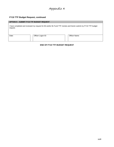#### **FY10 TTF Budget Request, continued**

| <b>OPTION 9 - SUBMIT FY10 TTF BUDGET REQUEST</b> |                                                                                                                  |                      |  |  |  |  |  |  |  |  |
|--------------------------------------------------|------------------------------------------------------------------------------------------------------------------|----------------------|--|--|--|--|--|--|--|--|
| request.                                         | I have completed and reviewed my request for \$4 and/or \$1 Fund TTF monies and herein submit my FY10 TTF budget |                      |  |  |  |  |  |  |  |  |
| Date:                                            | Officer Logon ID:                                                                                                | <b>Officer Name:</b> |  |  |  |  |  |  |  |  |

#### **END OF FY10 TTF BUDGET REQUEST**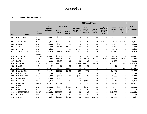#### **FY10 TTF \$4 Docket Approvals**

|             |                                      |                                      |                                    |                                 | \$4 Budget Category                      |                                             |                                                                       |                                                                |                                                           |                                                |                                                |                        |
|-------------|--------------------------------------|--------------------------------------|------------------------------------|---------------------------------|------------------------------------------|---------------------------------------------|-----------------------------------------------------------------------|----------------------------------------------------------------|-----------------------------------------------------------|------------------------------------------------|------------------------------------------------|------------------------|
|             |                                      |                                      | \$4                                | <b>Maintenance</b>              |                                          |                                             |                                                                       |                                                                | Other:                                                    |                                                |                                                | <b>TOTAL</b>           |
| <b>FIPS</b> | Locality                             | <b>Records</b><br>System<br>Vendor   | <b>Available</b><br><b>Balance</b> | <b>Records</b><br><b>System</b> | <b>Secure</b><br>Remote<br><b>Access</b> | Equipment:<br>Hardware &<br><b>Software</b> | <b>Social</b><br><b>Security</b><br><b>Number</b><br><b>Redaction</b> | Backscan/<br><b>Conversion</b><br>of Images/<br><b>Indices</b> | Consulting,<br>Research,<br>Training,<br><b>Technical</b> | <b>SUBTOTAL</b><br><b>Purpose</b><br>Code<br>в | <b>SUBTOTAL</b><br><b>Purpose</b><br>Code<br>F | \$4<br><b>REQUESTS</b> |
| 001         | <b>ACCOMACK</b>                      | <b>ILS</b>                           | \$2,862                            | \$2,862                         | \$0                                      | \$0                                         | \$0                                                                   | \$0                                                            | \$0                                                       | \$2,862                                        | \$0                                            | \$2,862                |
| 003         | ALBEMARLE                            | SCV<br><b>COTT</b>                   | \$145,065                          | \$81,709                        | \$0                                      | \$45,000                                    | \$0                                                                   | \$0                                                            | \$18,356                                                  | \$119,004                                      | \$26,061                                       | \$145,065              |
| 005         | <b>ALLEGHANY</b>                     | SCV                                  | \$2,498                            | \$2,498                         | \$0                                      | \$0                                         | \$0                                                                   | \$0                                                            | \$0                                                       | \$2,498                                        | \$0                                            | \$2,498                |
| 007         | <b>AMELIA</b>                        | <b>ILS</b>                           | \$8,320                            | \$7,183                         | \$1,137                                  | \$0                                         | \$0                                                                   | \$0                                                            | \$0                                                       | \$8,320                                        | \$0                                            | \$8,320                |
| 009         | <b>AMHERST</b>                       | <b>NA</b>                            | \$8,601                            | \$0                             | \$0                                      | \$8,601                                     | \$0                                                                   | \$0                                                            | \$0                                                       | \$8,601                                        | \$0                                            | \$8,601                |
| 011         | <b>APPOMATTOX</b>                    | <b>ILS</b>                           | \$16,610                           | \$6,503                         | \$2,000                                  | \$8,107                                     | \$0                                                                   | \$0                                                            | \$0                                                       | \$16,610                                       | \$0                                            | \$16,610               |
| 013<br>015  | <b>ARLINGTON</b><br><b>AUGUSTA</b>   | <b>IMAGE</b><br><b>VISION</b><br>SCV | \$56,651<br>\$64,594               | \$56,651<br>\$14,998            | \$0<br>\$0                               | \$0<br>\$2,000                              | \$0<br>\$7,474                                                        | \$0<br>\$4,772                                                 | \$0<br>\$35,000                                           | \$56,651<br>\$59,321                           | \$0<br>\$4,923                                 | \$56,651<br>\$64,244   |
| 017         | <b>BATH</b>                          | SCV                                  | \$5,138                            | \$5,138                         | \$0                                      | \$0                                         | \$0                                                                   | \$0                                                            | \$0                                                       | \$5,138                                        | \$0                                            | \$5,138                |
| 019         | <b>BEDFORD</b>                       | SCV                                  | \$115,721                          | \$14,100                        | \$0                                      | \$4,328                                     | \$13,732                                                              | \$83,050                                                       | \$0                                                       | \$114,560                                      | \$650                                          | \$115,210              |
| 021         | <b>BLAND</b>                         | SCV                                  | \$0                                | \$0                             | \$0                                      | \$0                                         | \$0                                                                   | \$0                                                            | \$0                                                       | \$0                                            | \$0                                            | \$0                    |
| 023         | <b>BOTETOURT</b>                     | SCV                                  | \$20,517                           | \$9,418                         | \$2,400                                  | \$0                                         | \$3,233                                                               | \$0                                                            | \$0                                                       | \$14,506                                       | \$545                                          | \$15,051               |
| 025         | <b>BRUNSWICK</b>                     | SCV                                  | \$16,101                           | \$10,795                        | \$2,400                                  | \$1,500                                     | \$777                                                                 | \$0                                                            | \$0                                                       | \$15,472                                       | \$0                                            | \$15,472               |
| 027         | <b>BUCHANAN</b>                      | SCV                                  | \$0                                | \$0                             | \$0                                      | \$0                                         | \$0                                                                   | \$0                                                            | \$0                                                       | \$0                                            | \$0                                            | \$0                    |
| 029         | <b>BUCKINGHAM</b>                    | <b>ILS</b>                           | \$7,636                            | \$7,341                         | \$0                                      | \$295                                       | \$0                                                                   | \$0                                                            | \$0                                                       | \$7,636                                        | \$0                                            | \$7,636                |
| 031         | <b>CAMPBELL</b>                      | SCV                                  | \$7,883                            | \$7,883                         | \$0                                      | \$0                                         | \$0                                                                   | \$0                                                            | \$0                                                       | \$7,883                                        | \$0                                            | \$7,883                |
| 033         | CAROLINE                             | <b>NA</b>                            | \$1,017                            | \$0                             | \$0                                      | \$0                                         | \$1,017                                                               | \$0                                                            | \$0                                                       | \$1,017                                        | \$0                                            | \$1,017                |
| 035         | CARROLL                              | <b>LOGAN</b>                         | \$30,577                           | \$30,577                        | \$0                                      | \$0                                         | \$0                                                                   | \$0                                                            | \$0                                                       | \$30,577                                       | \$0                                            | \$30,577               |
| 036         | <b>CHARLES CITY</b><br><b>COUNTY</b> | SCV                                  | \$18,806                           | \$9,000                         | \$2,400                                  | \$5,621                                     | \$1,785                                                               | \$0                                                            | \$0                                                       | \$18,806                                       | \$0                                            | \$18,806               |
| 037         | <b>CHARLOTTE</b>                     | <b>NA</b>                            | \$7,461                            | \$0                             | \$0                                      | \$0                                         | \$0                                                                   | \$0                                                            | \$0                                                       | \$0                                            | \$0                                            | \$0                    |
| 041         | <b>CHESTERFIELD</b>                  | <b>LOGAN</b>                         | \$152,952                          | \$152,952                       | \$0                                      | \$0                                         | \$0                                                                   | \$0                                                            | \$0                                                       | \$152,952                                      | \$0                                            | \$152,952              |
| 043         | <b>CLARKE</b>                        | <b>NA</b>                            | \$0                                | \$0                             | \$0                                      | \$0                                         | \$0                                                                   | \$0                                                            | \$0                                                       | \$0                                            | \$0                                            | \$0                    |
| 045         | <b>CRAIG</b>                         | SCV                                  | \$39,189                           | \$18,076                        | \$2,400                                  | \$0                                         | \$915                                                                 | \$17,798                                                       | \$0                                                       | \$39,003                                       | \$0                                            | \$39,189               |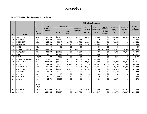|             |                        |                                             |                                    | \$4 Budget Category             |                                          |                                                    |                                                                |                                                                |                                                           |                                                |                                                |                        |
|-------------|------------------------|---------------------------------------------|------------------------------------|---------------------------------|------------------------------------------|----------------------------------------------------|----------------------------------------------------------------|----------------------------------------------------------------|-----------------------------------------------------------|------------------------------------------------|------------------------------------------------|------------------------|
|             |                        |                                             | \$4                                | <b>Maintenance</b>              |                                          |                                                    |                                                                |                                                                | Other:                                                    |                                                |                                                | <b>TOTAL</b>           |
| <b>FIPS</b> | Locality               | <b>Records</b><br><b>System</b><br>Vendor   | <b>Available</b><br><b>Balance</b> | <b>Records</b><br><b>System</b> | <b>Secure</b><br>Remote<br><b>Access</b> | <b>Equipment:</b><br>Hardware &<br><b>Software</b> | Social<br><b>Security</b><br><b>Number</b><br><b>Redaction</b> | Backscan/<br><b>Conversion</b><br>of Images/<br><b>Indices</b> | Consulting,<br>Research,<br>Training,<br><b>Technical</b> | <b>SUBTOTAL</b><br><b>Purpose</b><br>Code<br>B | <b>SUBTOTAL</b><br><b>Purpose</b><br>Code<br>F | \$4<br><b>REQUESTS</b> |
| 047         | <b>CULPEPER</b>        | SCV                                         | \$55,296                           | \$12,632                        | \$2,400                                  | \$11,762                                           | \$8,985                                                        | \$4,900                                                        | \$0                                                       | \$35,636                                       | \$5,043                                        | \$40,679               |
| 049         | <b>CUMBERLAND</b>      | <b>ILS</b>                                  | \$16,165                           | \$5,962                         | \$2,921                                  | \$7,282                                            | \$0                                                            | \$0                                                            | \$0                                                       | \$16,165                                       | \$0                                            | \$16,165               |
| 051         | <b>DICKENSON</b>       | SCV                                         | \$72,158                           | \$6,240                         | \$2,400                                  | \$1,000                                            | \$1,017                                                        | \$61,501                                                       | \$0                                                       | \$72,158                                       | \$0                                            | \$72,158               |
| 053         | <b>DINWIDDIE</b>       | SCV                                         | \$42,706                           | \$1,108                         | \$0                                      | \$6,676                                            | \$3,967                                                        | \$30,955                                                       | \$0                                                       | \$42,706                                       | \$0                                            | \$42,706               |
| 057         | <b>ESSEX</b>           | SCV                                         | \$0                                | \$0                             | \$0                                      | \$0                                                | \$0                                                            | \$0                                                            | \$0                                                       | \$0                                            | \$0                                            | \$0                    |
| 059         | <b>FAIRFAX COUNTY</b>  | <b>NA</b>                                   | \$568,824                          | \$0                             | \$0                                      | \$353,610                                          | \$0                                                            | \$0                                                            | \$215,214                                                 | \$538,824                                      | \$30,000                                       | \$568,824              |
| 061         | <b>FAUQUIER</b>        | SCV                                         | \$26,375                           | \$25,375                        | \$0                                      | \$1,000                                            | \$0                                                            | \$0                                                            | \$0                                                       | \$16,625                                       | \$9,750                                        | \$26,375               |
| 063         | <b>FLOYD</b>           | SCV                                         | \$21,717                           | \$11,481                        | \$2,400                                  | \$2,856                                            | \$1,380                                                        | \$3,600                                                        | \$0                                                       | \$21,717                                       | \$0                                            | \$21,717               |
| 065         | <b>FLUVANNA</b>        | <b>LOGAN</b>                                | \$596                              | \$596                           | \$0                                      | \$0                                                | \$0                                                            | \$0                                                            | \$0                                                       | \$596                                          | \$0                                            | \$596                  |
| 067         | <b>FRANKLIN COUNTY</b> | SCV                                         | \$91,615                           | \$13,200                        | \$2,400                                  | \$31,678                                           | \$5,046                                                        | \$24,898                                                       | \$0                                                       | \$77,222                                       | \$0                                            | \$77,222               |
| 069         | <b>FREDERICK</b>       | SCV                                         | \$124,509                          | \$12,729                        | \$7,200                                  | \$10,886                                           | \$6,240                                                        | \$56,000                                                       | \$0                                                       | \$92,003                                       | \$1,052                                        | \$93,055               |
| 071         | <b>GILES</b>           | <b>ILS</b>                                  | \$47,908                           | \$8,368                         | \$2,119                                  | \$11,830                                           | \$0                                                            | \$24,091                                                       | \$1,500                                                   | \$47,258                                       | \$650                                          | \$47,908               |
| 073         | <b>GLOUCESTER</b>      | SCV                                         | \$62,709                           | \$15,600                        | \$4,800                                  | \$18,507                                           | \$3,561                                                        | \$20,241                                                       | \$0                                                       | \$59,508                                       | \$3,201                                        | \$62,709               |
| 075         | <b>GOOCHLAND</b>       | SCV                                         | \$18,646                           | \$10,525                        | \$2,400                                  | \$0                                                | \$1,955                                                        | \$3,766                                                        | \$0                                                       | \$18,316                                       | \$330                                          | \$18,646               |
| 077         | <b>GRAYSON</b>         | SCV                                         | \$1,739                            | \$1,739                         | \$0                                      | \$0                                                | \$0                                                            | \$0                                                            | \$0                                                       | \$1,739                                        | \$0                                            | \$1,739                |
| 079         | <b>GREENE</b>          | <b>COTT</b>                                 | \$0                                | \$0                             | \$0                                      | \$0                                                | \$0                                                            | \$0                                                            | \$0                                                       | \$0                                            | \$0                                            | \$0                    |
| 081         | <b>GREENSVILLE</b>     | SCV                                         | \$4,132                            | \$3,591                         | \$0                                      | \$0                                                | \$541                                                          | \$0                                                            | \$0                                                       | \$4,132                                        | \$0                                            | \$4,132                |
| 083         | <b>HALIFAX</b>         | SCV                                         | \$2,976                            | \$2,976                         | \$0                                      | \$0                                                | \$0                                                            | \$0                                                            | \$0                                                       | \$2,976                                        | \$0                                            | \$2,976                |
| 085         | <b>HANOVER</b>         | Sycom,<br>Image<br>Source,<br>SCV.<br>AmCad | \$112,699                          | \$91,572                        | \$0                                      | \$4,918                                            | \$10,037                                                       | \$5,000                                                        | \$1,172                                                   | \$48,652                                       | \$64,047                                       | \$112,699              |
| 087         | <b>HENRICO</b>         | <b>ILS</b>                                  | \$534,655                          | \$90,978                        | \$0                                      | \$126,860                                          | \$0                                                            | \$266,817                                                      | \$0                                                       | \$410,778                                      | \$73,877                                       | \$484,655              |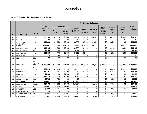|             |                                    |                                           |                                    | \$4 Budget Category             |                                          |                                             |                                                                       |                                                                |                                                                  |                                                |                                           |                        |
|-------------|------------------------------------|-------------------------------------------|------------------------------------|---------------------------------|------------------------------------------|---------------------------------------------|-----------------------------------------------------------------------|----------------------------------------------------------------|------------------------------------------------------------------|------------------------------------------------|-------------------------------------------|------------------------|
|             |                                    |                                           | \$4                                | <b>Maintenance</b>              |                                          |                                             |                                                                       |                                                                | Other:                                                           |                                                |                                           | <b>TOTAL</b>           |
| <b>FIPS</b> | Locality                           | <b>Records</b><br><b>System</b><br>Vendor | <b>Available</b><br><b>Balance</b> | <b>Records</b><br><b>System</b> | <b>Secure</b><br>Remote<br><b>Access</b> | Equipment:<br>Hardware &<br><b>Software</b> | <b>Social</b><br><b>Security</b><br><b>Number</b><br><b>Redaction</b> | Backscan/<br><b>Conversion</b><br>of Images/<br><b>Indices</b> | <b>Consulting.</b><br>Research,<br>Training,<br><b>Technical</b> | <b>SUBTOTAL</b><br><b>Purpose</b><br>Code<br>в | <b>SUBTOTAL</b><br><b>Purpose</b><br>Code | \$4<br><b>REQUESTS</b> |
| 089         | <b>HENRY</b>                       | SCV                                       | \$60,123                           | \$10,025                        | \$2,400                                  | \$4,151                                     | \$2,618                                                               | \$40,929                                                       | \$0                                                              | \$57,623                                       | \$2,500                                   | \$60,123               |
| 091         | <b>HIGHLAND</b>                    | SCV                                       | \$0                                | \$0                             | \$0                                      | \$0                                         | \$0                                                                   | \$0                                                            | \$0                                                              | \$0                                            | \$0                                       | \$0                    |
| 093         | <b>ISLE OF WIGHT</b>               | SCV                                       | \$25,233                           | \$12,450                        | \$2,400                                  | \$3,393                                     | \$2,412                                                               | \$4,578                                                        | \$0                                                              | \$25,233                                       | \$0                                       | \$25,233               |
| 095         | <b>JAMES CITY</b><br><b>COUNTY</b> | SCV                                       | \$113,967                          | \$18,080                        | \$11,220                                 | \$2,862                                     | \$16,668                                                              | \$65,137                                                       | \$0                                                              | \$112,140                                      | \$1,827                                   | \$113,967              |
| 097         | <b>KING AND QUEEN</b>              | SCV                                       | \$15,415                           | \$6,800                         | \$2,400                                  | \$1,287                                     | \$4,928                                                               | \$0                                                            | \$0                                                              | \$14,584                                       | \$831                                     | \$15,415               |
| 099         | <b>KING GEORGE</b>                 | <b>NA</b>                                 | \$2.759                            | \$0                             | \$0                                      | \$218                                       | \$2,541                                                               | \$0                                                            | \$0                                                              | \$2,759                                        | \$0                                       | \$2,759                |
| 101         | <b>KING WILLIAM</b>                | SCV                                       | \$20,887                           | \$7,773                         | \$2,400                                  | \$9,310                                     | \$1,404                                                               | \$0                                                            | \$0                                                              | \$20,650                                       | \$237                                     | \$20,887               |
| 103         | LANCASTER                          | SCV                                       | \$0                                | \$0                             | \$0                                      | \$0                                         | \$0                                                                   | \$0                                                            | \$0                                                              | \$0                                            | \$0                                       | \$0                    |
| 105         | LEE                                | SCV                                       | \$0                                | \$0                             | \$0                                      | \$0                                         | \$0                                                                   | \$0                                                            | \$0                                                              | \$0                                            | \$0                                       | \$0                    |
| 107         | <b>LOUDOUN</b>                     | SCV,<br>Jury<br>Systems,<br><b>DTS</b>    | \$1,670,628                        | \$126,897                       | \$44,329                                 | \$816.263                                   | \$149,668                                                             | \$129,675                                                      | \$196,075                                                        | \$474,997                                      | \$987,910                                 | \$1,462,907            |
| 109         | LOUISA                             | SCV<br><b>COTT</b>                        | \$52.046                           | \$28.180                        | \$6,228                                  | \$4,290                                     | \$0                                                                   | \$0                                                            | \$0                                                              | \$30,408                                       | \$8,290                                   | \$38,698               |
| 111         | <b>LUNENBURG</b>                   | SCV                                       | \$10,363                           | \$6,325                         | \$2,400                                  | \$0                                         | \$1,638                                                               | \$0                                                            | \$0                                                              | \$10,363                                       | \$0                                       | \$10,363               |
| 113         | <b>MADISON</b>                     | SCV                                       | \$1,490                            | \$0                             | \$1,490                                  | \$0                                         | \$0                                                                   | \$0                                                            | \$0                                                              | \$1,490                                        | \$0                                       | \$1,490                |
| 115         | <b>MATHEWS</b>                     | SCV                                       | \$12,139                           | \$9,000                         | \$2,400                                  | \$739                                       | \$0                                                                   | \$0                                                            | \$0                                                              | \$12,139                                       | \$0                                       | \$12,139               |
| 117         | <b>MECKLENBURG</b>                 | SCV                                       | \$8,732                            | \$8,732                         | \$0                                      | \$0                                         | \$0                                                                   | \$0                                                            | \$0                                                              | \$8,732                                        | \$0                                       | \$8,732                |
| 119         | <b>MIDDLESEX</b>                   | SCV                                       | \$23,682                           | \$6,000                         | \$2,400                                  | \$11,386                                    | \$1,648                                                               | \$0                                                            | \$0                                                              | \$21,156                                       | \$278                                     | \$21,434               |
| 121         | <b>MONTGOMERY</b>                  | <b>COUNTY</b>                             | \$67,472                           | \$38,202                        | \$4,575                                  | \$13,267                                    | \$0                                                                   | \$11,428                                                       | \$0                                                              | \$67,472                                       | \$0                                       | \$67,472               |
| 125         | <b>NELSON</b>                      | SCV                                       | \$13,641                           | \$9,200                         | \$2,400                                  | \$0                                         | \$2,041                                                               | \$0                                                            | \$0                                                              | \$13,641                                       | \$0                                       | \$13,641               |
| 127         | <b>NEW KENT</b>                    | LOGAN                                     | \$3,381                            | \$3,381                         | \$0                                      | \$0                                         | \$0                                                                   | \$0                                                            | \$0                                                              | \$3,381                                        | \$0                                       | \$3,381                |
| 131         | <b>NORTHAMPTON</b>                 | SCV                                       | \$0                                | \$0                             | \$0                                      | \$0                                         | \$0                                                                   | \$0                                                            | \$0                                                              | \$0                                            | \$0                                       | \$0                    |
| 133         | <b>NORTHUMBERLAND</b>              | <b>ILS</b>                                | \$9,523                            | \$6,466                         | \$3,057                                  | \$0                                         | \$0                                                                   | \$0                                                            | \$0                                                              | \$9,523                                        | \$0                                       | \$9,523                |
| 135         | <b>NOTTOWAY</b>                    | <b>ILS</b>                                | \$36,821                           | \$7,183                         | \$4,626                                  | \$8,710                                     | \$0                                                                   | \$14,802                                                       | \$1,500                                                          | \$36,821                                       | \$0                                       | \$36,821               |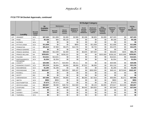|             |                                  |                                           |                                    |                                 | \$4 Budget Category                      |                                             |                                                      |                                                   |                                                           |                             |                        |                        |  |  |
|-------------|----------------------------------|-------------------------------------------|------------------------------------|---------------------------------|------------------------------------------|---------------------------------------------|------------------------------------------------------|---------------------------------------------------|-----------------------------------------------------------|-----------------------------|------------------------|------------------------|--|--|
|             |                                  |                                           | \$4                                |                                 | <b>Maintenance</b>                       |                                             | <b>Social</b>                                        | Backscan/                                         | Other:                                                    | <b>SUBTOTAL</b>             | <b>SUBTOTAL</b>        | <b>TOTAL</b>           |  |  |
| <b>FIPS</b> | Locality                         | <b>Records</b><br><b>System</b><br>Vendor | <b>Available</b><br><b>Balance</b> | <b>Records</b><br><b>System</b> | <b>Secure</b><br>Remote<br><b>Access</b> | Equipment:<br>Hardware &<br><b>Software</b> | <b>Security</b><br><b>Number</b><br><b>Redaction</b> | <b>Conversion</b><br>of Images/<br><b>Indices</b> | Consulting,<br>Research.<br>Training,<br><b>Technical</b> | <b>Purpose</b><br>Code<br>в | <b>Purpose</b><br>Code | \$4<br><b>REQUESTS</b> |  |  |
| 137         | ORANGE*                          | SCV                                       | \$27,323                           | \$11,900                        | \$2,400                                  | \$2,900                                     | \$2,198                                              | \$6,925                                           | \$1,000                                                   | \$27,323                    | \$0                    | \$27,323               |  |  |
| 139         | PAGE                             | <b>ILS</b>                                | \$5,168                            | \$40                            | \$5,128                                  | \$0                                         | \$0                                                  | \$0                                               | \$0                                                       | \$5,168                     | \$0                    | \$5,168                |  |  |
| 141         | <b>PATRICK</b>                   | SCV                                       | \$0                                | \$0                             | \$0                                      | \$0                                         | \$0                                                  | \$0                                               | \$0                                                       | \$0                         | \$0                    | \$0                    |  |  |
| 143         | PITTSYLVANIA                     | SCV                                       | \$11,808                           | \$0                             | \$0                                      | \$800                                       | \$0                                                  | \$11,008                                          | \$0                                                       | \$11,808                    | \$0                    | \$11,808               |  |  |
| 145         | <b>POWHATAN</b>                  | <b>ILS</b>                                | \$91,613                           | \$7,950                         | \$5,575                                  | \$14,725                                    | \$0                                                  | \$3,725                                           | \$0                                                       | \$31,975                    | \$0                    | \$31,975               |  |  |
| 147         | PRINCE EDWARD                    | <b>ILS</b>                                | \$0                                | \$0                             | \$0                                      | \$0                                         | \$0                                                  | \$0                                               | \$0                                                       | \$0                         | \$0                    | \$0                    |  |  |
| 149         | PRINCE GEORGE                    | SCV                                       | \$59,422                           | \$12,200                        | \$2,400                                  | \$0                                         | \$3,045                                              | \$37,530                                          | \$0                                                       | \$54,830                    | \$345                  | \$55,175               |  |  |
| 153         | PRINCE WILLIAM                   | <b>NA</b>                                 | \$259,801                          | \$0                             | \$158,102                                | \$0                                         | \$0                                                  | \$0                                               | \$101,699                                                 | \$158,102                   | \$101,699              | \$259,801              |  |  |
| 155         | <b>PULASKI</b>                   | SCV                                       | \$13,521                           | \$13,521                        | \$0                                      | \$0                                         | \$0                                                  | \$0                                               | \$0                                                       | \$13.521                    | \$0                    | \$13,521               |  |  |
| 157         | <b>RAPPAHANNOCK</b>              | SCV                                       | \$1,554                            | \$1,554                         | \$0                                      | \$0                                         | \$0                                                  | \$0                                               | \$0                                                       | \$1,554                     | \$0                    | \$1,554                |  |  |
| 159         | <b>RICHMOND</b><br><b>COUNTY</b> | <b>ILS</b>                                | \$20,586                           | \$5,471                         | \$10.004                                 | \$5,111                                     | \$0                                                  | \$0                                               | \$0                                                       | \$20,586                    | \$0                    | \$20,586               |  |  |
| 161         | <b>ROANOKE COUNTY</b>            | SCV                                       | \$31,216                           | \$4,894                         | \$4,800                                  | \$8,000                                     | \$7,522                                              | \$6,000                                           | \$0                                                       | \$31,216                    | \$0                    | \$31,216               |  |  |
| 163         | <b>ROCKBRIDGE</b>                | SCV                                       | \$1,290                            | \$1,290                         | \$0                                      | \$0                                         | \$0                                                  | \$0                                               | \$0                                                       | \$1,290                     | \$0                    | \$1,290                |  |  |
| 165         | <b>ROCKINGHAM</b>                | <b>NA</b>                                 | \$619,467                          | \$0                             | \$25,000                                 | \$35,187                                    | \$0                                                  | \$262,000                                         | \$0                                                       | \$49,141                    | \$273,046              | \$322,187              |  |  |
| 167         | <b>RUSSELL</b>                   | SCV                                       | \$0                                | \$0                             | \$0                                      | \$0                                         | \$0                                                  | \$0                                               | \$0                                                       | \$0                         | \$0                    | \$0                    |  |  |
| 169         | <b>SCOTT</b>                     | <b>BIS</b>                                | \$0                                | \$0                             | \$0                                      | \$0                                         | \$0                                                  | \$0                                               | \$0                                                       | \$0                         | \$0                    | \$0                    |  |  |
| 171         | SHENANDOAH                       | SCV                                       | \$37,066                           | \$8,000                         | \$4,800                                  | \$0                                         | \$6,350                                              | \$17,916                                          | \$0                                                       | \$35,994                    | \$1,072                | \$37,066               |  |  |
| 173         | <b>SMYTH</b>                     | SCV                                       | \$993                              | \$993                           | \$0                                      | \$0                                         | \$0                                                  | \$0                                               | \$0                                                       | \$993                       | \$0                    | \$993                  |  |  |
| 175         | <b>SOUTHAMPTON</b>               | SCV                                       | \$7,673                            | \$7,673                         | \$0                                      | \$0                                         | \$0                                                  | \$0                                               | \$0                                                       | \$7,673                     | \$0                    | \$7,673                |  |  |
| 177         | <b>SPOTSYLVANIA</b>              | <b>ILS</b>                                | \$83.857                           | \$9,490                         | \$48.734                                 | \$12,500                                    | \$0                                                  | \$9.133                                           | \$4,000                                                   | \$70.817                    | \$13,040               | \$83,857               |  |  |
| 179         | <b>STAFFORD</b>                  | <b>NA</b>                                 | \$37,944                           | \$0                             | \$9,000                                  | \$0                                         | \$4,442                                              | \$24.502                                          | \$0                                                       | \$37,944                    | \$0                    | \$37,944               |  |  |
| 181         | <b>SURRY</b>                     | <b>NA</b>                                 | \$0                                | \$0                             | \$0                                      | \$0                                         | \$0                                                  | \$0                                               | \$0                                                       | \$0                         | \$0                    | \$0                    |  |  |
| 183         | <b>SUSSEX</b>                    | LOGAN                                     | \$0                                | \$0                             | \$0                                      | \$0                                         | \$0                                                  | \$0                                               | \$0                                                       | \$0                         | \$0                    | \$0                    |  |  |
| 185         | <b>TAZEWELL</b>                  | SCV                                       | \$0                                | \$0                             | \$0                                      | \$0                                         | \$0                                                  | \$0                                               | \$0                                                       | \$0                         | \$0                    | \$0                    |  |  |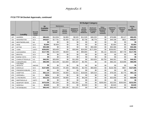|             |                            |                                           |                                    | \$4 Budget Category             |                                          |                                                    |                                                         |                                                                |                                                                 |                                           |                                           |                        |  |
|-------------|----------------------------|-------------------------------------------|------------------------------------|---------------------------------|------------------------------------------|----------------------------------------------------|---------------------------------------------------------|----------------------------------------------------------------|-----------------------------------------------------------------|-------------------------------------------|-------------------------------------------|------------------------|--|
|             |                            |                                           | \$4                                | <b>Maintenance</b>              |                                          |                                                    |                                                         |                                                                | Other:                                                          |                                           |                                           | <b>TOTAL</b>           |  |
| <b>FIPS</b> | Locality                   | <b>Records</b><br><b>System</b><br>Vendor | <b>Available</b><br><b>Balance</b> | <b>Records</b><br><b>System</b> | <b>Secure</b><br>Remote<br><b>Access</b> | <b>Equipment:</b><br>Hardware &<br><b>Software</b> | Social<br><b>Security</b><br><b>Number</b><br>Redaction | Backscan/<br><b>Conversion</b><br>of Images/<br><b>Indices</b> | <b>Consulting</b><br>Research,<br>Training,<br><b>Technical</b> | <b>SUBTOTAL</b><br><b>Purpose</b><br>Code | <b>SUBTOTAL</b><br><b>Purpose</b><br>Code | \$4<br><b>REQUESTS</b> |  |
| 187         | <b>WARREN</b>              | SCV                                       | \$86,603                           | \$14,934                        | \$4,800                                  | \$8,520                                            | \$11,529                                                | \$46,220                                                       | \$0                                                             | \$76,886                                  | \$9,117                                   | \$86,003               |  |
| 191         | <b>WASHINGTON</b>          | SCV                                       | \$49,827                           | \$17,791                        | \$2,400                                  | \$17,120                                           | \$3,738                                                 | \$8,778                                                        | \$0                                                             | \$49,196                                  | \$631                                     | \$49,827               |  |
| 193         | WESTMORELAND               | <b>NA</b>                                 | \$0                                | \$0                             | \$0                                      | \$0                                                | \$0                                                     | \$0                                                            | \$0                                                             | \$0                                       | \$0                                       | \$0                    |  |
| 195         | <b>WISE</b>                | SCV                                       | \$2,664                            | \$2,664                         | \$0                                      | \$0                                                | \$0                                                     | \$0                                                            | \$0                                                             | \$2,664                                   | \$0                                       | \$2,664                |  |
| 197         | <b>WYTHE</b>               | SCV                                       | \$50,388                           | \$0                             | \$0                                      | \$0                                                | \$0                                                     | \$50,388                                                       | \$0                                                             | \$50,388                                  | \$0                                       | \$50,388               |  |
| 199         | <b>YORK</b>                | <b>UNITY</b>                              | \$258,852                          | \$29.400                        | \$0                                      | \$33,946                                           | \$24,000                                                | \$171,506                                                      | \$0                                                             | \$258.852                                 | \$0                                       | \$258,852              |  |
| 510         | <b>ALEXANDRIA</b>          | SCV                                       | \$117,785                          | \$12,200                        | \$9,600                                  | \$0                                                | \$90,869                                                | \$0                                                            | \$5,116                                                         | \$30,046                                  | \$87.739                                  | \$117,785              |  |
| 520         | <b>BRISTOL</b>             | SCV                                       | \$0                                | \$0                             | \$0                                      | \$0                                                | \$0                                                     | \$0                                                            | \$0                                                             | \$0                                       | \$0                                       | \$0                    |  |
| 530         | <b>BUENA VISTA</b>         | SCV                                       | \$0                                | \$0                             | \$0                                      | \$0                                                | \$0                                                     | \$0                                                            | \$0                                                             | \$0                                       | \$0                                       | \$0                    |  |
| 540         | <b>CHARLOTTESVILLE</b>     | <b>ILS</b>                                | \$46.301                           | \$20,000                        | \$0                                      | \$11,926                                           | \$0                                                     | \$10,625                                                       | \$3,750                                                         | \$46,301                                  | \$0                                       | \$46,301               |  |
| 550         | <b>CHESAPEAKE</b>          | SCV                                       | \$86,090                           | \$10,198                        | \$10,800                                 | \$59,307                                           | \$5,785                                                 | \$0                                                            | \$0                                                             | \$66,192                                  | \$19,898                                  | \$86,090               |  |
| 570         | COLONIAL<br><b>HEIGHTS</b> | <b>AMCAD</b>                              | \$0                                | \$0                             | \$0                                      | \$0                                                | \$0                                                     | \$0                                                            | \$0                                                             | \$0                                       | \$0                                       | \$0                    |  |
| 590         | <b>DANVILLE</b>            | SCV                                       | \$127,695                          | \$13,200                        | \$7,200                                  | \$54,591                                           | \$2,704                                                 | \$50,000                                                       | \$0                                                             | \$126,788                                 | \$907                                     | \$127,695              |  |
| 630         | <b>FREDERICKSBURG</b>      | SCV                                       | \$0                                | \$0                             | \$0                                      | \$0                                                | \$0                                                     | \$0                                                            | \$0                                                             | \$0                                       | \$0                                       | \$0                    |  |
| 650         | <b>HAMPTON</b>             | SCV                                       | \$82,110                           | \$28.548                        | \$4,800                                  | \$1,615                                            | \$18,828                                                | \$28,319                                                       | \$0                                                             | \$78.335                                  | \$3.775                                   | \$82,110               |  |
| 670         | <b>HOPEWELL</b>            | <b>NA</b>                                 | \$234                              | \$0                             | \$0                                      | \$0                                                | \$0                                                     | \$0                                                            | \$0                                                             | \$0                                       | \$0                                       | \$0                    |  |
| 680         | <b>LYNCHBURG</b>           | SCV                                       | \$22,233                           | \$13,009                        | \$4,800                                  | \$0                                                | \$4,249                                                 | \$0                                                            | \$0                                                             | \$22,058                                  | \$0                                       | \$22,058               |  |
| 690         | <b>MARTINSVILLE</b>        | <b>UNITY</b>                              | \$0                                | \$0                             | \$0                                      | \$0                                                | \$0                                                     | \$0                                                            | \$0                                                             | \$0                                       | \$0                                       | \$0                    |  |
| 700         | NEWPORT NEWS               | SCV                                       | \$470.036                          | \$21,200                        | \$0                                      | \$11,355                                           | \$0                                                     | \$0                                                            | \$200,000                                                       | \$32,555                                  | \$200,000                                 | \$232,555              |  |
| 710         | <b>NORFOLK</b>             | <b>NA</b>                                 | \$2,640                            | \$0                             | \$0                                      | \$0                                                | \$2,640                                                 | \$0                                                            | \$0                                                             | \$2,640                                   | \$0                                       | \$2,640                |  |
| 730         | <b>PETERSBURG</b>          | <b>ILS</b>                                | \$56,443                           | \$18.727                        | \$26,195                                 | \$11.521                                           | \$0                                                     | \$0                                                            | \$0                                                             | \$56,443                                  | \$0                                       | \$56,443               |  |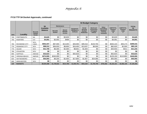|             |                       |                                           |                                    |                                 |                                          |                                                    |                                                                       | \$4 Budget Category                                            |                                                           |                                                |                                           |                        |
|-------------|-----------------------|-------------------------------------------|------------------------------------|---------------------------------|------------------------------------------|----------------------------------------------------|-----------------------------------------------------------------------|----------------------------------------------------------------|-----------------------------------------------------------|------------------------------------------------|-------------------------------------------|------------------------|
|             |                       |                                           | \$4                                | <b>Maintenance</b>              |                                          |                                                    |                                                                       |                                                                | Other:                                                    |                                                |                                           | <b>TOTAL</b>           |
| <b>FIPS</b> | Locality              | <b>Records</b><br><b>System</b><br>Vendor | <b>Available</b><br><b>Balance</b> | <b>Records</b><br><b>System</b> | <b>Secure</b><br>Remote<br><b>Access</b> | <b>Equipment:</b><br>Hardware &<br><b>Software</b> | <b>Social</b><br><b>Security</b><br><b>Number</b><br><b>Redaction</b> | Backscan/<br><b>Conversion</b><br>of Images/<br><b>Indices</b> | Consulting,<br>Research,<br>Training,<br><b>Technical</b> | <b>SUBTOTAL</b><br><b>Purpose</b><br>Code<br>в | <b>SUBTOTAL</b><br><b>Purpose</b><br>Code | \$4<br><b>REQUESTS</b> |
| 740         | <b>PORTSMOUTH</b>     | <b>NA</b>                                 | \$3,629                            | \$0                             | \$3,629                                  | \$0                                                | \$0                                                                   | \$0                                                            | \$0                                                       | \$3,629                                        | \$0                                       | \$3,629                |
| 750         | <b>RADFORD</b>        | <b>ILS</b>                                | \$4,091                            | \$3,592                         | \$499                                    | \$0                                                | \$0                                                                   | \$0                                                            | \$0                                                       | \$4,091                                        | \$0                                       | \$4,091                |
| 760         | <b>RICHMOND CITY</b>  | SCV.<br>Lason                             | \$552,347                          | \$87,000                        | \$13,200                                 | \$26,000                                           | \$39,416                                                              | \$133,700                                                      | \$0                                                       | \$264,143                                      | \$35,173                                  | \$299,316              |
| 770         | ROANOKE CITY          | SCV                                       | \$98,312                           | \$36,933                        | \$9,600                                  | \$16,450                                           | \$13,637                                                              | \$8,500                                                        | \$0                                                       | \$82,620                                       | \$2,500                                   | \$85,120               |
| 775         | <b>SALEM</b>          | SCV                                       | \$31,709                           | \$8,400                         | \$2,400                                  | \$8,601                                            | \$1,843                                                               | \$0                                                            | \$0                                                       | \$20,933                                       | \$311                                     | \$21,244               |
| 790         | <b>STAUNTON</b>       | SCV                                       | \$0                                | \$0                             | \$0                                      | \$0                                                | \$0                                                                   | \$0                                                            | \$0                                                       | \$0                                            | \$0                                       | \$0                    |
| 800         | <b>SUFFOLK</b>        | <b>AMCAD</b>                              | \$32,623                           | \$0                             | \$0                                      | \$32,623                                           | \$0                                                                   | \$0                                                            | \$0                                                       | \$32,623                                       | \$0                                       | \$32,623               |
| 810         | <b>VIRGINIA BEACH</b> | <b>AMCAD</b>                              | \$274,555                          | \$240,000                       | \$0                                      | \$0                                                | \$0                                                                   | \$0                                                            | \$0                                                       | \$129,150                                      | \$110,850                                 | \$240,000              |
| 820         | <b>WAYNESBORO</b>     | SCV                                       | \$55,093                           | \$9,200                         | \$2,400                                  | \$17,800                                           | \$1,607                                                               | \$24,086                                                       | \$0                                                       | \$55,093                                       | \$0                                       | \$55,093               |
| 840         | <b>WINCHESTER</b>     | SCV                                       | \$0                                | \$0                             | \$0                                      | \$0                                                | \$0                                                                   | \$0                                                            | \$0                                                       | \$0                                            | \$0                                       | \$0                    |
| 120         | <b>BUDGETS</b>        |                                           | \$8,504,488                        | \$1,729,022                     | \$514,768                                | \$1,930,791                                        | \$501,630                                                             | \$1,784,799                                                    | \$784,382                                                 | \$5,163,101                                    | \$2,082,105                               | \$7,245,392            |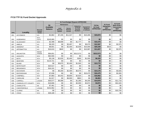#### **FY10 TTF \$1 Fund Docket Approvals**

|             |                            |                                           |                                    |                                         |                                          | \$1 Fund Budget Request APPROVED                                   |                                      |                             |                                                   |                                                    |
|-------------|----------------------------|-------------------------------------------|------------------------------------|-----------------------------------------|------------------------------------------|--------------------------------------------------------------------|--------------------------------------|-----------------------------|---------------------------------------------------|----------------------------------------------------|
|             |                            |                                           | \$4                                |                                         | <b>Maintenance</b>                       |                                                                    |                                      | <b>TOTAL</b>                | \$1 Fund                                          | \$1 Fund<br><b>Back Scan/</b>                      |
| <b>FIPS</b> | <b>Locality</b>            | <b>Records</b><br><b>System</b><br>Vendor | <b>Available</b><br><b>Balance</b> | Land<br><b>Records</b><br><b>System</b> | <b>Secure</b><br>Remote<br><b>Access</b> | <b>Redaction</b><br>of Social<br><b>Security</b><br><b>Numbers</b> | Equipment:<br>Hardware<br>& Software | \$1 Fund<br><b>APPROVED</b> | <b>Equipment</b><br><b>NOT</b><br><b>APPROVED</b> | <b>Conversion</b><br><b>NOT</b><br><b>APPROVED</b> |
| 001         | <b>ACCOMACK</b>            | <b>ILS</b>                                | \$2,862                            | \$7,155                                 | \$11,317                                 | \$0                                                                | \$15,400                             | \$33,872                    | \$0                                               | \$0                                                |
| 003         | ALBEMARLE                  | SCV<br><b>COTT</b>                        | \$145,065                          | \$0                                     | \$0                                      | \$0                                                                | \$0                                  | \$0                         | \$0                                               | \$0                                                |
| 005         | <b>ALLEGHANY</b>           | SCV                                       | \$2,498                            | \$8,698                                 | \$0                                      | \$1,777                                                            | \$0                                  | \$10,475                    | \$0                                               | \$0                                                |
| 007         | AMELIA                     | <b>ILS</b>                                | \$8,320                            | \$0                                     | \$3,497                                  | \$0                                                                | \$9,070                              | \$12,567                    | \$0                                               | \$2,975                                            |
| 009         | <b>AMHERST</b>             | <b>NA</b>                                 | \$8,601                            | \$0                                     | \$2,400                                  | \$2,939                                                            | \$15,000                             | \$20,339                    | \$423                                             | \$0                                                |
| 011         | <b>APPOMATTOX</b>          | <b>ILS</b>                                | \$16,610                           | \$840                                   | \$0                                      | \$0                                                                | \$10,987                             | \$11,827                    | \$0                                               | \$2,975                                            |
| 013         | <b>ARLINGTON</b>           | <b>IMAGE</b><br><b>VISION</b>             | \$56,651                           | \$0                                     | \$0                                      | \$312,573                                                          | \$0                                  | \$312,573                   | \$0                                               | \$0                                                |
| 015         | <b>AUGUSTA</b>             | SCV                                       | \$64,594                           | \$0                                     | \$0                                      | \$0                                                                | \$0                                  | \$0                         | \$0                                               | \$0                                                |
| 017         | <b>BATH</b>                | SCV                                       | \$5,138                            | \$2,635                                 | \$2,400                                  | \$285                                                              | \$1,000                              | \$6,320                     | \$0                                               | \$0                                                |
| 019         | <b>BEDFORD</b>             | SCV                                       | \$115,721                          | \$0                                     | \$0                                      | \$0                                                                | \$0                                  | \$0                         | \$0                                               | \$0                                                |
| 021         | <b>BLAND</b>               | SCV                                       | \$0                                | \$9,875                                 | \$2,400                                  | \$1,500                                                            | \$0                                  | \$13,775                    | \$0                                               | \$0                                                |
| 023         | <b>BOTETOURT</b>           | SCV                                       | \$20,517                           | \$0                                     | \$0                                      | \$0                                                                | \$0                                  | \$0                         | \$0                                               | \$0                                                |
| 025         | <b>BRUNSWICK</b>           | SCV                                       | \$16,101                           | \$0                                     | \$0                                      | \$0                                                                | \$0                                  | \$0                         | \$0                                               | \$0                                                |
| 027         | <b>BUCHANAN</b>            | SCV                                       | \$0                                | \$6,200                                 | \$2,400                                  | \$5,575                                                            | \$0                                  | \$14,175                    | \$0                                               | \$3,926                                            |
| 029         | <b>BUCKINGHAM</b>          | <b>ILS</b>                                | \$7,636                            | \$0                                     | \$0                                      | \$0                                                                | \$10,475                             | \$10,475                    | \$0                                               | \$3,300                                            |
| 031         | <b>CAMPBELL</b>            | SCV                                       | \$7,883                            | \$4,442                                 | \$9,800                                  | \$2,620                                                            | \$0                                  | \$16,862                    | \$0                                               | \$0                                                |
| 033         | <b>CAROLINE</b>            | <b>NA</b>                                 | \$1,017                            | \$0                                     | \$6,000                                  | \$863                                                              | \$0                                  | \$6,863                     | \$0                                               | \$0                                                |
| 035         | <b>CARROLL</b>             | LOGAN                                     | \$30,577                           | \$9,398                                 | \$0                                      | \$1,280                                                            | \$4,200                              | \$14,878                    | \$0                                               | \$11,718                                           |
| 036         | <b>CHARLES CITY COUNTY</b> | SCV                                       | \$18,806                           | \$0                                     | \$0                                      | \$2,000                                                            | \$2,872                              | \$4,872                     | \$0                                               | \$31,520                                           |
| 037         | <b>CHARLOTTE</b>           | <b>NA</b>                                 | \$7,461                            | \$0                                     | \$0                                      | \$0                                                                | \$0                                  | \$0                         | \$0                                               | \$0                                                |
| 041         | <b>CHESTERFIELD</b>        | LOGAN                                     | \$152,952                          | \$0                                     | \$0                                      | \$0                                                                | \$0                                  | \$0                         | \$0                                               | \$0                                                |
| 043         | <b>CLARKE</b>              | <b>NA</b>                                 | \$0                                | \$0                                     | \$0                                      | \$0                                                                | \$0                                  | \$0                         | \$0                                               | \$10,700                                           |
| 045         | <b>CRAIG</b>               | SCV                                       | \$39,189                           | \$0                                     | \$0                                      | \$0                                                                | \$0                                  | \$0                         | \$0                                               | \$0                                                |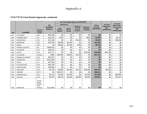|             |                        |                                             |                                    |                                         | \$1 Fund Budget Request APPROVED         |                                                                    |                                      |                             |                                                   |                                                    |
|-------------|------------------------|---------------------------------------------|------------------------------------|-----------------------------------------|------------------------------------------|--------------------------------------------------------------------|--------------------------------------|-----------------------------|---------------------------------------------------|----------------------------------------------------|
|             |                        |                                             | \$4                                | <b>Maintenance</b>                      |                                          |                                                                    |                                      | <b>TOTAL</b>                | \$1 Fund                                          | \$1 Fund<br>Back Scan /                            |
| <b>FIPS</b> | Locality               | <b>Records</b><br><b>System</b><br>Vendor   | <b>Available</b><br><b>Balance</b> | Land<br><b>Records</b><br><b>System</b> | <b>Secure</b><br>Remote<br><b>Access</b> | <b>Redaction</b><br>of Social<br><b>Security</b><br><b>Numbers</b> | Equipment:<br>Hardware<br>& Software | \$1 Fund<br><b>APPROVED</b> | <b>Equipment</b><br><b>NOT</b><br><b>APPROVED</b> | <b>Conversion</b><br><b>NOT</b><br><b>APPROVED</b> |
| 047         | <b>CULPEPER</b>        | SCV                                         | \$55,296                           | \$0                                     | \$0                                      | \$0                                                                | \$0                                  | \$0                         | \$0                                               | \$0                                                |
| 049         | <b>CUMBERLAND</b>      | <b>ILS</b>                                  | \$16,165                           | \$750                                   | \$0                                      | \$0                                                                | \$800                                | \$1,550                     | \$0                                               | \$2,125                                            |
| 051         | <b>DICKENSON</b>       | SCV                                         | \$72,158                           | \$0                                     | \$0                                      | \$9,180                                                            | \$0                                  | \$9,180                     | \$0                                               | \$65,368                                           |
| 053         | <b>DINWIDDIE</b>       | SCV                                         | \$42,706                           | \$9,892                                 | \$2,400                                  | \$0                                                                | \$0                                  | \$12,292                    | \$0                                               | \$0                                                |
| 057         | <b>ESSEX</b>           | SCV                                         | \$0                                | \$6,000                                 | \$2,400                                  | \$769                                                              | \$0                                  | \$9,169                     | \$0                                               | \$0                                                |
| 059         | <b>FAIRFAX COUNTY</b>  | <b>NA</b>                                   | \$568,824                          | \$0                                     | \$0                                      | \$0                                                                | \$0                                  | \$0                         | \$0                                               | \$0                                                |
| 061         | <b>FAUQUIER</b>        | SCV                                         | \$26,375                           | \$0                                     | \$0                                      | \$0                                                                | \$0                                  | \$0                         | \$0                                               | \$0                                                |
| 063         | <b>FLOYD</b>           | SCV                                         | \$21,717                           | \$0                                     | \$0                                      | \$0                                                                | \$15,000                             | \$15,000                    | \$32,288                                          | \$0                                                |
| 065         | <b>FLUVANNA</b>        | <b>LOGAN</b>                                | \$596                              | \$29,904                                | \$6,000                                  | \$1,208                                                            | \$0                                  | \$37,112                    | \$0                                               | \$0                                                |
| 067         | <b>FRANKLIN COUNTY</b> | SCV                                         | \$91,615                           | \$0                                     | \$0                                      | \$0                                                                | \$0                                  | \$0                         | \$0                                               | \$0                                                |
| 069         | <b>FREDERICK</b>       | SCV                                         | \$124,509                          | \$0                                     | \$0                                      | \$0                                                                | \$0                                  | \$0                         | \$0                                               | \$0                                                |
| 071         | <b>GILES</b>           | <b>ILS</b>                                  | \$47,908                           | \$0                                     | \$0                                      | \$0                                                                | \$0                                  | \$0                         | \$0                                               | \$0                                                |
| 073         | <b>GLOUCESTER</b>      | SCV                                         | \$62,709                           | \$0                                     | \$0                                      | \$0                                                                | \$0                                  | \$0                         | \$0                                               | \$0                                                |
| 075         | <b>GOOCHLAND</b>       | SCV                                         | \$18,646                           | \$0                                     | \$0                                      | \$0                                                                | \$0                                  | \$0                         | \$0                                               | \$0                                                |
| 077         | <b>GRAYSON</b>         | SCV                                         | \$1,739                            | \$4,603                                 | \$2,400                                  | \$1,014                                                            | \$15,000                             | \$23,017                    | \$3,260                                           | \$0                                                |
| 079         | <b>GREENE</b>          | <b>COTT</b>                                 | \$0                                | \$48,372                                | \$0                                      | \$0                                                                | \$0                                  | \$48,372                    | \$0                                               | \$0                                                |
| 081         | <b>GREENSVILLE</b>     | SCV                                         | \$4,132                            | \$7,609                                 | \$2,400                                  | \$0                                                                | \$1,500                              | \$11,509                    | \$0                                               | \$30,800                                           |
| 083         | <b>HALIFAX</b>         | SCV                                         | \$2,976                            | \$6,224                                 | \$2,400                                  | \$6,899                                                            | \$4,000                              | \$19,523                    | \$0                                               | \$71,873                                           |
| 085         | <b>HANOVER</b>         | Sycom,<br>Image<br>Source,<br>SCV.<br>AmCad | \$112,699                          | \$0                                     | \$0                                      | \$0                                                                | \$0                                  | \$0                         | \$0                                               | \$0                                                |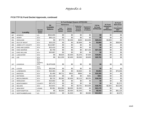|             |                          |                                           |                                    |                                         |                                          | \$1 Fund Budget Request APPROVED                                   |                                                    |                             |                                                   | \$1 Fund                                           |
|-------------|--------------------------|-------------------------------------------|------------------------------------|-----------------------------------------|------------------------------------------|--------------------------------------------------------------------|----------------------------------------------------|-----------------------------|---------------------------------------------------|----------------------------------------------------|
|             |                          |                                           | \$4                                |                                         | <b>Maintenance</b>                       |                                                                    |                                                    | <b>TOTAL</b>                | \$1 Fund                                          | <b>Back Scan</b>                                   |
| <b>FIPS</b> | <b>Locality</b>          | <b>Records</b><br><b>System</b><br>Vendor | <b>Available</b><br><b>Balance</b> | Land<br><b>Records</b><br><b>System</b> | <b>Secure</b><br>Remote<br><b>Access</b> | <b>Redaction</b><br>of Social<br><b>Security</b><br><b>Numbers</b> | <b>Equipment:</b><br><b>Hardware</b><br>& Software | \$1 Fund<br><b>APPROVED</b> | <b>Equipment</b><br><b>NOT</b><br><b>APPROVED</b> | <b>Conversion</b><br><b>NOT</b><br><b>APPROVED</b> |
| 087         | <b>HENRICO</b>           | <b>ILS</b>                                | \$534,655                          | \$0                                     | \$0                                      | \$0                                                                | \$0                                                | \$0                         | \$0                                               | \$0                                                |
| 089         | <b>HENRY</b>             | SCV                                       | \$60,123                           | \$0                                     | \$0                                      | \$0                                                                | \$0                                                | \$0                         | \$0                                               | \$0                                                |
| 091         | <b>HIGHLAND</b>          | SCV                                       | \$0                                | \$7,773                                 | \$2,400                                  | \$340                                                              | \$15,000                                           | \$25,513                    | \$3,800                                           | \$0                                                |
| 093         | <b>ISLE OF WIGHT</b>     | SCV                                       | \$25,233                           | \$0                                     | \$0                                      | \$2,869                                                            | \$0                                                | \$2,869                     | \$0                                               | \$38,000                                           |
| 095         | <b>JAMES CITY COUNTY</b> | SCV                                       | \$113,967                          | \$0                                     | \$0                                      | \$0                                                                | \$0                                                | \$0                         | \$0                                               | \$0                                                |
| 097         | KING AND QUEEN           | SCV                                       | \$15,415                           | \$0                                     | \$0                                      | \$0                                                                | \$0                                                | \$0                         | \$0                                               | \$0                                                |
| 099         | KING GEORGE              | <b>NA</b>                                 | \$2,759                            | \$0                                     | \$0                                      | \$0                                                                | \$27,150                                           | \$27,150                    | \$0                                               | \$0                                                |
| 101         | <b>KING WILLIAM</b>      | SCV                                       | \$20,887                           | \$0                                     | \$0                                      | \$0                                                                | \$0                                                | \$0                         | \$0                                               | \$0                                                |
| 103         | <b>LANCASTER</b>         | SCV                                       | \$0                                | \$8,825                                 | \$2,400                                  | \$1,076                                                            | \$7.500                                            | \$19,801                    | \$0                                               | \$0                                                |
| 105         | LEE                      | SCV                                       | \$0                                | \$11,200                                | \$2,400                                  | \$3,565                                                            | \$3,600                                            | \$20,765                    | \$0                                               | \$0                                                |
| 107         | <b>LOUDOUN</b>           | SCV,<br>Jury<br>Systems,<br><b>DTS</b>    | \$1,670,628                        | \$0                                     | \$0                                      | \$0                                                                | \$0                                                | \$0                         | \$0                                               | \$0                                                |
| 109         | <b>LOUISA</b>            | SCV<br>COTT                               | \$52,046                           | \$0                                     | \$0                                      | \$0                                                                | \$0                                                | \$0                         | \$0                                               | \$0                                                |
| 111         | <b>LUNENBURG</b>         | SCV                                       | \$10,363                           | \$0                                     | \$0                                      | \$3,864                                                            | \$0                                                | \$3,864                     | \$0                                               | \$75,000                                           |
| 113         | <b>MADISON</b>           | SCV                                       | \$1,490                            | \$8,711                                 | \$910                                    | \$684                                                              | \$0                                                | \$10,305                    | \$0                                               | \$0                                                |
| 115         | <b>MATHEWS</b>           | SCV                                       | \$12,139                           | \$0                                     | \$0                                      | \$0                                                                | \$261                                              | \$261                       | \$0                                               | \$0                                                |
| 117         | <b>MECKLENBURG</b>       | SCV                                       | \$8,732                            | \$5,382                                 | \$2,400                                  | \$2,113                                                            | \$8,255                                            | \$18,150                    | \$0                                               | \$0                                                |
| 119         | <b>MIDDLESEX</b>         | SCV                                       | \$23,682                           | \$0                                     | \$0                                      | \$0                                                                | \$0                                                | \$0                         | \$0                                               | \$0                                                |
| 121         | <b>MONTGOMERY</b>        | <b>COUNTY</b>                             | \$67,472                           | \$0                                     | \$0                                      | \$0                                                                | \$0                                                | \$0                         | \$0                                               | \$1,572                                            |
| 125         | <b>NELSON</b>            | SCV                                       | \$13,641                           | \$0                                     | \$0                                      | \$3,761                                                            | \$15,000                                           | \$18,761                    | \$2,842                                           | \$12,340                                           |
| 127         | <b>NEW KENT</b>          | LOGAN                                     | \$3,381                            | \$34,084                                | \$6,000                                  | \$1,092                                                            | \$0                                                | \$41,176                    | \$0                                               | \$0                                                |
| 131         | <b>NORTHAMPTON</b>       | SCV                                       | \$0                                | \$5,000                                 | \$2,400                                  | \$1,043                                                            | \$0                                                | \$8,443                     | \$0                                               | \$81,120                                           |
| 133         | NORTHUMBERLAND           | <b>ILS</b>                                | \$9,523                            | \$0                                     | \$1,933                                  | \$0                                                                | \$9,980                                            | \$11,913                    | \$0                                               | \$2,975                                            |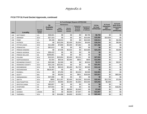|             |                   |                                           |           |                                         | \$1 Fund Budget Request APPROVED         |                                                                    |                                                    |                             |                                                   |                                                    |  |
|-------------|-------------------|-------------------------------------------|-----------|-----------------------------------------|------------------------------------------|--------------------------------------------------------------------|----------------------------------------------------|-----------------------------|---------------------------------------------------|----------------------------------------------------|--|
|             |                   |                                           | \$4       | <b>Maintenance</b>                      |                                          |                                                                    |                                                    | <b>TOTAL</b>                | \$1 Fund                                          | \$1 Fund<br>Back Scan /                            |  |
| <b>FIPS</b> | Locality          | <b>Records</b><br><b>System</b><br>Vendor |           | Land<br><b>Records</b><br><b>System</b> | <b>Secure</b><br>Remote<br><b>Access</b> | <b>Redaction</b><br>of Social<br><b>Security</b><br><b>Numbers</b> | <b>Equipment:</b><br><b>Hardware</b><br>& Software | \$1 Fund<br><b>APPROVED</b> | <b>Equipment</b><br><b>NOT</b><br><b>APPROVED</b> | <b>Conversion</b><br><b>NOT</b><br><b>APPROVED</b> |  |
| 135         | <b>NOTTOWAY</b>   | <b>ILS</b>                                | \$36,821  | \$0                                     | \$0                                      | \$0                                                                | \$6,700                                            | \$6,700                     | \$0                                               | \$0                                                |  |
| 137         | ORANGE*           | SCV                                       | \$27,323  | \$0                                     | \$0                                      | \$0                                                                | \$15,000                                           | \$15,000                    | \$10,954                                          | \$0                                                |  |
| 139         | PAGE              | <b>ILS</b>                                | \$5,168   | \$8,014                                 | \$0                                      | \$0                                                                | \$10,500                                           | \$18,514                    | \$0                                               | \$2,450                                            |  |
| 141         | <b>PATRICK</b>    | SCV                                       | \$0       | \$10,200                                | \$2,400                                  | \$1,054                                                            | \$4,600                                            | \$18,254                    | \$0                                               | \$9,000                                            |  |
| 143         | PITTSYLVANIA      | SCV                                       | \$11,808  | \$7,800                                 | \$2,400                                  | \$7,282                                                            | \$0                                                | \$17,482                    | \$0                                               | \$0                                                |  |
| 145         | <b>POWHATAN</b>   | <b>ILS</b>                                | \$91,613  | \$0                                     | \$0                                      | \$0                                                                | \$0                                                | \$0                         | \$0                                               | \$0                                                |  |
| 147         | PRINCE EDWARD     | <b>ILS</b>                                | \$0       | \$7,035                                 | \$5,534                                  | \$0                                                                | \$10,680                                           | \$23,249                    | \$0                                               | \$3,900                                            |  |
| 149         | PRINCE GEORGE     | SCV                                       | \$59,422  | \$0                                     | \$0                                      | \$0                                                                | \$0                                                | \$0                         | \$0                                               | \$0                                                |  |
| 153         | PRINCE WILLIAM    | <b>NA</b>                                 | \$259,801 | \$0                                     | \$0                                      | \$0                                                                | \$0                                                | \$0                         | \$0                                               | \$0                                                |  |
| 155         | <b>PULASKI</b>    | SCV                                       | \$13,521  | \$23,004                                | \$2,400                                  | \$2,151                                                            | \$0                                                | \$27,555                    | \$0                                               | \$0                                                |  |
| 157         | RAPPAHANNOCK      | SCV                                       | \$1,554   | \$9,516                                 | \$2,400                                  | \$652                                                              | \$500                                              | \$13,068                    | \$0                                               | \$0                                                |  |
| 159         | RICHMOND COUNTY   | <b>ILS</b>                                | \$20,586  | \$1,500                                 | \$0                                      | \$0                                                                | \$2,810                                            | \$4,310                     | \$0                                               | \$2,875                                            |  |
| 161         | ROANOKE COUNTY    | SCV                                       | \$31,216  | \$23,451                                | \$0                                      | \$0                                                                | \$0                                                | \$23,451                    | \$0                                               | \$0                                                |  |
| 163         | <b>ROCKBRIDGE</b> | SCV                                       | \$1,290   | \$6,510                                 | \$2,400                                  | \$1,732                                                            | \$2,500                                            | \$13,142                    | \$0                                               | \$0                                                |  |
| 165         | <b>ROCKINGHAM</b> | <b>NA</b>                                 | \$619,467 | \$0                                     | \$0                                      | \$0                                                                | \$0                                                | \$0                         | \$0                                               | \$0                                                |  |
| 167         | <b>RUSSELL</b>    | SCV                                       | \$0       | \$7,250                                 | \$0                                      | \$2,244                                                            | \$3,500                                            | \$12,994                    | \$0                                               | \$0                                                |  |
| 169         | <b>SCOTT</b>      | <b>BIS</b>                                | \$0       | \$5,000                                 | \$0                                      | \$821                                                              | \$18,000                                           | \$23,821                    | \$0                                               | \$60,000                                           |  |
| 171         | SHENANDOAH        | SCV                                       | \$37,066  | \$0                                     | \$0                                      | \$0                                                                | \$0                                                | \$0                         | \$0                                               | \$0                                                |  |
| 173         | <b>SMYTH</b>      | SCV                                       | \$993     | \$11,207                                | \$2,400                                  | \$4,336                                                            | \$15,000                                           | \$32,943                    | \$12,793                                          | \$7,838                                            |  |
| 175         | SOUTHAMPTON       | SCV                                       | \$7,673   | \$4,993                                 | \$2,400                                  | \$1,663                                                            | \$15,000                                           | \$24,056                    | \$6,388                                           | \$0                                                |  |
| 177         | SPOTSYLVANIA      | <b>ILS</b>                                | \$83,857  | \$0                                     | \$0                                      | \$0                                                                | \$0                                                | \$0                         | \$0                                               | \$0                                                |  |
| 179         | <b>STAFFORD</b>   | <b>NA</b>                                 | \$37,944  | \$0                                     | \$0                                      | \$0                                                                | \$0                                                | \$0                         | \$0                                               | \$18,054                                           |  |
| 181         | <b>SURRY</b>      | <b>NA</b>                                 | \$0       | \$0                                     | \$6,000                                  | \$1,645                                                            | \$0                                                | \$7,645                     | \$0                                               | \$0                                                |  |
| 183         | <b>SUSSEX</b>     | LOGAN                                     | \$0       | \$0                                     | \$6,000                                  | \$7,907                                                            | \$0                                                | \$13,907                    | \$0                                               | \$0                                                |  |
| 185         | <b>TAZEWELL</b>   | SCV                                       | \$0       | \$14,686                                | \$4,800                                  | \$2,955                                                            | \$0                                                | \$22,441                    | \$0                                               | \$0                                                |  |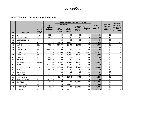|             |                         |                                           |                                    |                                         |                                          | \$1 Fund Budget Request APPROVED                                   |                                      |                             |                                                   |                                                    |
|-------------|-------------------------|-------------------------------------------|------------------------------------|-----------------------------------------|------------------------------------------|--------------------------------------------------------------------|--------------------------------------|-----------------------------|---------------------------------------------------|----------------------------------------------------|
|             |                         |                                           | \$4                                |                                         | <b>Maintenance</b>                       |                                                                    |                                      | <b>TOTAL</b>                | \$1 Fund                                          | \$1 Fund<br><b>Back Scan/</b>                      |
| <b>FIPS</b> | <b>Locality</b>         | <b>Records</b><br><b>System</b><br>Vendor | <b>Available</b><br><b>Balance</b> | Land<br><b>Records</b><br><b>System</b> | <b>Secure</b><br>Remote<br><b>Access</b> | <b>Redaction</b><br>of Social<br><b>Security</b><br><b>Numbers</b> | Equipment:<br>Hardware<br>& Software | \$1 Fund<br><b>APPROVED</b> | <b>Equipment</b><br><b>NOT</b><br><b>APPROVED</b> | <b>Conversion</b><br><b>NOT</b><br><b>APPROVED</b> |
| 187         | <b>WARREN</b>           | SCV                                       | \$86,603                           | \$0                                     | \$0                                      | \$0                                                                | \$0                                  | \$0                         | \$0                                               | \$0                                                |
| 191         | WASHINGTON              | SCV                                       | \$49,827                           | \$0                                     | \$0                                      | \$0                                                                | \$0                                  | \$0                         | \$0                                               | \$0                                                |
| 193         | <b>WESTMORELAND</b>     | <b>NA</b>                                 | \$0                                | \$0                                     | \$0                                      | \$0                                                                | \$0                                  | \$0                         | \$0                                               | \$0                                                |
| 195         | <b>WISE</b>             | SCV                                       | \$2,664                            | \$7,536                                 | \$2,400                                  | \$0                                                                | \$0                                  | \$9,936                     | \$0                                               | \$71,033                                           |
| 197         | <b>WYTHE</b>            | SCV                                       | \$50,388                           | \$14,856                                | \$2,400                                  | \$5,839                                                            | \$0                                  | \$23,095                    | \$0                                               | \$0                                                |
| 199         | <b>YORK</b>             | <b>UNITY</b>                              | \$258,852                          | \$0                                     | \$0                                      | \$0                                                                | \$0                                  | \$0                         | \$0                                               | \$0                                                |
| 510         | <b>ALEXANDRIA</b>       | SCV                                       | \$117,785                          | \$0                                     | \$0                                      | \$0                                                                | \$0                                  | \$0                         | \$0                                               | \$0                                                |
| 520         | <b>BRISTOL</b>          | SCV                                       | \$0                                | \$8,800                                 | \$2,400                                  | \$865                                                              | \$11,607                             | \$23,672                    | \$0                                               | \$0                                                |
| 530         | <b>BUENA VISTA</b>      | SCV                                       | \$0                                | \$12,761                                | \$3,600                                  | \$1,369                                                            | \$0                                  | \$17,730                    | \$0                                               | \$0                                                |
| 540         | <b>CHARLOTTESVILLE</b>  | <b>ILS</b>                                | \$46,301                           | \$0                                     | \$0                                      | \$0                                                                | \$0                                  | \$0                         | \$0                                               | \$0                                                |
| 550         | CHESAPEAKE              | SCV                                       | \$86,090                           | \$0                                     | \$0                                      | \$0                                                                | \$0                                  | \$0                         | \$0                                               | \$0                                                |
| 570         | <b>COLONIAL HEIGHTS</b> | <b>AMCAD</b>                              | \$0                                | \$20,837                                | \$18,000                                 | \$1,980                                                            | \$0                                  | \$40,817                    | \$0                                               | \$0                                                |
| 590         | <b>DANVILLE</b>         | SCV                                       | \$127,695                          | \$0                                     | \$0                                      | \$0                                                                | \$0                                  | \$0                         | \$0                                               | \$0                                                |
| 630         | <b>FREDERICKSBURG</b>   | SCV                                       | \$0                                | \$13,405                                | \$2,400                                  | \$3,303                                                            | \$9,824                              | \$28,932                    | \$0                                               | \$0                                                |
| 650         | <b>HAMPTON</b>          | SCV                                       | \$82,110                           | \$0                                     | \$0                                      | \$0                                                                | \$0                                  | \$0                         | \$0                                               | \$0                                                |
| 670         | <b>HOPEWELL</b>         | <b>NA</b>                                 | \$234                              | \$0                                     | \$0                                      | \$0                                                                | \$0                                  | \$0                         | \$0                                               | \$0                                                |
| 680         | <b>LYNCHBURG</b>        | SCV                                       | \$22,233                           | \$0                                     | \$0                                      | \$0                                                                | \$0                                  | \$0                         | \$0                                               | \$0                                                |
| 690         | <b>MARTINSVILLE</b>     | <b>UNITY</b>                              | \$0                                | \$3,800                                 | \$6,840                                  | \$600                                                              | \$0                                  | \$11,240                    | \$0                                               | \$0                                                |
| 700         | <b>NEWPORT NEWS</b>     | SCV                                       | \$470,036                          | \$0                                     | \$0                                      | \$0                                                                | \$0                                  | \$0                         | \$0                                               | \$0                                                |
| 710         | <b>NORFOLK</b>          | <b>NA</b>                                 | \$2,640                            | \$0                                     | \$0                                      | \$100,025                                                          | \$0                                  | \$100,025                   | \$0                                               | \$0                                                |
| 730         | <b>PETERSBURG</b>       | <b>ILS</b>                                | \$56,443                           | \$0                                     | \$1,000                                  | \$0                                                                | \$0                                  | \$1,000                     | \$0                                               | \$5,100                                            |
| 740         | <b>PORTSMOUTH</b>       | <b>NA</b>                                 | \$3,629                            | \$0                                     | \$0                                      | \$22,025                                                           | \$0                                  | \$22,025                    | \$0                                               | \$0                                                |
| 750         | <b>RADFORD</b>          | <b>ILS</b>                                | \$4,091                            | \$0                                     | \$2,175                                  | \$0                                                                | \$8,100                              | \$10,275                    | \$0                                               | \$0                                                |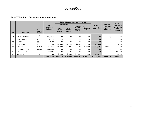|             |                       |                                           |                                    |                                         | \$1 Fund Budget Request APPROVED         |                                                                    |                                             |                             |                                                   |                                                                               |
|-------------|-----------------------|-------------------------------------------|------------------------------------|-----------------------------------------|------------------------------------------|--------------------------------------------------------------------|---------------------------------------------|-----------------------------|---------------------------------------------------|-------------------------------------------------------------------------------|
|             |                       |                                           | \$4                                |                                         | <b>Maintenance</b>                       |                                                                    |                                             | <b>TOTAL</b>                | \$1 Fund                                          | \$1 Fund<br>Back Scan /<br><b>Conversion</b><br><b>NOT</b><br><b>APPROVED</b> |
| <b>FIPS</b> | Locality              | <b>Records</b><br><b>System</b><br>Vendor | <b>Available</b><br><b>Balance</b> | Land<br><b>Records</b><br><b>System</b> | <b>Secure</b><br>Remote<br><b>Access</b> | <b>Redaction</b><br>of Social<br><b>Security</b><br><b>Numbers</b> | Equipment:<br><b>Hardware</b><br>& Software | \$1 Fund<br><b>APPROVED</b> | <b>Equipment</b><br><b>NOT</b><br><b>APPROVED</b> |                                                                               |
|             |                       | SCV.                                      |                                    |                                         |                                          |                                                                    |                                             |                             |                                                   |                                                                               |
| 760         | <b>RICHMOND CITY</b>  | Lason                                     | \$552,347                          | \$0                                     | \$0                                      | \$0                                                                | \$0                                         | \$0                         | \$0                                               | \$0                                                                           |
| 770         | ROANOKE CITY          | SCV                                       | \$98,312                           | \$0                                     | \$0                                      | \$0                                                                | \$0                                         | \$0                         | \$0                                               | \$0                                                                           |
| 775         | <b>SALEM</b>          | SCV                                       | \$31,709                           | \$0                                     | \$0                                      | \$0                                                                | \$0                                         | \$0                         | \$0                                               | \$0                                                                           |
| 790         | <b>STAUNTON</b>       | SCV                                       | \$0                                | \$10,400                                | \$18,150                                 | \$1,903                                                            | \$0                                         | \$30,453                    | \$0                                               | \$7,800                                                                       |
| 800         | <b>SUFFOLK</b>        | <b>AMCAD</b>                              | \$32,623                           | \$49,685                                | \$33,000                                 | \$0                                                                | \$15,000                                    | \$97,685                    | \$49,973                                          | \$0                                                                           |
| 810         | <b>VIRGINIA BEACH</b> | AMCAD                                     | \$274,555                          | \$0                                     | \$0                                      | \$0                                                                | \$0                                         | \$0                         | \$0                                               | \$0                                                                           |
| 820         | WAYNESBORO            | SCV                                       | \$55,093                           | \$0                                     | \$0                                      | \$0                                                                | \$0                                         | \$0                         | \$0                                               | \$50,000                                                                      |
| 840         | <b>WINCHESTER</b>     | SCV                                       | \$0                                | \$8,920                                 | \$2,400                                  | \$20,251                                                           | \$3,500                                     | \$35,071                    | \$0                                               | \$4,950                                                                       |
|             |                       |                                           | \$8,504,488                        | \$534,738                               | \$212,956                                | \$563,491                                                          | \$344.871                                   | \$1,656,056                 | \$122,721                                         | \$691,287                                                                     |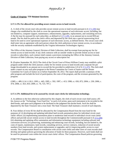#### **Code of Virginia: TTF-Related Sections**

#### **§ 17.1-276. Fee allowed for providing secure remote access to land records.**

A. A clerk of the circuit court who provides secure remote access to land records pursuant to § [17.1-294](http://leg1.state.va.us/cgi-bin/legp504.exe?000+cod+17.1-294) may charge a fee established by the clerk to cover the operational expenses of such electronic access, including, but not limited to, computer support, maintenance, enhancements, upgrades, replacements, and consulting services. A flat fee may be assessed for each subscriber, as defined in § [17.1-295,](http://leg1.state.va.us/cgi-bin/legp504.exe?000+cod+17.1-295) in an amount not to exceed \$50 per month. The fee shall be paid to the clerk's office and deposited by the clerk into a special nonreverting local fund to be used to cover operational expenses of such electronic access, as defined herein. The circuit court clerk shall enter into an agreement with each person whom the clerk authorizes to have remote access, in accordance with the security standards established by the Virginia Information Technologies Agency.

The Office of the Attorney General, Division of Debt Collection, shall be exempt from paying any fee for remote access to land records. If any clerk contracts with an outside vendor to provide remote access to land records to subscribers, such contract shall contain a provision exempting the Office of the Attorney General, Division of Debt Collection, from paying any access or subscription fee.

B. (Expires September 30, 2012) The clerk of the Circuit Court of Prince William County may establish a pilot program under which the clerk assesses a daily fee for remote access to land records and a separate fee per image downloaded in an amount not to exceed the fee provided in subdivision A 8 of § [17.1-275.](http://leg1.state.va.us/cgi-bin/legp504.exe?000+cod+17.1-275) The clerk shall make a report on any such pilot program to the House Committee for Courts of Justice and the Senate Committee for Courts of Justice on or before September 30, 2012. The report shall provide a summary of the pilot program and include the level of participation, the costs of the program, and the revenues generated by the program.

(1985, c. 489, § 14.1-118.1; 1993, c. 445; 1995, c. 592; 1997, c. 413; 1998, cc. 650, 872; 2004, c. 230; 2006, c. 474; 2008, cc. 823, 833; 2009, cc. 76, 723, 797.)

#### **§ 17.1-279. Additional fee to be assessed by circuit court clerks for information technology.**

A. In addition to the fees otherwise authorized by this chapter, the clerk of each circuit court shall assess a \$5 fee, known as the "Technology Trust Fund Fee," in each civil action, upon each instrument to be recorded in the deed books, and upon each judgment to be docketed in the judgment lien docket book. Such fee shall be deposited by the State Treasurer into a trust fund. The State Treasurer shall maintain a record of such deposits.

B. Four dollars of every \$5 fee shall be allocated by the Compensation Board from the trust fund for the purposes of: (i) developing and updating individual land records automation plans for individual circuit court clerks' offices; (ii) implementing automation plans to modernize land records in individual circuit court clerks' offices and provide secure remote access to land records throughout the Commonwealth pursuant to § [17.1-294](http://leg1.state.va.us/cgi-bin/legp504.exe?000+cod+17.1-294); (iii) obtaining and updating office automation and information technology equipment including software and conversion services; (iv) preserving, maintaining and enhancing court records, including, but not limited to, the costs of repairs, maintenance, land records, consulting services, service contracts, redaction of social security numbers from land records, and system replacements or upgrades; and (v) improving public access to court records. The Compensation Board in consultation with circuit court clerks and other users of court records shall develop and update policies governing the allocation of funds for these purposes. However, such funds shall not be used for personnel costs within the circuit court clerks' offices. The Compensation Board policies governing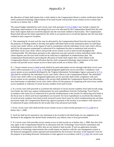the allocation of funds shall require that a clerk submit to the Compensation Board a written certification that the clerk's proposed technology improvements of his land records will provide secure remote access to those land records on or before July 1, 2008.

The annual budget submitted by each circuit court clerk pursuant to § [15.2-1636.7](http://leg1.state.va.us/cgi-bin/legp504.exe?000+cod+15.2-1636.7) may include a request for technology improvements in the upcoming fiscal year to be allocated by the Compensation Board from the trust fund. Such request shall not exceed the deposits into the trust fund credited to that locality. The Compensation Board shall allocate the funds requested by the clerks in an amount not to exceed the deposits into the trust fund credited to their respective localities.

C. The remaining \$1 of each such fee may be allocated by the Compensation Board from the trust fund (i) for the purposes of funding studies to develop and update individual land-records automation plans for individual circuit court clerks' offices, at the request of and in consultation with the individual circuit court clerk's offices, and (ii) for the purposes enumerated in subsection B to implement the plan to modernize land records in individual circuit court clerks' offices and provide secure remote access to land records throughout the Commonwealth. The allocations pursuant to this subsection may give priority to those individual clerks' offices whose deposits into the trust fund would not be sufficient to implement its modernization plan. The Compensation Board policies governing the allocation of funds shall require that a clerk submit to the Compensation Board a written certification that the clerk's proposed technology improvements of his land records will provide secure remote access to those land records on or before July 1, 2008.

D. 1. Secure remote access to land records shall be by paid subscription service through individual circuit court clerk's offices pursuant to § [17.1-276,](http://leg1.state.va.us/cgi-bin/legp504.exe?000+cod+17.1-276) or through designated application service providers. Compliance with secure remote access standards developed by the Virginia Information Technologies Agency pursuant to § [17.1-](http://leg1.state.va.us/cgi-bin/legp504.exe?000+cod+17.1-294) [294](http://leg1.state.va.us/cgi-bin/legp504.exe?000+cod+17.1-294) shall be certified by the individual circuit court clerks' offices to the Compensation Board. The individual circuit court clerk's office or its designated application service provider shall certify compliance with such secure remote access standards. Nothing in this section shall prohibit the Compensation Board from allocating trust fund money to individual circuit court clerks' offices for the purpose of complying with such secure remote access standards or redaction of social security numbers from land records.

2. If a circuit court clerk proceeds to accelerate the redaction of social security numbers from land records using local funds, the clerk may request reimbursement for such expenditures from the Technology Trust Fund in accordance with clause (iv) of subsection B to provide reimbursement to the locality for advancing such funds in the fiscal year in which such local expenditures are incurred. For local expenditures to accelerate the redaction of social security numbers from land records incurred in prior fiscal years for which reimbursement has not been previously made, the Compensation Board may approve payment to the locality in accordance with clause (iv) of subsection B upon certification by the locality that it has advanced such funds.

3. Every circuit court clerk shall provide secure remote access to land records pursuant to § [17.1-294](http://leg1.state.va.us/cgi-bin/legp504.exe?000+cod+17.1-294) on or before July 1, 2008.

E. Such fee shall not be assessed to any instrument to be recorded in the deed books nor any judgment to be docketed in the judgment lien docket books tendered by any federal, state or local government.

F. If a circuit court clerk provides secure remote access to land records on or before July 1, 2008, then that clerk may apply to the Compensation Board for an allocation from the Technology Trust Fund for automation and technology improvements in his office that are not related to land records. If such an application includes automation or technology improvements that would require an interface with the case management system or the financial management system operated and maintained by the Executive Secretary of the Supreme Court for the purpose of providing electronic information to state agencies in accordance with § [17.1-502,](http://leg1.state.va.us/cgi-bin/legp504.exe?000+cod+17.1-502) the circuit court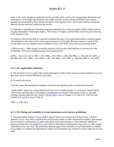## Appendix  $\neq$

clerk, or the court's designated application service provider, shall certify to the Compensation Board that such automation or technology improvements will comply with the security and data standards of the systems operated and maintained by the Executive Secretary of the Supreme Court. Such request shall not exceed the deposits into the trust fund credited to that locality.

G. Information regarding the technology programs adopted by the circuit court clerks shall be shared with the Virginia Information Technologies Agency, The Library of Virginia, and the Office of the Executive Secretary of the Supreme Court.

H. Nothing in this section shall be construed to diminish the duty of local governing bodies to furnish supplies and equipment to the clerks of the circuit courts pursuant to § [15.2-1656.](http://leg1.state.va.us/cgi-bin/legp504.exe?000+cod+15.2-1656) Revenue raised as a result of this section shall in no way supplant current funding to circuit court clerks' offices by local governing bodies.

I. Effective July 1, 2006, except for transfers pursuant to this section, there shall be no transfers out of the Technology Trust Fund, including transfers to the general fund.

(1996, c. 431, § 14.1-125.2; 1997, c. 675; 1998, c. 872; 2000, cc. 440, 446; 2002, cc. 140, 250, 637; 2003, cc. 205, 865, 981, 1021; 2004, c. 676; 2005, cc. 681, 738; 2006, c. 647; 2007, cc. 548, 626; 2009, cc. 793, 858.)

#### **§ 17.1-292. Applicability; definitions.**

A. The provisions of § [17.1-293](http://leg1.state.va.us/cgi-bin/legp504.exe?000+cod+17.1-293) of this article shall apply to clerks of the courts of record as defined in § [1-212](http://leg1.state.va.us/cgi-bin/legp504.exe?000+cod+1-212) and courts not of record as defined in § [16.1-69.5.](http://leg1.state.va.us/cgi-bin/legp504.exe?000+cod+16.1-69.5)

B. As used in this article:

"Internet" means the international computer network of interoperable packet-switched data networks.

"Land records" means any writing authorized by law to be recorded on paper or in electronic format that the clerk records affecting title to real property, including but not limited to instruments, orders, or any other writings recorded under this title, Article 5 (§ [8.01-446](http://leg1.state.va.us/cgi-bin/legp504.exe?000+cod+8.01-446) et seq.) of Chapter 17 of Title 8.01, Title 8.9A and Chapter 6 (§ [55-106](http://leg1.state.va.us/cgi-bin/legp504.exe?000+cod+55-106) et seq.) of Title 55.

(2007, cc. 548, 626.)

#### **§ 17.1-293. Posting and availability of certain information on the Internet; prohibitions.**

A. Notwithstanding Chapter 37 (§ [2.2-3700](http://leg1.state.va.us/cgi-bin/legp504.exe?000+cod+2.2-3700) et seq.) of Title 2.2 or subsection B of this section, it shall be unlawful for any court clerk to disclose the social security number or other identification numbers appearing on driver's licenses or information on credit cards, debit cards, bank accounts, or other electronic billing and payment systems that was supplied to a court clerk for the purpose of paying fees, fines, taxes, or other charges collected by such court clerk. The prohibition shall not apply where disclosure of such information is required (i) to conduct or complete the transaction for which such information was submitted or (ii) by other law or court order.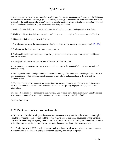B. Beginning January 1, 2004, no court clerk shall post on the Internet any document that contains the following information: (i) an actual signature, (ii) a social security number, (iii) a date of birth identified with a particular person, (iv) the maiden name of a person's parent so as to be identified with a particular person, (v) any financial account number or numbers, or (vi) the name and age of any minor child.

C. Each such clerk shall post notice that includes a list of the documents routinely posted on its website.

D. Nothing in this section shall be construed to prohibit access to any original document as provided by law.

E. This section shall not apply to the following:

1. Providing access to any document among the land records via secure remote access pursuant to § [17.1-294](http://leg1.state.va.us/cgi-bin/legp504.exe?000+cod+17.1-294);

2. Postings related to legitimate law-enforcement purposes;

3. Postings of historical, genealogical, interpretive, or educational documents and information about historic persons and events;

4. Postings of instruments and records filed or recorded prior to 1907; and

5. Providing secure remote access to any person and his counsel to documents filed in matters to which such person is a party.

F. Nothing in this section shall prohibit the Supreme Court or any other court from providing online access to a case management system that may include abstracts of case filings and proceedings in the courts of the Commonwealth.

G. The court clerk shall be immune from suit arising from any acts or omissions relating to providing remote access on the Internet pursuant to this section unless the clerk was grossly negligent or engaged in willful misconduct.

This subsection shall not be construed to limit, withdraw, or overturn any defense or immunity already existing in statutory or common law, or to affect any cause of action accruing prior to July 1, 2005.

(2007, cc. 548, 626.)

#### **§ 17.1-294. Secure remote access to land records.**

A. No circuit court clerk shall provide secure remote access to any land record that does not comply with the provisions of this section and the secure remote access standards developed by the Virginia Information Technologies Agency in consultation with the circuit court clerks, the Executive Secretary of the Supreme Court, the Compensation Board, and users of land and other court records.

B. 1. Beginning July 1, 2012, any land record made available to subscribers via secure remote access may contain only the last four digits of the social security number of any party.